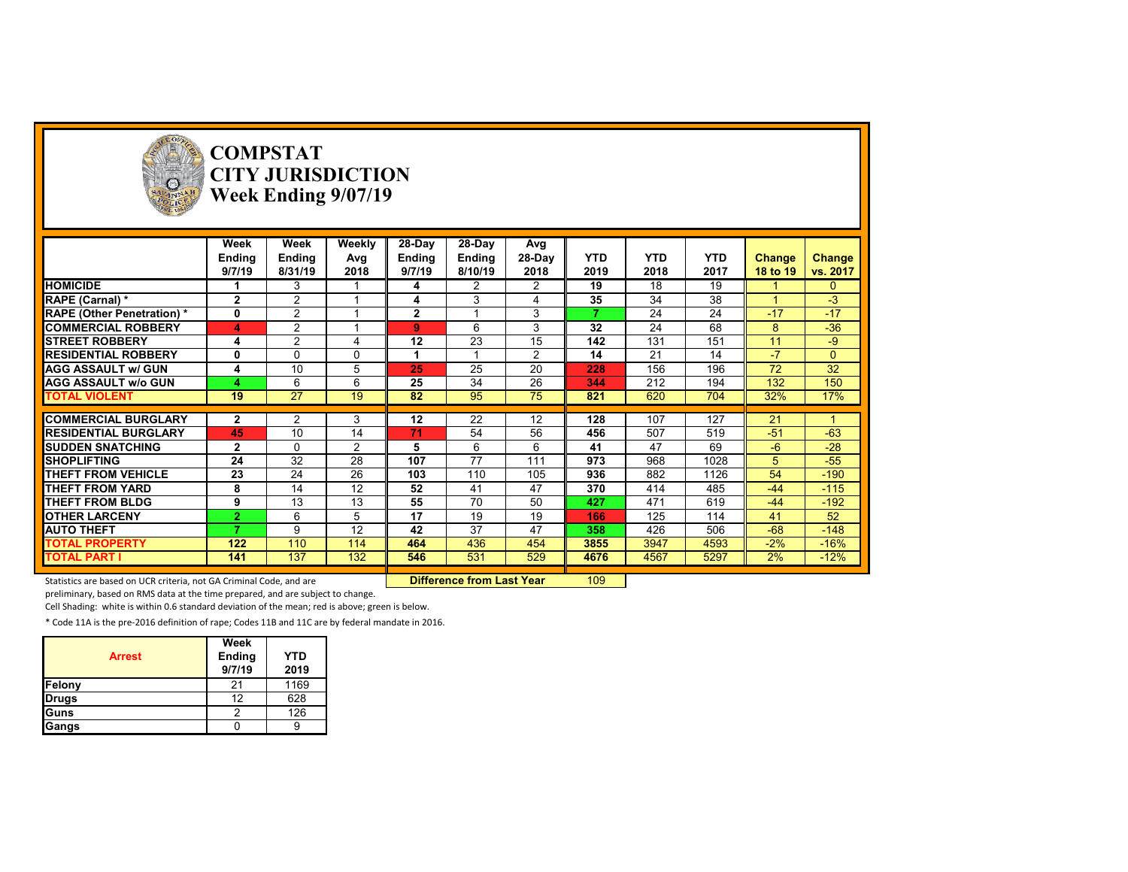

# **COMPSTAT CITY JURISDICTION Week Ending 9/07/19**

|                                   | Week           | Week           | Weekly   | 28-Day        | 28-Day  | Avg            |            |            |            |          |              |
|-----------------------------------|----------------|----------------|----------|---------------|---------|----------------|------------|------------|------------|----------|--------------|
|                                   | Ending         | Ending         | Avg      | <b>Ending</b> | Ending  | 28-Day         | <b>YTD</b> | <b>YTD</b> | <b>YTD</b> | Change   | Change       |
|                                   | 9/7/19         | 8/31/19        | 2018     | 9/7/19        | 8/10/19 | 2018           | 2019       | 2018       | 2017       | 18 to 19 | vs. 2017     |
| <b>HOMICIDE</b>                   |                | 3              |          | 4             | 2       | 2              | 19         | 18         | 19         |          | $\Omega$     |
| RAPE (Carnal) *                   | $\overline{2}$ | $\overline{2}$ |          | 4             | 3       |                | 35         | 34         | 38         |          | $-3$         |
| <b>RAPE (Other Penetration) *</b> | 0              | 2              |          | $\mathbf{2}$  |         | 3              | ⇁          | 24         | 24         | $-17$    | $-17$        |
| <b>COMMERCIAL ROBBERY</b>         | 4              | $\overline{2}$ |          | 9             | 6       | 3              | 32         | 24         | 68         | 8        | $-36$        |
| <b>STREET ROBBERY</b>             | 4              | 2              | 4        | 12            | 23      | 15             | 142        | 131        | 151        | 11       | $-9$         |
| <b>RESIDENTIAL ROBBERY</b>        | 0              | 0              | $\Omega$ |               |         | $\overline{2}$ | 14         | 21         | 14         | $-7$     | $\mathbf{0}$ |
| <b>AGG ASSAULT w/ GUN</b>         | 4              | 10             | 5        | 25            | 25      | 20             | 228        | 156        | 196        | 72       | 32           |
| <b>AGG ASSAULT w/o GUN</b>        | 4              | 6              | 6        | 25            | 34      | 26             | 344        | 212        | 194        | 132      | 150          |
| <b>TOTAL VIOLENT</b>              | 19             | 27             | 19       | 82            | 95      | 75             | 821        | 620        | 704        | 32%      | 17%          |
|                                   |                |                |          |               |         |                |            |            |            |          |              |
| <b>COMMERCIAL BURGLARY</b>        | $\mathbf{2}$   | 2              | 3        | 12            | 22      | 12             | 128        | 107        | 127        | 21       |              |
| <b>RESIDENTIAL BURGLARY</b>       | 45             | 10             | 14       | 71            | 54      | 56             | 456        | 507        | 519        | $-51$    | $-63$        |
| <b>SUDDEN SNATCHING</b>           | $\mathbf{2}$   | 0              | 2        | 5             | 6       | 6              | 41         | 47         | 69         | $-6$     | $-28$        |
| <b>SHOPLIFTING</b>                | 24             | 32             | 28       | 107           | 77      | 111            | 973        | 968        | 1028       | 5.       | $-55$        |
| THEFT FROM VEHICLE                | 23             | 24             | 26       | 103           | 110     | 105            | 936        | 882        | 1126       | 54       | $-190$       |
| THEFT FROM YARD                   | 8              | 14             | 12       | 52            | 41      | 47             | 370        | 414        | 485        | $-44$    | $-115$       |
| <b>THEFT FROM BLDG</b>            | 9              | 13             | 13       | 55            | 70      | 50             | 427        | 471        | 619        | $-44$    | $-192$       |
| <b>OTHER LARCENY</b>              | 2              | 6              | 5        | 17            | 19      | 19             | 166        | 125        | 114        | 41       | 52           |
| <b>AUTO THEFT</b>                 |                | 9              | 12       | 42            | 37      | 47             | 358        | 426        | 506        | $-68$    | $-148$       |
| <b>TOTAL PROPERTY</b>             | 122            | 110            | 114      | 464           | 436     | 454            | 3855       | 3947       | 4593       | $-2%$    | $-16%$       |
| <b>TOTAL PART I</b>               | 141            | 137            | 132      | 546           | 531     | 529            | 4676       | 4567       | 5297       | 2%       | $-12%$       |
|                                   |                |                |          |               |         |                |            |            |            |          |              |

Statistics are based on UCR criteria, not GA Criminal Code, and are **Difference from Last Year** 109

preliminary, based on RMS data at the time prepared, and are subject to change.

Cell Shading: white is within 0.6 standard deviation of the mean; red is above; green is below.

\* Code 11A is the pre‐2016 definition of rape; Codes 11B and 11C are by federal mandate in 2016.

| <b>Arrest</b> | Week<br>Ending<br>9/7/19 | <b>YTD</b><br>2019 |
|---------------|--------------------------|--------------------|
| Felony        | 21                       | 1169               |
| <b>Drugs</b>  | 12                       | 628                |
| Guns          |                          | 126                |
| Gangs         |                          |                    |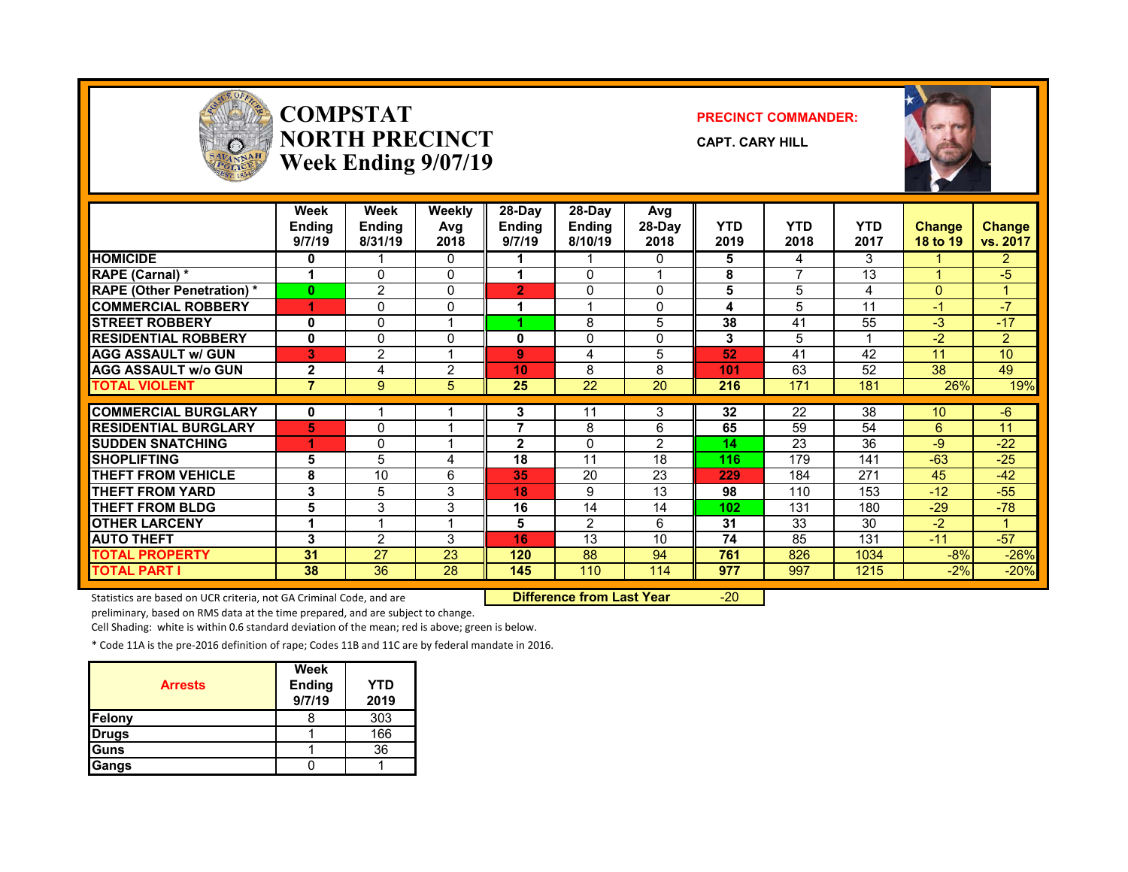

### **COMPSTATNORTH PRECINCTWeek Ending 9/07/19**

#### **PRECINCT COMMANDER:**

**CAPT. CARY HILL**



|                                   | Week<br><b>Ending</b><br>9/7/19 | Week<br>Ending<br>8/31/19 | Weekly<br>Avg<br>2018 | 28-Day<br><b>Ending</b><br>9/7/19 | $28-Dav$<br><b>Ending</b><br>8/10/19 | Avg<br>28-Day<br>2018 | <b>YTD</b><br>2019 | <b>YTD</b><br>2018 | <b>YTD</b><br>2017 | <b>Change</b><br><b>18 to 19</b> | <b>Change</b><br>vs. 2017 |
|-----------------------------------|---------------------------------|---------------------------|-----------------------|-----------------------------------|--------------------------------------|-----------------------|--------------------|--------------------|--------------------|----------------------------------|---------------------------|
| <b>HOMICIDE</b>                   | 0                               |                           | 0                     |                                   |                                      | $\Omega$              | 5                  | 4                  | 3                  |                                  | $\overline{2}$            |
| <b>RAPE (Carnal)</b> *            |                                 | 0                         | $\Omega$              |                                   | $\Omega$                             |                       | 8                  | 7                  | 13                 |                                  | -5                        |
| <b>RAPE (Other Penetration) *</b> | $\mathbf{0}$                    | $\overline{2}$            | $\Omega$              | $\overline{2}$                    | $\mathbf{0}$                         | $\Omega$              | 5                  | 5                  | 4                  | $\mathbf{0}$                     |                           |
| <b>COMMERCIAL ROBBERY</b>         | 4                               | 0                         | $\Omega$              |                                   |                                      | $\Omega$              | 4                  | 5                  | 11                 | -1                               | $\overline{\mathcal{U}}$  |
| <b>STREET ROBBERY</b>             | 0                               | 0                         |                       |                                   | 8                                    | 5                     | 38                 | 41                 | 55                 | $-3$                             | $-17$                     |
| <b>RESIDENTIAL ROBBERY</b>        | 0                               | 0                         | $\Omega$              | 0                                 | $\Omega$                             | $\Omega$              | 3                  | 5                  |                    | -2                               | $\overline{2}$            |
| <b>AGG ASSAULT w/ GUN</b>         | 3                               | 2                         |                       | 9                                 | 4                                    | 5                     | 52                 | 41                 | 42                 | 11                               | 10                        |
| <b>AGG ASSAULT w/o GUN</b>        | $\mathbf{2}$                    | 4                         | $\overline{2}$        | 10                                | 8                                    | 8                     | 101                | 63                 | 52                 | 38                               | 49                        |
| <b>TOTAL VIOLENT</b>              | $\overline{7}$                  | 9                         | 5                     | 25                                | 22                                   | 20                    | 216                | 171                | 181                | 26%                              | 19%                       |
|                                   |                                 |                           |                       |                                   |                                      |                       |                    |                    |                    |                                  |                           |
| <b>COMMERCIAL BURGLARY</b>        | 0                               |                           |                       | 3                                 | 11                                   | 3                     | 32                 | 22                 | 38                 | 10                               | $-6$                      |
| <b>RESIDENTIAL BURGLARY</b>       | 5                               | 0                         |                       | 7                                 | 8                                    | 6                     | 65                 | 59                 | 54                 | 6                                | 11                        |
| <b>SUDDEN SNATCHING</b>           |                                 | 0                         |                       | $\mathbf{2}$                      | $\Omega$                             | $\overline{2}$        | 14                 | 23                 | 36                 | -9                               | $-22$                     |
| <b>SHOPLIFTING</b>                | 5                               | 5                         | 4                     | 18                                | 11                                   | 18                    | 116                | 179                | 141                | $-63$                            | $-25$                     |
| <b>THEFT FROM VEHICLE</b>         | 8                               | 10                        | 6                     | 35                                | 20                                   | 23                    | 229                | 184                | 271                | 45                               | $-42$                     |
| <b>THEFT FROM YARD</b>            | 3                               | 5                         | 3                     | 18                                | 9                                    | 13                    | 98                 | 110                | 153                | $-12$                            | $-55$                     |
| <b>THEFT FROM BLDG</b>            | 5                               | 3                         | 3                     | 16                                | 14                                   | 14                    | 102                | 131                | 180                | $-29$                            | $-78$                     |
| <b>OTHER LARCENY</b>              | 1                               |                           |                       | 5                                 | 2                                    | 6                     | 31                 | 33                 | 30                 | $-2$                             |                           |
| <b>AUTO THEFT</b>                 | 3                               | 2                         | 3                     | 16                                | 13                                   | 10                    | 74                 | 85                 | 131                | $-11$                            | $-57$                     |
| <b>TOTAL PROPERTY</b>             | 31                              | 27                        | 23                    | 120                               | 88                                   | 94                    | 761                | 826                | 1034               | $-8%$                            | $-26%$                    |
| <b>TOTAL PART I</b>               | 38                              | 36                        | 28                    | 145                               | 110                                  | 114                   | 977                | 997                | 1215               | $-2%$                            | $-20%$                    |

Statistics are based on UCR criteria, not GA Criminal Code, and are **Difference from Last Year** -20

preliminary, based on RMS data at the time prepared, and are subject to change.

Cell Shading: white is within 0.6 standard deviation of the mean; red is above; green is below.

\* Code 11A is the pre‐2016 definition of rape; Codes 11B and 11C are by federal mandate in 2016.

| <b>Arrests</b> | Week<br><b>Ending</b><br>9/7/19 | YTD<br>2019 |
|----------------|---------------------------------|-------------|
| Felony         |                                 | 303         |
| <b>Drugs</b>   |                                 | 166         |
| Guns           |                                 | 36          |
| Gangs          |                                 |             |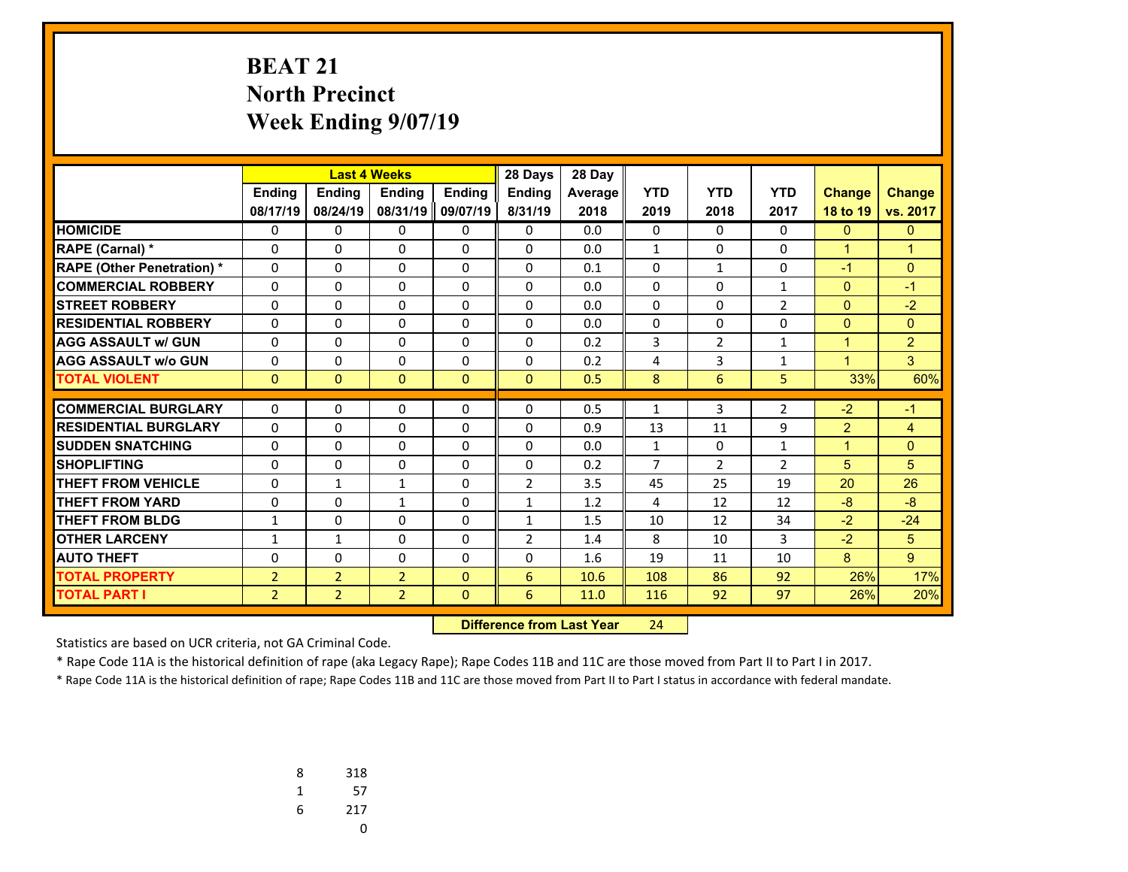# **BEAT 21 North Precinct Week Ending 9/07/19**

|                                   | <b>Last 4 Weeks</b> |                |                | 28 Days       | 28 Day         |         |                |                |                |                |                |
|-----------------------------------|---------------------|----------------|----------------|---------------|----------------|---------|----------------|----------------|----------------|----------------|----------------|
|                                   | Ending              | <b>Ending</b>  | <b>Endina</b>  | <b>Endina</b> | <b>Endina</b>  | Average | <b>YTD</b>     | <b>YTD</b>     | <b>YTD</b>     | <b>Change</b>  | <b>Change</b>  |
|                                   | 08/17/19            | 08/24/19       | 08/31/19       | 09/07/19      | 8/31/19        | 2018    | 2019           | 2018           | 2017           | 18 to 19       | vs. 2017       |
| <b>HOMICIDE</b>                   | 0                   | 0              | 0              | 0             | 0              | 0.0     | 0              | $\Omega$       | $\Omega$       | $\overline{0}$ | $\Omega$       |
| RAPE (Carnal) *                   | 0                   | $\Omega$       | 0              | 0             | $\Omega$       | 0.0     | $\mathbf{1}$   | $\Omega$       | $\Omega$       | $\mathbf{1}$   | $\mathbf{1}$   |
| <b>RAPE (Other Penetration) *</b> | 0                   | 0              | 0              | $\Omega$      | $\Omega$       | 0.1     | 0              | $\mathbf{1}$   | $\Omega$       | $-1$           | $\mathbf{0}$   |
| <b>COMMERCIAL ROBBERY</b>         | $\Omega$            | 0              | 0              | $\Omega$      | $\Omega$       | 0.0     | $\Omega$       | $\Omega$       | $\mathbf{1}$   | $\mathbf{0}$   | $-1$           |
| <b>STREET ROBBERY</b>             | $\Omega$            | 0              | 0              | $\Omega$      | $\Omega$       | 0.0     | $\Omega$       | $\Omega$       | $\overline{2}$ | $\mathbf{0}$   | $-2$           |
| <b>RESIDENTIAL ROBBERY</b>        | 0                   | 0              | 0              | $\Omega$      | $\Omega$       | 0.0     | $\Omega$       | $\Omega$       | $\Omega$       | $\mathbf{0}$   | $\Omega$       |
| <b>AGG ASSAULT w/ GUN</b>         | 0                   | $\Omega$       | $\Omega$       | $\Omega$      | $\Omega$       | 0.2     | 3              | $\overline{2}$ | 1              | $\mathbf{1}$   | $\overline{2}$ |
| <b>AGG ASSAULT w/o GUN</b>        | 0                   | 0              | $\Omega$       | $\Omega$      | $\Omega$       | 0.2     | 4              | 3              | $\mathbf{1}$   | $\mathbf{1}$   | 3              |
| <b>TOTAL VIOLENT</b>              | $\mathbf{0}$        | $\Omega$       | $\Omega$       | $\Omega$      | $\Omega$       | 0.5     | 8              | 6              | 5              | 33%            | 60%            |
| <b>COMMERCIAL BURGLARY</b>        |                     |                |                |               |                |         |                | 3              |                |                | $-1$           |
|                                   | 0                   | 0              | 0              | 0             | 0              | 0.5     | 1              |                | $\overline{2}$ | $-2$           |                |
| <b>RESIDENTIAL BURGLARY</b>       | $\Omega$            | 0              | 0              | $\Omega$      | $\Omega$       | 0.9     | 13             | 11             | 9              | $\overline{2}$ | $\overline{4}$ |
| <b>SUDDEN SNATCHING</b>           | 0                   | $\Omega$       | $\Omega$       | 0             | $\Omega$       | 0.0     | $\mathbf{1}$   | $\Omega$       | 1              | $\mathbf{1}$   | $\Omega$       |
| <b>SHOPLIFTING</b>                | $\Omega$            | 0              | $\Omega$       | $\Omega$      | $\Omega$       | 0.2     | $\overline{7}$ | $\overline{2}$ | $\overline{2}$ | 5              | 5              |
| <b>THEFT FROM VEHICLE</b>         | 0                   | $\mathbf{1}$   | 1              | $\Omega$      | $\overline{2}$ | 3.5     | 45             | 25             | 19             | 20             | 26             |
| <b>THEFT FROM YARD</b>            | $\Omega$            | 0              | $\mathbf{1}$   | $\Omega$      | $\mathbf{1}$   | 1.2     | 4              | 12             | 12             | $-8$           | $-8$           |
| <b>THEFT FROM BLDG</b>            | $\mathbf{1}$        | $\Omega$       | $\Omega$       | $\Omega$      | $\mathbf{1}$   | 1.5     | 10             | 12             | 34             | $-2$           | $-24$          |
| <b>OTHER LARCENY</b>              | $\mathbf{1}$        | $\mathbf{1}$   | 0              | $\Omega$      | $\overline{2}$ | 1.4     | 8              | 10             | 3              | $-2$           | 5              |
| <b>AUTO THEFT</b>                 | 0                   | $\Omega$       | 0              | 0             | $\Omega$       | 1.6     | 19             | 11             | 10             | 8              | 9              |
| <b>TOTAL PROPERTY</b>             | $\overline{2}$      | $\overline{2}$ | $\overline{2}$ | $\Omega$      | 6              | 10.6    | 108            | 86             | 92             | 26%            | 17%            |
| <b>TOTAL PART I</b>               | $\overline{2}$      | $\overline{2}$ | $\overline{2}$ | $\mathbf{0}$  | 6              | 11.0    | 116            | 92             | 97             | 26%            | 20%            |

 **Difference from Last Year**r 24

Statistics are based on UCR criteria, not GA Criminal Code.

\* Rape Code 11A is the historical definition of rape (aka Legacy Rape); Rape Codes 11B and 11C are those moved from Part II to Part I in 2017.

| 8 | 318 |
|---|-----|
| 1 | 57  |
| 6 | 217 |
|   | U   |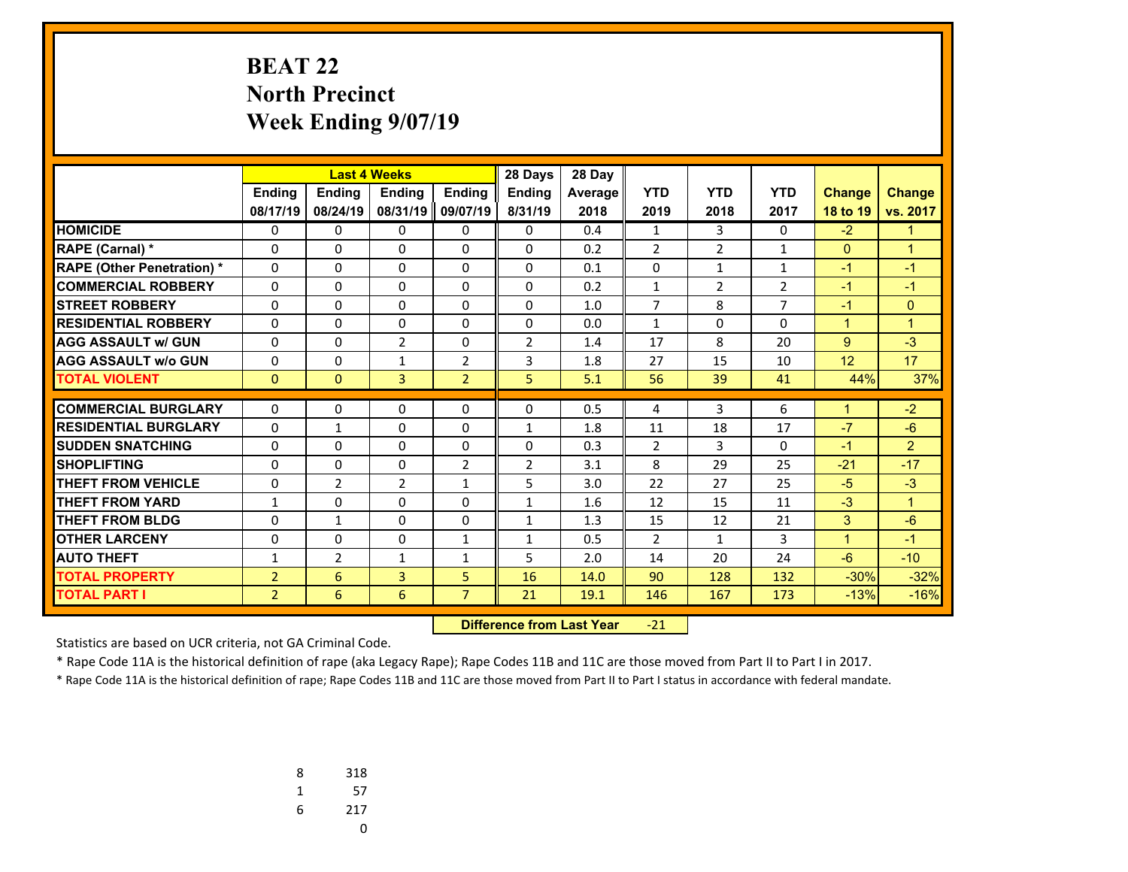# **BEAT 22 North Precinct Week Ending 9/07/19**

|                                   |                | 28 Days<br><b>Last 4 Weeks</b> |                |                |                | 28 Day  |                |                |                |               |                |
|-----------------------------------|----------------|--------------------------------|----------------|----------------|----------------|---------|----------------|----------------|----------------|---------------|----------------|
|                                   | Ending         | Ending                         | <b>Endina</b>  | <b>Ending</b>  | <b>Endina</b>  | Average | <b>YTD</b>     | <b>YTD</b>     | <b>YTD</b>     | <b>Change</b> | <b>Change</b>  |
|                                   | 08/17/19       | 08/24/19                       | 08/31/19       | 09/07/19       | 8/31/19        | 2018    | 2019           | 2018           | 2017           | 18 to 19      | vs. 2017       |
| <b>HOMICIDE</b>                   | 0              | 0                              | 0              | 0              | $\mathbf{0}$   | 0.4     | $\mathbf{1}$   | 3              | 0              | $-2$          | $\mathbf{1}$   |
| <b>RAPE (Carnal) *</b>            | 0              | $\Omega$                       | $\Omega$       | $\mathbf{0}$   | $\Omega$       | 0.2     | $\overline{2}$ | $\overline{2}$ | $\mathbf{1}$   | $\mathbf{0}$  | $\mathbf{1}$   |
| <b>RAPE (Other Penetration) *</b> | $\Omega$       | $\Omega$                       | $\Omega$       | $\Omega$       | $\mathbf{0}$   | 0.1     | 0              | $\mathbf{1}$   | 1              | $-1$          | $-1$           |
| <b>COMMERCIAL ROBBERY</b>         | $\Omega$       | $\Omega$                       | $\Omega$       | $\Omega$       | $\mathbf{0}$   | 0.2     | $\mathbf{1}$   | $\overline{2}$ | $\overline{2}$ | $-1$          | $-1$           |
| <b>STREET ROBBERY</b>             | $\Omega$       | $\Omega$                       | $\Omega$       | $\mathbf{0}$   | $\Omega$       | 1.0     | $\overline{7}$ | 8              | $\overline{7}$ | $-1$          | $\Omega$       |
| <b>RESIDENTIAL ROBBERY</b>        | 0              | $\Omega$                       | $\Omega$       | $\Omega$       | $\Omega$       | 0.0     | $\mathbf{1}$   | 0              | $\Omega$       | $\mathbf{1}$  | $\overline{1}$ |
| <b>AGG ASSAULT w/ GUN</b>         | 0              | 0                              | $\overline{2}$ | $\mathbf{0}$   | $\overline{2}$ | 1.4     | 17             | 8              | 20             | 9             | $-3$           |
| <b>AGG ASSAULT w/o GUN</b>        | 0              | 0                              | $\mathbf{1}$   | $\overline{2}$ | 3              | 1.8     | 27             | 15             | 10             | 12            | 17             |
| <b>TOTAL VIOLENT</b>              | $\Omega$       | $\mathbf{0}$                   | 3              | $\overline{2}$ | 5              | 5.1     | 56             | 39             | 41             | 44%           | 37%            |
| <b>COMMERCIAL BURGLARY</b>        | 0              |                                |                |                |                |         |                | 3              |                | 1             |                |
|                                   |                | 0                              | 0              | $\mathbf{0}$   | 0              | 0.5     | 4              |                | 6              |               | $-2$           |
| <b>RESIDENTIAL BURGLARY</b>       | 0              | $\mathbf{1}$                   | $\Omega$       | $\Omega$       | $\mathbf{1}$   | 1.8     | 11             | 18             | 17             | $-7$          | $-6$           |
| <b>SUDDEN SNATCHING</b>           | 0              | $\Omega$                       | $\Omega$       | $\mathbf{0}$   | $\Omega$       | 0.3     | $\overline{2}$ | 3              | $\Omega$       | $-1$          | $\mathcal{P}$  |
| <b>SHOPLIFTING</b>                | 0              | $\Omega$                       | $\Omega$       | $\overline{2}$ | $\overline{2}$ | 3.1     | 8              | 29             | 25             | $-21$         | $-17$          |
| <b>THEFT FROM VEHICLE</b>         | 0              | $\overline{2}$                 | $\overline{2}$ | $\mathbf{1}$   | 5              | 3.0     | 22             | 27             | 25             | $-5$          | $-3$           |
| <b>THEFT FROM YARD</b>            | $\mathbf{1}$   | $\Omega$                       | $\Omega$       | $\Omega$       | $\mathbf{1}$   | 1.6     | 12             | 15             | 11             | $-3$          | $\mathbf{1}$   |
| <b>THEFT FROM BLDG</b>            | 0              | $\mathbf{1}$                   | $\Omega$       | $\Omega$       | $\mathbf{1}$   | 1.3     | 15             | 12             | 21             | 3             | $-6$           |
| <b>OTHER LARCENY</b>              | 0              | $\Omega$                       | $\Omega$       | $\mathbf{1}$   | $\mathbf{1}$   | 0.5     | $\overline{2}$ | $\mathbf{1}$   | 3              | $\mathbf{1}$  | $-1$           |
| <b>AUTO THEFT</b>                 | 1              | 2                              | $\mathbf{1}$   | $\mathbf{1}$   | 5              | 2.0     | 14             | 20             | 24             | $-6$          | $-10$          |
| <b>TOTAL PROPERTY</b>             | $\overline{2}$ | 6                              | 3              | 5              | 16             | 14.0    | 90             | 128            | 132            | $-30%$        | $-32%$         |
| <b>TOTAL PART I</b>               | $\overline{2}$ | 6                              | 6              | $\overline{7}$ | 21             | 19.1    | 146            | 167            | 173            | $-13%$        | $-16%$         |

 **Difference from Last Year**‐21

Statistics are based on UCR criteria, not GA Criminal Code.

\* Rape Code 11A is the historical definition of rape (aka Legacy Rape); Rape Codes 11B and 11C are those moved from Part II to Part I in 2017.

| 8 | 318 |
|---|-----|
| 1 | 57  |
| 6 | 217 |
|   | U   |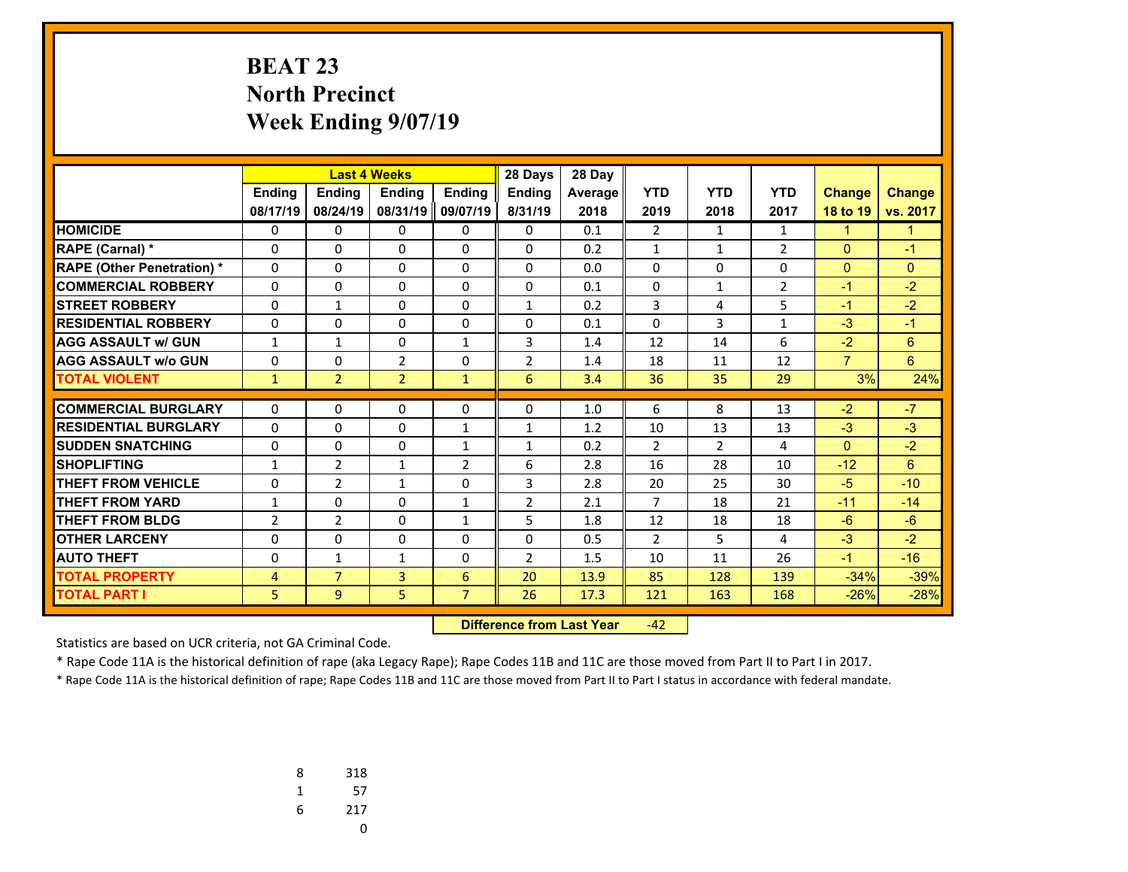# **BEAT 23 North Precinct Week Ending 9/07/19**

|                                   |                |                | 28 Days<br><b>Last 4 Weeks</b> |                |                | 28 Day         |                |              |                |                |                |
|-----------------------------------|----------------|----------------|--------------------------------|----------------|----------------|----------------|----------------|--------------|----------------|----------------|----------------|
|                                   | Ending         | Ending         | Ending                         | <b>Ending</b>  | <b>Ending</b>  | <b>Average</b> | <b>YTD</b>     | <b>YTD</b>   | <b>YTD</b>     | <b>Change</b>  | <b>Change</b>  |
|                                   | 08/17/19       | 08/24/19       | 08/31/19                       | 09/07/19       | 8/31/19        | 2018           | 2019           | 2018         | 2017           | 18 to 19       | vs. 2017       |
| <b>HOMICIDE</b>                   | 0              | 0              | 0                              | 0              | $\Omega$       | 0.1            | $\overline{2}$ | $\mathbf{1}$ | $\mathbf{1}$   | $\mathbf{1}$   | $\mathbf{1}$   |
| <b>RAPE (Carnal) *</b>            | $\Omega$       | $\Omega$       | 0                              | $\Omega$       | $\Omega$       | 0.2            | $\mathbf{1}$   | $\mathbf{1}$ | $\overline{2}$ | $\mathbf{0}$   | $-1$           |
| <b>RAPE (Other Penetration) *</b> | $\Omega$       | $\Omega$       | 0                              | $\Omega$       | $\Omega$       | 0.0            | 0              | $\Omega$     | $\Omega$       | $\mathbf{0}$   | $\mathbf{0}$   |
| <b>COMMERCIAL ROBBERY</b>         | $\Omega$       | 0              | 0                              | $\Omega$       | $\Omega$       | 0.1            | $\Omega$       | $\mathbf{1}$ | $\overline{2}$ | $-1$           | $-2$           |
| <b>STREET ROBBERY</b>             | 0              | $\mathbf{1}$   | 0                              | 0              | $\mathbf{1}$   | 0.2            | 3              | 4            | 5              | $-1$           | $-2$           |
| <b>RESIDENTIAL ROBBERY</b>        | $\Omega$       | 0              | 0                              | $\Omega$       | $\Omega$       | 0.1            | $\Omega$       | 3            | $\mathbf{1}$   | $-3$           | $-1$           |
| <b>AGG ASSAULT w/ GUN</b>         | 1              | $\mathbf{1}$   | 0                              | $\mathbf{1}$   | 3              | 1.4            | 12             | 14           | 6              | $-2$           | $6\phantom{1}$ |
| <b>AGG ASSAULT w/o GUN</b>        | 0              | $\Omega$       | $\overline{2}$                 | $\Omega$       | $\overline{2}$ | 1.4            | 18             | 11           | 12             | $\overline{7}$ | 6              |
| <b>TOTAL VIOLENT</b>              | $\mathbf{1}$   | $\overline{2}$ | $\overline{2}$                 | $\mathbf{1}$   | 6              | 3.4            | 36             | 35           | 29             | 3%             | 24%            |
| <b>COMMERCIAL BURGLARY</b>        |                |                | 0                              |                |                | 1.0            | 6              | 8            | 13             |                | $-7$           |
|                                   | 0              | 0              |                                | 0              | 0              |                |                |              |                | $-2$           |                |
| <b>RESIDENTIAL BURGLARY</b>       | $\Omega$       | 0              | 0                              | $\mathbf{1}$   | $\mathbf{1}$   | 1.2            | 10             | 13           | 13             | $-3$           | $-3$           |
| <b>SUDDEN SNATCHING</b>           | $\Omega$       | 0              | 0                              | $\mathbf{1}$   | $\mathbf{1}$   | 0.2            | $\overline{2}$ | 2            | 4              | $\mathbf{0}$   | $-2$           |
| <b>SHOPLIFTING</b>                | $\mathbf{1}$   | $\overline{2}$ | $\mathbf{1}$                   | $\overline{2}$ | 6              | 2.8            | 16             | 28           | 10             | $-12$          | 6              |
| <b>THEFT FROM VEHICLE</b>         | $\Omega$       | $\overline{2}$ | $\mathbf{1}$                   | $\Omega$       | 3              | 2.8            | 20             | 25           | 30             | $-5$           | $-10$          |
| <b>THEFT FROM YARD</b>            | 1              | 0              | 0                              | $\mathbf{1}$   | $\overline{2}$ | 2.1            | $\overline{7}$ | 18           | 21             | $-11$          | $-14$          |
| <b>THEFT FROM BLDG</b>            | $\overline{2}$ | $\overline{2}$ | $\Omega$                       | $\mathbf{1}$   | 5              | 1.8            | 12             | 18           | 18             | $-6$           | $-6$           |
| <b>OTHER LARCENY</b>              | 0              | 0              | 0                              | 0              | $\Omega$       | 0.5            | $\overline{2}$ | 5            | 4              | $-3$           | $-2$           |
| <b>AUTO THEFT</b>                 | 0              | $\mathbf{1}$   | $\mathbf{1}$                   | $\Omega$       | $\overline{2}$ | 1.5            | 10             | 11           | 26             | $-1$           | $-16$          |
| <b>TOTAL PROPERTY</b>             | 4              | $\overline{7}$ | 3                              | 6              | 20             | 13.9           | 85             | 128          | 139            | $-34%$         | $-39%$         |
| <b>TOTAL PART I</b>               | 5              | $\overline{9}$ | 5                              | $\overline{7}$ | 26             | 17.3           | 121            | 163          | 168            | $-26%$         | $-28%$         |

 **Difference from Last Year**‐42

Statistics are based on UCR criteria, not GA Criminal Code.

\* Rape Code 11A is the historical definition of rape (aka Legacy Rape); Rape Codes 11B and 11C are those moved from Part II to Part I in 2017.

| 8 | 318 |
|---|-----|
| 1 | 57  |
| 6 | 217 |
|   | U   |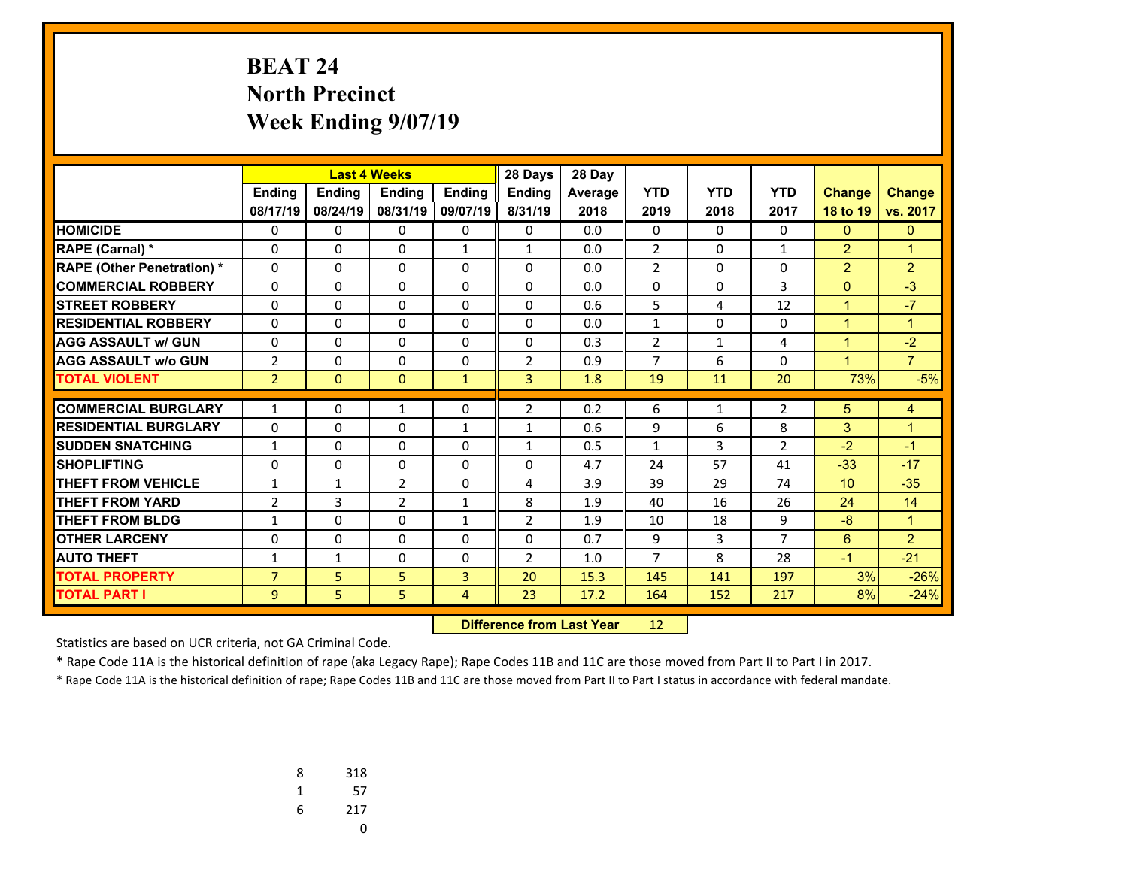# **BEAT 24 North Precinct Week Ending 9/07/19**

|                                   |                |              | <b>Last 4 Weeks</b><br>28 Days |                |                |         |                |              |                |                 |                |
|-----------------------------------|----------------|--------------|--------------------------------|----------------|----------------|---------|----------------|--------------|----------------|-----------------|----------------|
|                                   | Ending         | Ending       | Ending                         | <b>Ending</b>  | Ending         | Average | <b>YTD</b>     | <b>YTD</b>   | <b>YTD</b>     | <b>Change</b>   | <b>Change</b>  |
|                                   | 08/17/19       | 08/24/19     | 08/31/19                       | 09/07/19       | 8/31/19        | 2018    | 2019           | 2018         | 2017           | 18 to 19        | vs. 2017       |
| <b>HOMICIDE</b>                   | 0              | 0            | 0                              | 0              | $\mathbf{0}$   | 0.0     | 0              | $\mathbf{0}$ | 0              | $\overline{0}$  | $\mathbf{0}$   |
| <b>RAPE (Carnal)*</b>             | 0              | $\Omega$     | $\Omega$                       | $\mathbf{1}$   | $\mathbf{1}$   | 0.0     | $\overline{2}$ | 0            | $\mathbf{1}$   | $\overline{2}$  | $\mathbf{1}$   |
| <b>RAPE (Other Penetration) *</b> | $\Omega$       | $\Omega$     | $\Omega$                       | $\Omega$       | $\mathbf{0}$   | 0.0     | $\overline{2}$ | $\mathbf 0$  | $\Omega$       | $\overline{2}$  | $\overline{2}$ |
| <b>COMMERCIAL ROBBERY</b>         | $\Omega$       | 0            | 0                              | $\mathbf{0}$   | $\mathbf{0}$   | 0.0     | 0              | 0            | 3              | $\mathbf{0}$    | $-3$           |
| <b>STREET ROBBERY</b>             | $\Omega$       | $\Omega$     | $\Omega$                       | $\Omega$       | $\mathbf{0}$   | 0.6     | 5              | 4            | 12             | $\mathbf{1}$    | $-7$           |
| <b>RESIDENTIAL ROBBERY</b>        | 0              | $\Omega$     | $\Omega$                       | $\Omega$       | $\Omega$       | 0.0     | $\mathbf{1}$   | $\Omega$     | $\Omega$       | $\mathbf{1}$    | $\mathbf{1}$   |
| <b>AGG ASSAULT w/ GUN</b>         | $\Omega$       | $\Omega$     | $\Omega$                       | $\Omega$       | $\Omega$       | 0.3     | $\overline{2}$ | $\mathbf{1}$ | 4              | $\mathbf{1}$    | $-2$           |
| <b>AGG ASSAULT w/o GUN</b>        | 2              | 0            | 0                              | $\Omega$       | $\overline{2}$ | 0.9     | $\overline{7}$ | 6            | $\Omega$       | $\mathbf{1}$    | $\overline{7}$ |
| <b>TOTAL VIOLENT</b>              | $\overline{2}$ | $\Omega$     | $\mathbf{0}$                   | $\mathbf{1}$   | $\overline{3}$ | 1.8     | 19             | 11           | 20             | 73%             | $-5%$          |
|                                   |                |              |                                |                |                |         |                |              |                |                 |                |
| <b>COMMERCIAL BURGLARY</b>        | $\mathbf{1}$   | 0            | $\mathbf{1}$                   | $\mathbf{0}$   | $\overline{2}$ | 0.2     | 6              | $\mathbf{1}$ | $\overline{2}$ | 5               | 4              |
| <b>RESIDENTIAL BURGLARY</b>       | $\Omega$       | $\Omega$     | $\Omega$                       | $\mathbf{1}$   | $\mathbf{1}$   | 0.6     | 9              | 6            | 8              | 3               | $\mathbf{1}$   |
| <b>SUDDEN SNATCHING</b>           | $\mathbf{1}$   | 0            | $\Omega$                       | $\mathbf{0}$   | $\mathbf{1}$   | 0.5     | $\mathbf{1}$   | 3            | $\overline{2}$ | $-2$            | $-1$           |
| <b>SHOPLIFTING</b>                | $\Omega$       | $\Omega$     | $\Omega$                       | $\Omega$       | $\Omega$       | 4.7     | 24             | 57           | 41             | $-33$           | $-17$          |
| <b>THEFT FROM VEHICLE</b>         | $\mathbf{1}$   | $\mathbf{1}$ | 2                              | $\mathbf{0}$   | 4              | 3.9     | 39             | 29           | 74             | 10 <sup>1</sup> | $-35$          |
| <b>THEFT FROM YARD</b>            | $\overline{2}$ | 3            | $\overline{2}$                 | $\mathbf{1}$   | 8              | 1.9     | 40             | 16           | 26             | 24              | 14             |
| <b>THEFT FROM BLDG</b>            | 1              | $\Omega$     | $\Omega$                       | $\mathbf{1}$   | $\overline{2}$ | 1.9     | 10             | 18           | 9              | $-8$            | $\mathbf{1}$   |
| <b>OTHER LARCENY</b>              | 0              | 0            | $\Omega$                       | 0              | $\mathbf{0}$   | 0.7     | 9              | 3            | $\overline{7}$ | 6               | $\overline{2}$ |
| <b>AUTO THEFT</b>                 | $\mathbf{1}$   | $\mathbf{1}$ | $\Omega$                       | $\Omega$       | $\overline{2}$ | 1.0     | $\overline{7}$ | 8            | 28             | $-1$            | $-21$          |
| <b>TOTAL PROPERTY</b>             | $\overline{7}$ | 5            | 5                              | 3              | 20             | 15.3    | 145            | 141          | 197            | 3%              | $-26%$         |
| <b>TOTAL PART I</b>               | 9              | 5            | 5                              | $\overline{4}$ | 23             | 17.2    | 164            | 152          | 217            | 8%              | $-24%$         |

 **Difference from Last Year**r 12

Statistics are based on UCR criteria, not GA Criminal Code.

\* Rape Code 11A is the historical definition of rape (aka Legacy Rape); Rape Codes 11B and 11C are those moved from Part II to Part I in 2017.

| 8 | 318 |
|---|-----|
| 1 | 57  |
| 6 | 217 |
|   |     |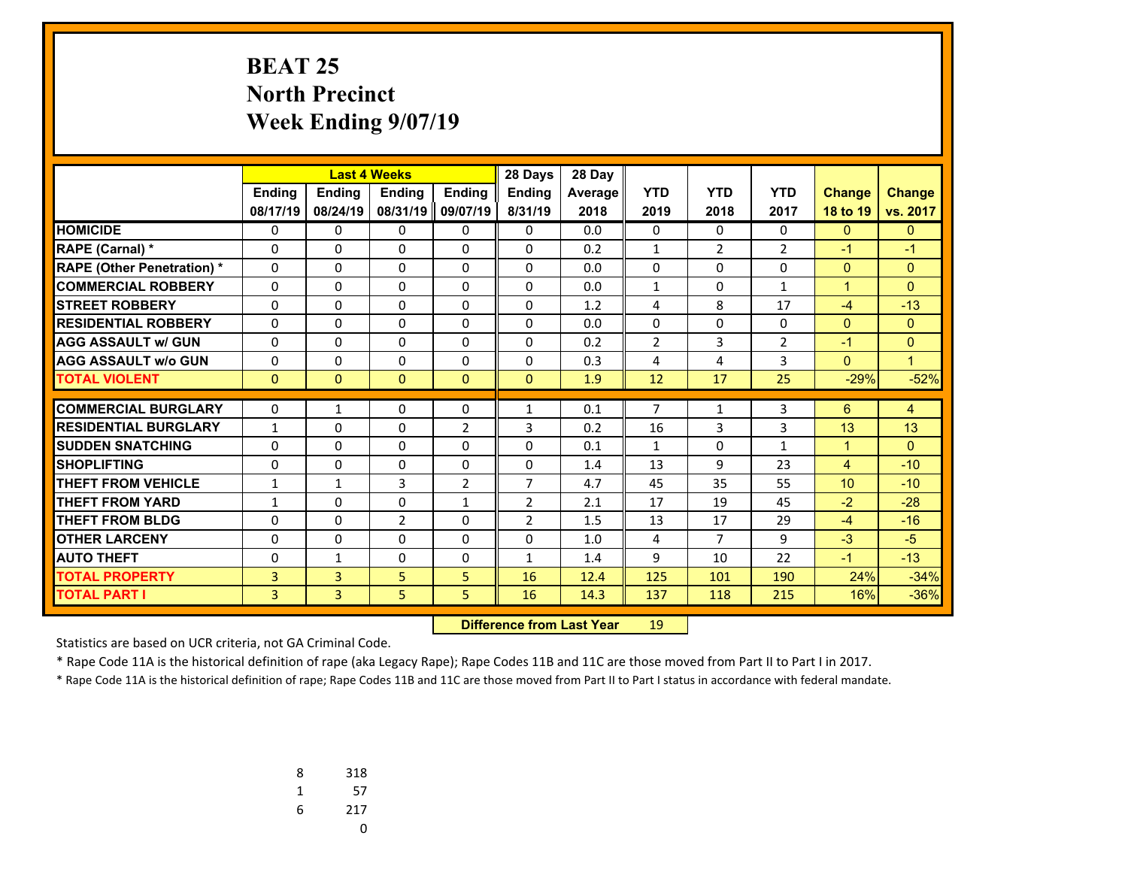# **BEAT 25 North Precinct Week Ending 9/07/19**

|                                   |              | <b>Last 4 Weeks</b> |                |                | 28 Days        | 28 Day  |                |                |                |                |               |
|-----------------------------------|--------------|---------------------|----------------|----------------|----------------|---------|----------------|----------------|----------------|----------------|---------------|
|                                   | Ending       | <b>Ending</b>       | <b>Endina</b>  | <b>Endina</b>  | <b>Endina</b>  | Average | <b>YTD</b>     | <b>YTD</b>     | <b>YTD</b>     | <b>Change</b>  | <b>Change</b> |
|                                   | 08/17/19     | 08/24/19            | 08/31/19       | 09/07/19       | 8/31/19        | 2018    | 2019           | 2018           | 2017           | 18 to 19       | vs. 2017      |
| <b>HOMICIDE</b>                   | 0            | 0                   | 0              | 0              | 0              | 0.0     | 0              | $\Omega$       | 0              | $\mathbf{0}$   | $\Omega$      |
| RAPE (Carnal) *                   | 0            | $\Omega$            | $\Omega$       | 0              | $\Omega$       | 0.2     | $\mathbf{1}$   | $\overline{2}$ | $\overline{2}$ | $-1$           | $-1$          |
| <b>RAPE (Other Penetration) *</b> | 0            | 0                   | $\Omega$       | $\Omega$       | $\Omega$       | 0.0     | 0              | $\Omega$       | $\Omega$       | $\overline{0}$ | $\mathbf{0}$  |
| <b>COMMERCIAL ROBBERY</b>         | $\Omega$     | 0                   | $\Omega$       | $\Omega$       | $\Omega$       | 0.0     | $\mathbf{1}$   | $\Omega$       | $\mathbf{1}$   | $\mathbf{1}$   | $\Omega$      |
| <b>STREET ROBBERY</b>             | $\Omega$     | $\Omega$            | $\Omega$       | $\Omega$       | $\Omega$       | 1.2     | 4              | 8              | 17             | $-4$           | $-13$         |
| <b>RESIDENTIAL ROBBERY</b>        | 0            | 0                   | $\Omega$       | $\Omega$       | $\Omega$       | 0.0     | $\Omega$       | $\Omega$       | $\Omega$       | $\mathbf{0}$   | $\Omega$      |
| <b>AGG ASSAULT w/ GUN</b>         | 0            | $\Omega$            | $\Omega$       | $\Omega$       | $\Omega$       | 0.2     | $\overline{2}$ | 3              | $\overline{2}$ | $-1$           | $\Omega$      |
| <b>AGG ASSAULT w/o GUN</b>        | 0            | 0                   | $\Omega$       | $\Omega$       | $\Omega$       | 0.3     | 4              | 4              | 3              | $\mathbf{0}$   | $\mathbf{1}$  |
| <b>TOTAL VIOLENT</b>              | $\mathbf{0}$ | $\Omega$            | $\Omega$       | $\Omega$       | $\Omega$       | 1.9     | 12             | 17             | 25             | $-29%$         | $-52%$        |
| <b>COMMERCIAL BURGLARY</b>        |              |                     |                |                |                |         | $\overline{7}$ |                |                |                |               |
|                                   | 0            | $\mathbf{1}$        | 0              | 0              | $\mathbf{1}$   | 0.1     |                | 1              | 3              | 6              | 4             |
| <b>RESIDENTIAL BURGLARY</b>       | $\mathbf{1}$ | 0                   | 0              | $\overline{2}$ | 3              | 0.2     | 16             | 3              | 3              | 13             | 13            |
| <b>SUDDEN SNATCHING</b>           | $\Omega$     | $\Omega$            | 0              | 0              | $\Omega$       | 0.1     | $\mathbf{1}$   | $\Omega$       | $\mathbf{1}$   | $\mathbf{1}$   | $\Omega$      |
| <b>SHOPLIFTING</b>                | $\Omega$     | 0                   | 0              | $\Omega$       | $\Omega$       | 1.4     | 13             | 9              | 23             | 4              | $-10$         |
| <b>THEFT FROM VEHICLE</b>         | $\mathbf{1}$ | $\mathbf{1}$        | 3              | $\overline{2}$ | 7              | 4.7     | 45             | 35             | 55             | 10             | $-10$         |
| <b>THEFT FROM YARD</b>            | $\mathbf{1}$ | 0                   | 0              | $\mathbf{1}$   | 2              | 2.1     | 17             | 19             | 45             | $-2$           | $-28$         |
| <b>THEFT FROM BLDG</b>            | 0            | $\Omega$            | $\overline{2}$ | $\Omega$       | $\overline{2}$ | 1.5     | 13             | 17             | 29             | $-4$           | $-16$         |
| <b>OTHER LARCENY</b>              | $\Omega$     | 0                   | 0              | $\Omega$       | $\Omega$       | 1.0     | 4              | $\overline{7}$ | 9              | $-3$           | $-5$          |
| <b>AUTO THEFT</b>                 | 0            | $\mathbf{1}$        | 0              | 0              | $\mathbf{1}$   | 1.4     | 9              | 10             | 22             | $-1$           | $-13$         |
| <b>TOTAL PROPERTY</b>             | 3            | 3                   | 5              | 5              | 16             | 12.4    | 125            | 101            | 190            | 24%            | $-34%$        |
| <b>TOTAL PART I</b>               | 3            | $\overline{3}$      | 5              | 5              | 16             | 14.3    | 137            | 118            | 215            | 16%            | $-36%$        |

 **Difference from Last Year**r 19

Statistics are based on UCR criteria, not GA Criminal Code.

\* Rape Code 11A is the historical definition of rape (aka Legacy Rape); Rape Codes 11B and 11C are those moved from Part II to Part I in 2017.

| 8 | 318 |
|---|-----|
| 1 | 57  |
| 6 | 217 |
|   | U   |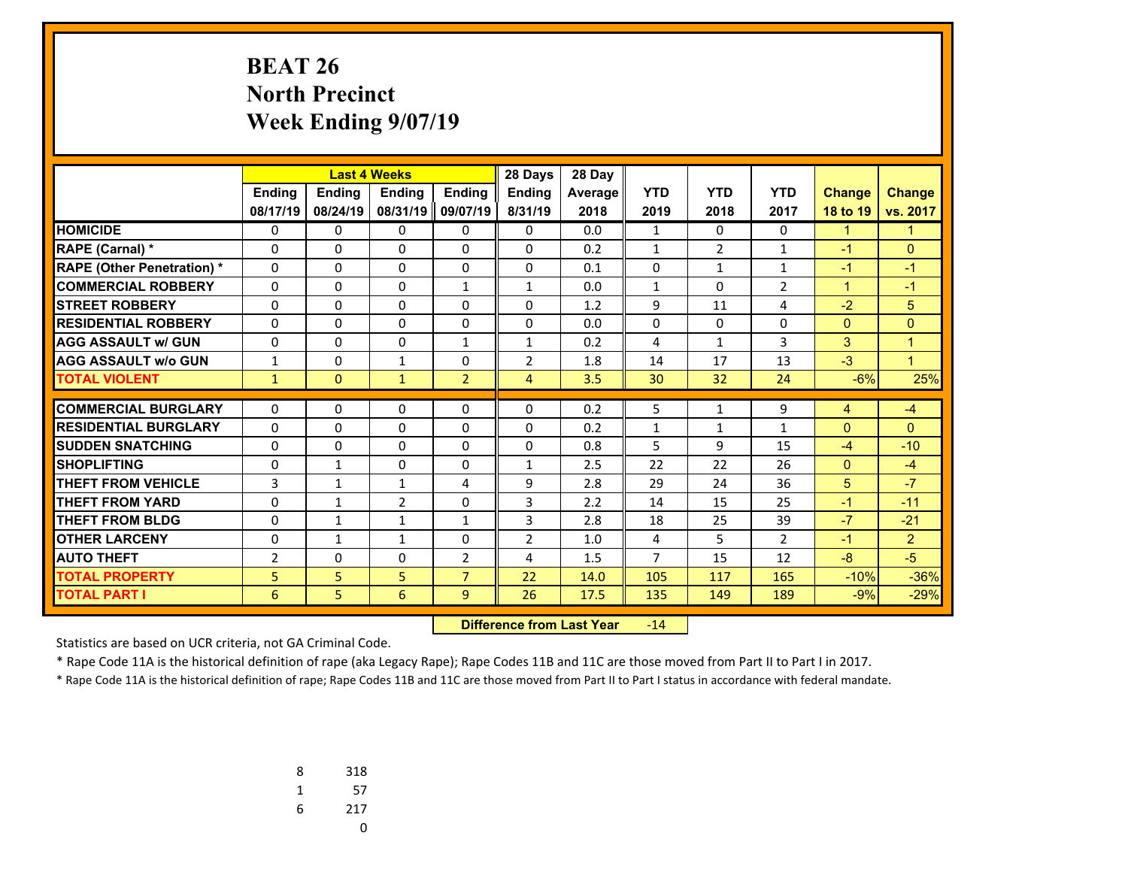# **BEAT 26 North Precinct Week Ending 9/07/19**

|                                   | <b>Last 4 Weeks</b> |               |                | 28 Days        | 28 Day         |         |                |                   |                    |               |                |
|-----------------------------------|---------------------|---------------|----------------|----------------|----------------|---------|----------------|-------------------|--------------------|---------------|----------------|
|                                   | Ending              | <b>Ending</b> | <b>Endina</b>  | <b>Endina</b>  | <b>Endina</b>  | Average | <b>YTD</b>     | <b>YTD</b>        | <b>YTD</b>         | <b>Change</b> | <b>Change</b>  |
|                                   | 08/17/19            | 08/24/19      | 08/31/19       | 09/07/19       | 8/31/19        | 2018    | 2019           | 2018              | 2017               | 18 to 19      | vs. 2017       |
| <b>HOMICIDE</b>                   | 0                   | 0             | 0              | 0              | 0              | 0.0     | $\mathbf{1}$   | $\Omega$          | 0                  | $\mathbf{1}$  | $\mathbf{1}$   |
| RAPE (Carnal) *                   | 0                   | $\Omega$      | $\Omega$       | $\Omega$       | $\Omega$       | 0.2     | $\mathbf{1}$   | $\overline{2}$    | 1                  | $-1$          | $\Omega$       |
| <b>RAPE (Other Penetration) *</b> | 0                   | 0             | $\Omega$       | $\Omega$       | $\Omega$       | 0.1     | 0              | $\mathbf{1}$      | 1                  | $-1$          | $-1$           |
| <b>COMMERCIAL ROBBERY</b>         | $\Omega$            | 0             | $\Omega$       | $\mathbf{1}$   | $\mathbf{1}$   | 0.0     | $\mathbf{1}$   | $\Omega$          | $\overline{2}$     | $\mathbf{1}$  | $-1$           |
| <b>STREET ROBBERY</b>             | $\Omega$            | 0             | $\Omega$       | 0              | $\Omega$       | 1.2     | 9              | 11                | 4                  | $-2$          | 5              |
| <b>RESIDENTIAL ROBBERY</b>        | 0                   | 0             | $\Omega$       | $\Omega$       | $\Omega$       | 0.0     | $\Omega$       | $\Omega$          | $\Omega$           | $\mathbf{0}$  | $\Omega$       |
| <b>AGG ASSAULT w/ GUN</b>         | 0                   | $\Omega$      | $\Omega$       | $\mathbf{1}$   | $\mathbf{1}$   | 0.2     | 4              | $\mathbf{1}$      | 3                  | 3             | $\mathbf{1}$   |
| <b>AGG ASSAULT w/o GUN</b>        | $\mathbf{1}$        | 0             | $\mathbf{1}$   | $\Omega$       | $\overline{2}$ | 1.8     | 14             | 17                | 13                 | $-3$          | $\mathbf{1}$   |
| <b>TOTAL VIOLENT</b>              | $\mathbf{1}$        | $\Omega$      | $\mathbf{1}$   | $\overline{2}$ | 4              | 3.5     | 30             | 32                | 24                 | $-6%$         | 25%            |
| <b>COMMERCIAL BURGLARY</b>        | 0                   | 0             | 0              | 0              | 0              | 0.2     | 5              | 1                 | 9                  | 4             | $-4$           |
| <b>RESIDENTIAL BURGLARY</b>       | $\Omega$            | 0             | 0              | $\Omega$       | $\Omega$       | 0.2     |                |                   |                    | $\mathbf{0}$  | $\Omega$       |
| <b>SUDDEN SNATCHING</b>           | $\Omega$            | $\Omega$      | $\Omega$       | $\Omega$       | $\Omega$       | 0.8     | 1<br>5         | $\mathbf{1}$<br>9 | $\mathbf{1}$<br>15 | $-4$          | $-10$          |
| <b>SHOPLIFTING</b>                | $\Omega$            | $\mathbf{1}$  | $\Omega$       | $\Omega$       | $\mathbf{1}$   | 2.5     | 22             | 22                | 26                 | $\mathbf{0}$  | $-4$           |
| <b>THEFT FROM VEHICLE</b>         | 3                   | $\mathbf{1}$  | $\mathbf{1}$   | 4              | 9              | 2.8     | 29             | 24                | 36                 | 5             | $-7$           |
| <b>THEFT FROM YARD</b>            | $\Omega$            | $\mathbf{1}$  | $\overline{2}$ | $\Omega$       | 3              | 2.2     | 14             | 15                | 25                 | $-1$          | $-11$          |
| <b>THEFT FROM BLDG</b>            | 0                   | $\mathbf{1}$  | $\mathbf{1}$   | $\mathbf{1}$   | 3              | 2.8     | 18             | 25                | 39                 | $-7$          | $-21$          |
| <b>OTHER LARCENY</b>              | $\Omega$            |               | $\mathbf{1}$   | $\Omega$       | $\overline{2}$ | 1.0     | 4              | 5                 | $\overline{2}$     | $-1$          | $\overline{2}$ |
|                                   |                     | $\mathbf{1}$  |                |                |                |         | $\overline{7}$ |                   |                    |               | $-5$           |
| <b>AUTO THEFT</b>                 | $\overline{2}$      | $\Omega$      | 0              | $\overline{2}$ | 4              | 1.5     |                | 15                | 12                 | $-8$          |                |
| <b>TOTAL PROPERTY</b>             | 5                   | 5             | 5              | $\overline{7}$ | 22             | 14.0    | 105            | 117               | 165                | $-10%$        | $-36%$         |
| <b>TOTAL PART I</b>               | 6                   | 5.            | 6              | 9              | 26             | 17.5    | 135            | 149               | 189                | $-9%$         | $-29%$         |

 **Difference from Last Year**r -14

Statistics are based on UCR criteria, not GA Criminal Code.

\* Rape Code 11A is the historical definition of rape (aka Legacy Rape); Rape Codes 11B and 11C are those moved from Part II to Part I in 2017.

| 8 | 318 |
|---|-----|
| 1 | 57  |
| 6 | 217 |
|   | 0   |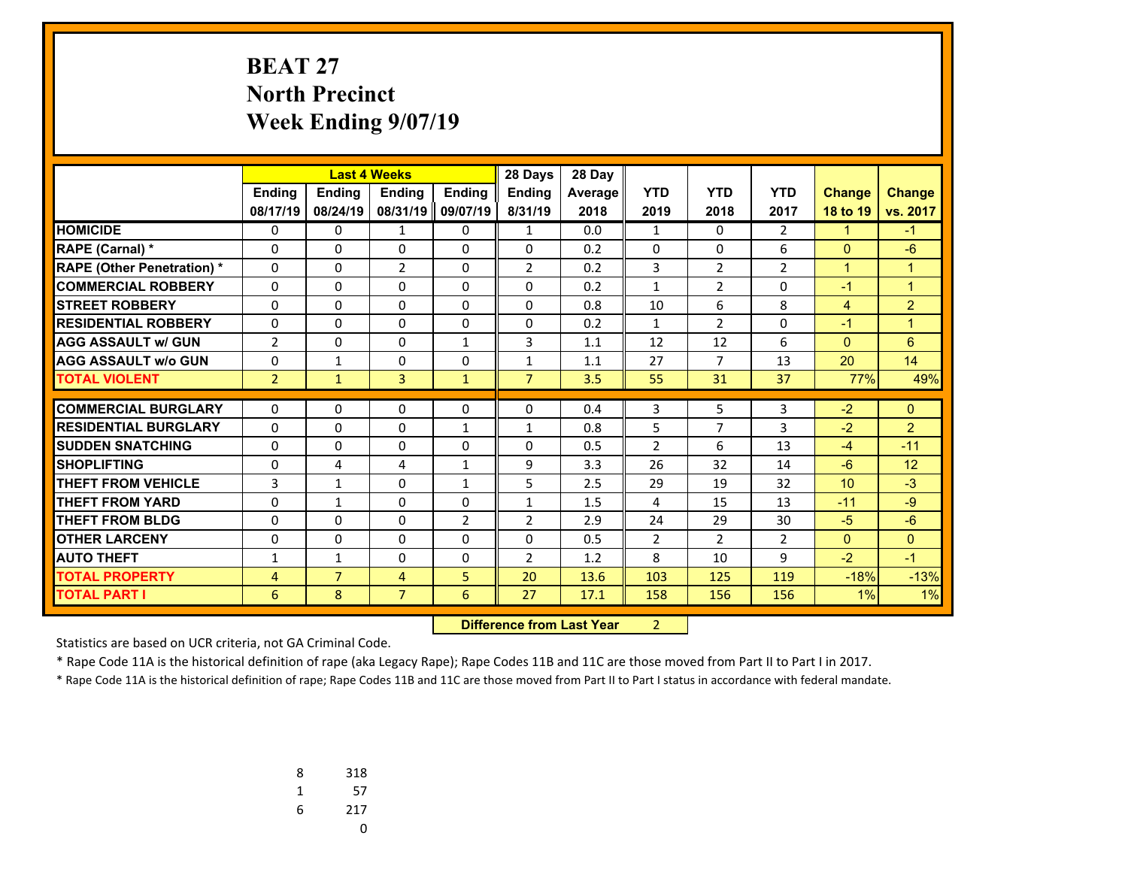# **BEAT 27 North Precinct Week Ending 9/07/19**

|                                   |                | <b>Last 4 Weeks</b> |                |                | 28 Days        | 28 Day  |                |                |                |                |                |
|-----------------------------------|----------------|---------------------|----------------|----------------|----------------|---------|----------------|----------------|----------------|----------------|----------------|
|                                   | Ending         | <b>Ending</b>       | <b>Endina</b>  | <b>Ending</b>  | <b>Endina</b>  | Average | <b>YTD</b>     | <b>YTD</b>     | <b>YTD</b>     | <b>Change</b>  | <b>Change</b>  |
|                                   | 08/17/19       | 08/24/19            | 08/31/19       | 09/07/19       | 8/31/19        | 2018    | 2019           | 2018           | 2017           | 18 to 19       | vs. 2017       |
| <b>HOMICIDE</b>                   | 0              | 0                   | 1              | 0              | $\mathbf{1}$   | 0.0     | 1              | $\Omega$       | $\overline{2}$ | $\mathbf{1}$   | $-1$           |
| <b>RAPE (Carnal) *</b>            | 0              | 0                   | 0              | $\mathbf{0}$   | $\mathbf{0}$   | 0.2     | 0              | 0              | 6              | $\mathbf{0}$   | $-6$           |
| <b>RAPE (Other Penetration) *</b> | $\Omega$       | $\Omega$            | $\overline{2}$ | $\mathbf{0}$   | $\overline{2}$ | 0.2     | 3              | $\overline{2}$ | $\overline{2}$ | $\mathbf{1}$   | $\mathbf{1}$   |
| <b>COMMERCIAL ROBBERY</b>         | 0              | 0                   | $\Omega$       | $\Omega$       | $\Omega$       | 0.2     | $\mathbf{1}$   | $\overline{2}$ | $\Omega$       | $-1$           | $\overline{1}$ |
| <b>STREET ROBBERY</b>             | $\Omega$       | $\Omega$            | $\Omega$       | $\mathbf{0}$   | $\Omega$       | 0.8     | 10             | 6              | 8              | $\overline{4}$ | $\overline{2}$ |
| <b>RESIDENTIAL ROBBERY</b>        | 0              | $\Omega$            | 0              | $\Omega$       | $\Omega$       | 0.2     | $\mathbf{1}$   | $\overline{2}$ | $\Omega$       | $-1$           | $\overline{1}$ |
| <b>AGG ASSAULT w/ GUN</b>         | $\overline{2}$ | $\Omega$            | $\Omega$       | $\mathbf{1}$   | 3              | 1.1     | 12             | 12             | 6              | $\overline{0}$ | 6              |
| <b>AGG ASSAULT w/o GUN</b>        | 0              | $\mathbf{1}$        | 0              | $\Omega$       | $\mathbf{1}$   | 1.1     | 27             | 7              | 13             | 20             | 14             |
| <b>TOTAL VIOLENT</b>              | $\overline{2}$ | $\mathbf{1}$        | $\overline{3}$ | $\mathbf{1}$   | $\overline{7}$ | 3.5     | 55             | 31             | 37             | 77%            | 49%            |
| <b>COMMERCIAL BURGLARY</b>        | 0              | 0                   | 0              | $\mathbf{0}$   | $\mathbf{0}$   | 0.4     | 3              | 5              | 3              | $-2$           | $\mathbf{0}$   |
| <b>RESIDENTIAL BURGLARY</b>       | $\Omega$       | $\Omega$            | $\Omega$       | $\mathbf{1}$   | $\mathbf{1}$   | 0.8     | 5              | $\overline{7}$ | 3              | $-2$           | $\overline{2}$ |
| <b>SUDDEN SNATCHING</b>           | $\Omega$       | $\Omega$            | $\Omega$       | $\mathbf{0}$   | $\mathbf{0}$   | 0.5     | $\overline{2}$ | 6              | 13             | $-4$           | $-11$          |
| <b>SHOPLIFTING</b>                | 0              | 4                   | 4              | $\mathbf{1}$   | 9              | 3.3     | 26             | 32             | 14             | $-6$           | 12             |
| <b>THEFT FROM VEHICLE</b>         | 3              | $\mathbf{1}$        | $\Omega$       | $\mathbf{1}$   | 5              | 2.5     | 29             | 19             | 32             | 10             | $-3$           |
| <b>THEFT FROM YARD</b>            | $\Omega$       | $\mathbf{1}$        | $\Omega$       | $\mathbf{0}$   | $\mathbf{1}$   | 1.5     | 4              | 15             | 13             | $-11$          | $-9$           |
| <b>THEFT FROM BLDG</b>            | 0              | $\Omega$            | $\Omega$       | $\overline{2}$ | $\overline{2}$ | 2.9     | 24             | 29             | 30             | $-5$           | $-6$           |
| <b>OTHER LARCENY</b>              | $\Omega$       | $\Omega$            | $\Omega$       | $\mathbf{0}$   | $\mathbf{0}$   | 0.5     | $\overline{2}$ | $\overline{2}$ | $\overline{2}$ | $\mathbf{0}$   | $\Omega$       |
| <b>AUTO THEFT</b>                 |                | $\mathbf{1}$        | $\Omega$       | $\Omega$       | $\overline{2}$ | 1.2     | 8              | 10             | 9              | $-2$           | $-1$           |
|                                   | 1              | $\overline{7}$      |                |                |                |         |                |                |                |                |                |
| <b>TOTAL PROPERTY</b>             | 4              |                     | $\overline{4}$ | 5              | 20             | 13.6    | 103            | 125            | 119            | $-18%$         | $-13%$         |
| <b>TOTAL PART I</b>               | 6              | 8                   | $\overline{7}$ | 6              | 27             | 17.1    | 158            | 156            | 156            | 1%             | 1%             |

 **Difference from Last Year**r 2

Statistics are based on UCR criteria, not GA Criminal Code.

\* Rape Code 11A is the historical definition of rape (aka Legacy Rape); Rape Codes 11B and 11C are those moved from Part II to Part I in 2017.

| 8 | 318 |
|---|-----|
| 1 | 57  |
| 6 | 217 |
|   |     |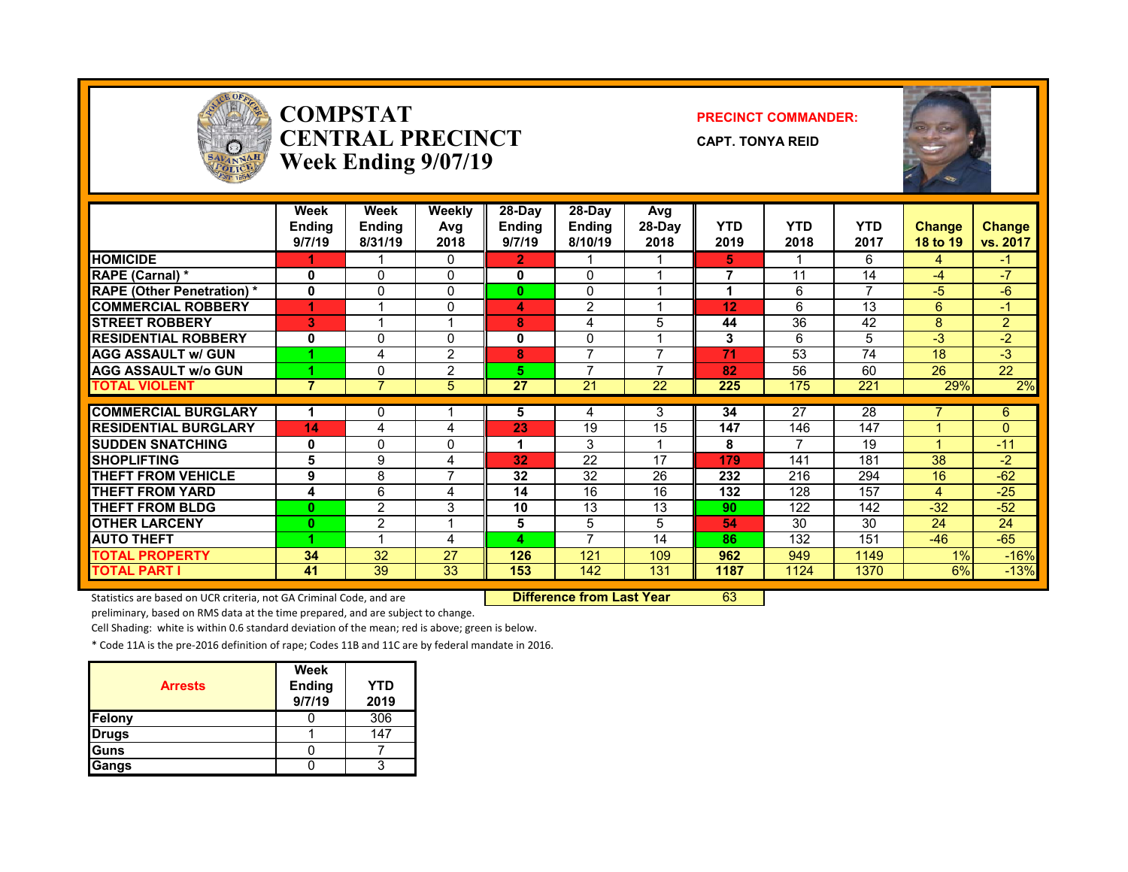

### **COMPSTATCENTRAL PRECINCTWeek Ending 9/07/19**

#### **PRECINCT COMMANDER:**

**CAPT. TONYA REID**



|                                                | Week<br><b>Ending</b><br>9/7/19 | Week<br><b>Endina</b><br>8/31/19 | <b>Weekly</b><br>Avg<br>2018 | $28-Day$<br><b>Ending</b><br>9/7/19 | 28-Dav<br><b>Ending</b><br>8/10/19 | Avg<br>28-Day<br>2018 | <b>YTD</b><br>2019 | <b>YTD</b><br>2018 | <b>YTD</b><br>2017 | <b>Change</b><br>18 to 19 | <b>Change</b><br>vs. 2017 |
|------------------------------------------------|---------------------------------|----------------------------------|------------------------------|-------------------------------------|------------------------------------|-----------------------|--------------------|--------------------|--------------------|---------------------------|---------------------------|
| <b>HOMICIDE</b>                                |                                 |                                  | 0                            | $\overline{2}$                      |                                    |                       | 5.                 |                    | 6                  | $\overline{4}$            | $\blacktriangle$          |
| RAPE (Carnal) *                                | 0                               | $\Omega$                         | $\Omega$                     | 0                                   | $\Omega$                           |                       | 7                  | 11                 | 14                 | $-4$                      | $-7$                      |
| <b>RAPE (Other Penetration) *</b>              | $\mathbf 0$                     | 0                                | $\Omega$                     | $\bf{0}$                            | 0                                  |                       | 1                  | 6                  | $\overline{ }$     | $-5$                      | -6                        |
| <b>COMMERCIAL ROBBERY</b>                      | 4                               |                                  | 0                            | 4                                   | $\overline{2}$                     |                       | 12                 | 6                  | 13                 | 6                         | $-1$                      |
| <b>STREET ROBBERY</b>                          | 3                               |                                  | 1                            | 8                                   | 4                                  | 5                     | 44                 | 36                 | 42                 | 8                         | $\overline{2}$            |
| <b>RESIDENTIAL ROBBERY</b>                     | 0                               | 0                                | 0                            | 0                                   | 0                                  |                       | 3                  | 6                  | 5                  | -3                        | $-2$                      |
| <b>AGG ASSAULT w/ GUN</b>                      |                                 | 4                                | $\overline{2}$               | 8                                   | $\overline{ }$                     | ⇁                     | 71                 | 53                 | 74                 | 18                        | $-3$                      |
| <b>AGG ASSAULT W/o GUN</b>                     |                                 | 0                                | $\overline{2}$               | 5                                   | $\overline{ }$                     |                       | 82                 | 56                 | 60                 | 26                        | 22                        |
| <b>TOTAL VIOLENT</b>                           | $\overline{7}$                  | $\overline{7}$                   | 5                            | 27                                  | 21                                 | 22                    | 225                | 175                | 221                | 29%                       | 2%                        |
| <b>COMMERCIAL BURGLARY</b>                     |                                 | 0                                |                              | 5                                   |                                    | 3                     | 34                 | 27                 | 28                 |                           | 6                         |
| <b>RESIDENTIAL BURGLARY</b>                    | 14                              |                                  |                              | 23                                  | 4<br>19                            | 15                    | 147                | 146                | 147                |                           | 0                         |
|                                                |                                 | 4                                | 4                            |                                     |                                    |                       |                    |                    |                    |                           |                           |
| <b>ISUDDEN SNATCHING</b><br><b>SHOPLIFTING</b> | 0                               | 0                                | 0                            |                                     | 3<br>22                            | 17                    | 8                  |                    | 19                 | 38                        | $-11$                     |
|                                                | 5                               | 9                                | 4<br>$\overline{7}$          | 32                                  |                                    |                       | 179                | 141                | 181                |                           | $-2$                      |
| <b>THEFT FROM VEHICLE</b>                      | 9                               | 8                                |                              | 32                                  | 32                                 | 26                    | 232                | 216                | 294                | 16                        | $-62$                     |
| <b>THEFT FROM YARD</b>                         | 4                               | 6                                | 4                            | 14                                  | 16                                 | 16                    | 132                | 128                | 157                | $\mathbf{A}$              | $-25$                     |
| <b>THEFT FROM BLDG</b>                         | $\bf{0}$                        | 2                                | 3                            | 10                                  | 13                                 | 13                    | 90                 | 122                | 142                | $-32$                     | $-52$                     |
| <b>OTHER LARCENY</b>                           | $\bf{0}$                        | $\overline{2}$                   | 4                            | 5                                   | 5                                  | 5                     | 54                 | 30                 | 30                 | 24                        | 24                        |
| <b>AUTO THEFT</b>                              |                                 | $\overline{\mathbf{A}}$          | 4                            | 4                                   | $\overline{7}$                     | 14                    | 86                 | 132                | 151                | $-46$                     | $-65$                     |
| <b>TOTAL PROPERTY</b>                          | 34                              | 32                               | 27                           | 126                                 | 121                                | 109                   | 962                | 949                | 1149               | 1%                        | $-16%$                    |
| <b>TOTAL PART I</b>                            | 41                              | 39                               | 33                           | 153                                 | 142                                | 131                   | 1187               | 1124               | 1370               | 6%                        | $-13%$                    |

Statistics are based on UCR criteria, not GA Criminal Code, and are **Difference from Last Year** 63

preliminary, based on RMS data at the time prepared, and are subject to change.

Cell Shading: white is within 0.6 standard deviation of the mean; red is above; green is below.

\* Code 11A is the pre‐2016 definition of rape; Codes 11B and 11C are by federal mandate in 2016.

| <b>Arrests</b> | Week<br><b>Ending</b><br>9/7/19 | <b>YTD</b><br>2019 |
|----------------|---------------------------------|--------------------|
| Felony         |                                 | 306                |
| <b>Drugs</b>   |                                 | 147                |
| Guns           |                                 |                    |
| Gangs          |                                 |                    |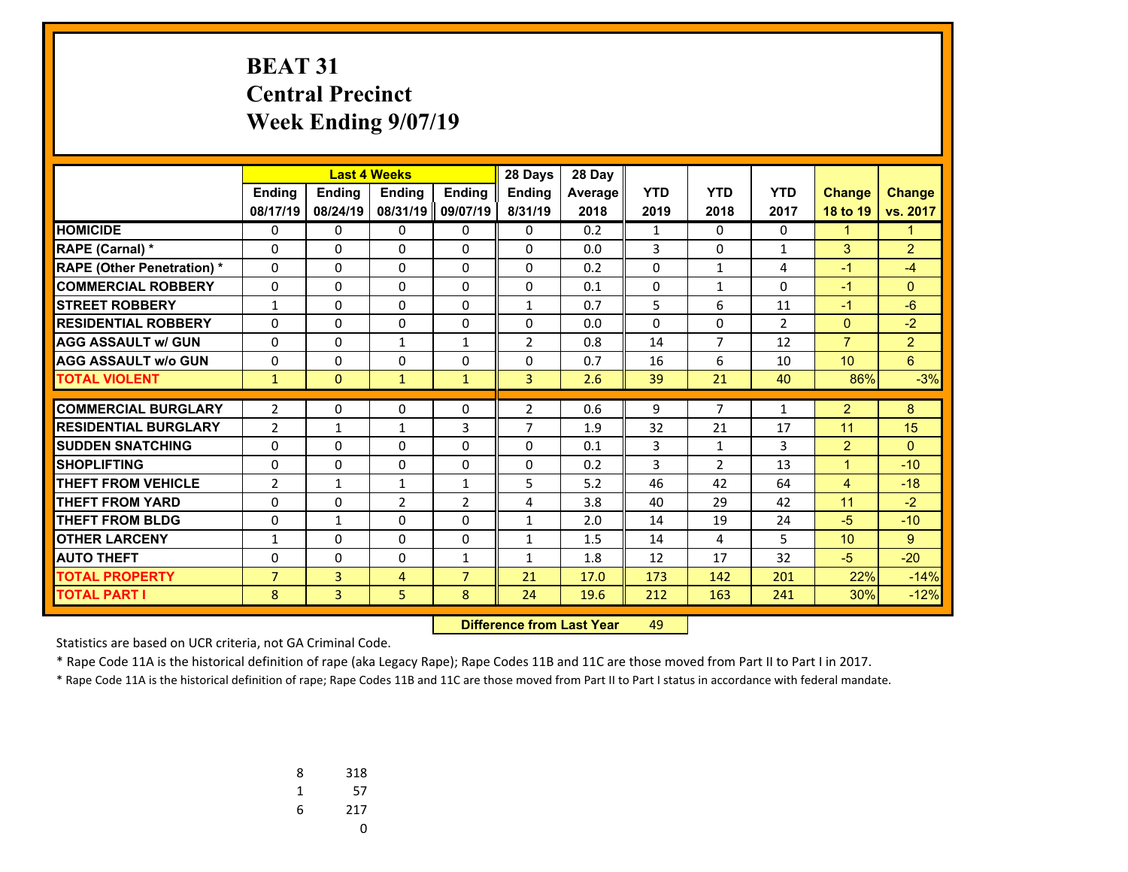# **BEAT 31 Central Precinct Week Ending 9/07/19**

|                                   |                |                |                | <b>Last 4 Weeks</b><br>28 Days |                |         |              |                |                |                 |                |
|-----------------------------------|----------------|----------------|----------------|--------------------------------|----------------|---------|--------------|----------------|----------------|-----------------|----------------|
|                                   | <b>Ending</b>  | <b>Ending</b>  | <b>Endina</b>  | <b>Endina</b>                  | <b>Endina</b>  | Average | <b>YTD</b>   | <b>YTD</b>     | <b>YTD</b>     | <b>Change</b>   | <b>Change</b>  |
|                                   | 08/17/19       | 08/24/19       | 08/31/19       | 09/07/19                       | 8/31/19        | 2018    | 2019         | 2018           | 2017           | 18 to 19        | vs. 2017       |
| <b>HOMICIDE</b>                   | 0              | 0              | 0              | 0                              | 0              | 0.2     | $\mathbf{1}$ | $\Omega$       | $\Omega$       | $\mathbf{1}$    | $\mathbf{1}$   |
| <b>RAPE (Carnal) *</b>            | 0              | 0              | 0              | 0                              | $\Omega$       | 0.0     | 3            | $\Omega$       | $\mathbf{1}$   | 3               | $\overline{2}$ |
| <b>RAPE (Other Penetration) *</b> | 0              | $\Omega$       | 0              | $\Omega$                       | $\Omega$       | 0.2     | $\Omega$     | $\mathbf{1}$   | 4              | $-1$            | $-4$           |
| <b>COMMERCIAL ROBBERY</b>         | 0              | $\Omega$       | 0              | $\Omega$                       | $\Omega$       | 0.1     | $\Omega$     | $\mathbf{1}$   | $\Omega$       | $-1$            | $\Omega$       |
| <b>STREET ROBBERY</b>             | $\mathbf{1}$   | 0              | 0              | 0                              | 1              | 0.7     | 5            | 6              | 11             | $-1$            | $-6$           |
| <b>RESIDENTIAL ROBBERY</b>        | 0              | 0              | $\Omega$       | $\Omega$                       | $\Omega$       | 0.0     | 0            | $\Omega$       | $\overline{2}$ | $\mathbf{0}$    | $-2$           |
| <b>AGG ASSAULT w/ GUN</b>         | 0              | 0              | 1              | $\mathbf{1}$                   | $\overline{2}$ | 0.8     | 14           | $\overline{7}$ | 12             | $\overline{7}$  | $\overline{2}$ |
| <b>AGG ASSAULT w/o GUN</b>        | 0              | 0              | 0              | 0                              | $\Omega$       | 0.7     | 16           | 6              | 10             | 10 <sup>°</sup> | 6              |
| <b>TOTAL VIOLENT</b>              | $\mathbf{1}$   | $\Omega$       | $\mathbf{1}$   | $\mathbf{1}$                   | $\overline{3}$ | 2.6     | 39           | 21             | 40             | 86%             | $-3%$          |
|                                   |                |                |                |                                |                |         |              |                |                |                 |                |
| <b>COMMERCIAL BURGLARY</b>        | $\overline{2}$ | 0              | 0              | 0                              | $\overline{2}$ | 0.6     | 9            | $\overline{7}$ | 1              | $\overline{2}$  | 8              |
| <b>RESIDENTIAL BURGLARY</b>       | $\overline{2}$ | $\mathbf{1}$   | 1              | 3                              | $\overline{7}$ | 1.9     | 32           | 21             | 17             | 11              | 15             |
| <b>SUDDEN SNATCHING</b>           | 0              | 0              | $\Omega$       | 0                              | $\Omega$       | 0.1     | 3            | $\mathbf{1}$   | 3              | $\overline{2}$  | $\Omega$       |
| <b>SHOPLIFTING</b>                | 0              | $\Omega$       | $\Omega$       | $\Omega$                       | $\Omega$       | 0.2     | 3            | $\overline{2}$ | 13             | $\mathbf{1}$    | $-10$          |
| <b>THEFT FROM VEHICLE</b>         | $\overline{2}$ | $\mathbf{1}$   | 1              | $\mathbf{1}$                   | 5              | 5.2     | 46           | 42             | 64             | 4               | $-18$          |
| <b>THEFT FROM YARD</b>            | 0              | 0              | $\overline{2}$ | $\overline{2}$                 | 4              | 3.8     | 40           | 29             | 42             | 11              | $-2$           |
| THEFT FROM BLDG                   | 0              | $\mathbf{1}$   | $\Omega$       | $\Omega$                       | $\mathbf{1}$   | 2.0     | 14           | 19             | 24             | $-5$            | $-10$          |
| <b>OTHER LARCENY</b>              | 1              | 0              | 0              | 0                              | 1              | 1.5     | 14           | 4              | 5              | 10              | 9              |
| <b>AUTO THEFT</b>                 | 0              | 0              | $\Omega$       | $\mathbf{1}$                   | 1              | 1.8     | 12           | 17             | 32             | $-5$            | $-20$          |
| <b>TOTAL PROPERTY</b>             | $\overline{7}$ | $\overline{3}$ | $\overline{4}$ | $\overline{7}$                 | 21             | 17.0    | 173          | 142            | 201            | 22%             | $-14%$         |
| <b>TOTAL PART I</b>               | 8              | 3              | 5              | 8                              | 24             | 19.6    | 212          | 163            | 241            | 30%             | $-12%$         |

 **Difference from Last Yearr** 49

Statistics are based on UCR criteria, not GA Criminal Code.

\* Rape Code 11A is the historical definition of rape (aka Legacy Rape); Rape Codes 11B and 11C are those moved from Part II to Part I in 2017.

| 8 | 318 |
|---|-----|
| 1 | 57  |
| 6 | 217 |
|   | U   |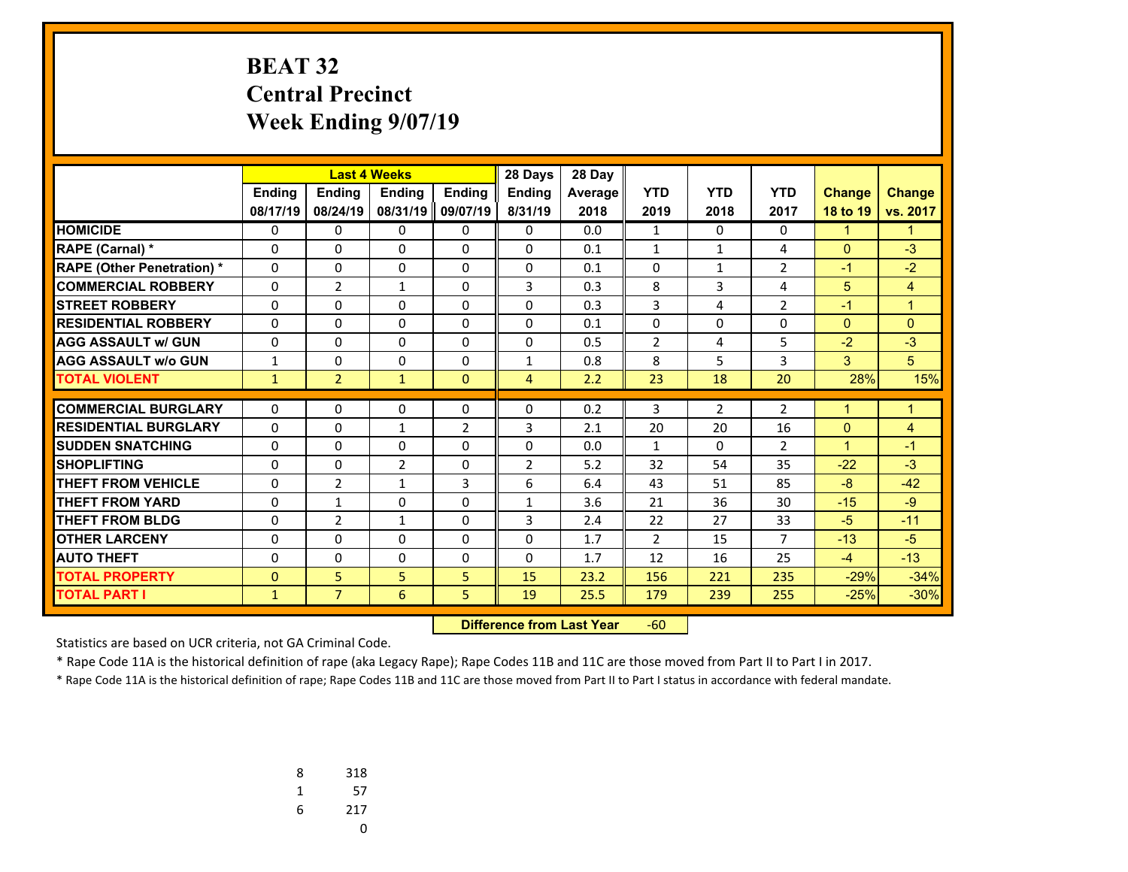# **BEAT 32 Central Precinct Week Ending 9/07/19**

|                                   |               |                |               | <b>Last 4 Weeks</b><br>28 Days |                |         |                |                |                |                |               |
|-----------------------------------|---------------|----------------|---------------|--------------------------------|----------------|---------|----------------|----------------|----------------|----------------|---------------|
|                                   | <b>Ending</b> | <b>Ending</b>  | <b>Endina</b> | <b>Endina</b>                  | <b>Endina</b>  | Average | <b>YTD</b>     | <b>YTD</b>     | <b>YTD</b>     | <b>Change</b>  | <b>Change</b> |
|                                   | 08/17/19      | 08/24/19       | 08/31/19      | 09/07/19                       | 8/31/19        | 2018    | 2019           | 2018           | 2017           | 18 to 19       | vs. 2017      |
| <b>HOMICIDE</b>                   | 0             | 0              | 0             | 0                              | 0              | 0.0     | $\mathbf{1}$   | $\Omega$       | 0              | $\mathbf{1}$   | 1             |
| <b>RAPE (Carnal) *</b>            | 0             | 0              | 0             | 0                              | $\mathbf{0}$   | 0.1     | $\mathbf{1}$   | $\mathbf{1}$   | 4              | $\Omega$       | $-3$          |
| <b>RAPE (Other Penetration) *</b> | 0             | $\Omega$       | $\Omega$      | 0                              | $\Omega$       | 0.1     | 0              | $\mathbf{1}$   | $\overline{2}$ | $-1$           | $-2$          |
| <b>COMMERCIAL ROBBERY</b>         | $\mathbf 0$   | $\overline{2}$ | $\mathbf{1}$  | 0                              | 3              | 0.3     | 8              | 3              | 4              | 5              | 4             |
| <b>STREET ROBBERY</b>             | 0             | 0              | 0             | 0                              | $\Omega$       | 0.3     | 3              | 4              | $\overline{2}$ | $-1$           | $\mathbf{1}$  |
| <b>RESIDENTIAL ROBBERY</b>        | 0             | $\Omega$       | 0             | $\Omega$                       | $\Omega$       | 0.1     | 0              | 0              | 0              | $\Omega$       | $\mathbf{0}$  |
| <b>AGG ASSAULT w/ GUN</b>         | 0             | 0              | 0             | 0                              | $\Omega$       | 0.5     | $\overline{2}$ | 4              | 5              | $-2$           | $-3$          |
| <b>AGG ASSAULT w/o GUN</b>        | $\mathbf{1}$  | 0              | $\Omega$      | 0                              | $\mathbf{1}$   | 0.8     | 8              | 5              | 3              | 3              | 5             |
| <b>TOTAL VIOLENT</b>              | $\mathbf{1}$  | $\overline{2}$ | $\mathbf{1}$  | $\Omega$                       | $\overline{4}$ | 2.2     | 23             | 18             | 20             | 28%            | 15%           |
|                                   |               |                |               |                                |                |         |                |                |                |                |               |
| <b>COMMERCIAL BURGLARY</b>        | 0             | 0              | 0             | 0                              | $\mathbf{0}$   | 0.2     | 3              | $\overline{2}$ | $\overline{2}$ | $\overline{1}$ | $\mathbf{1}$  |
| <b>RESIDENTIAL BURGLARY</b>       | 0             | 0              | $\mathbf{1}$  | $\overline{2}$                 | 3              | 2.1     | 20             | 20             | 16             | $\Omega$       | 4             |
| <b>SUDDEN SNATCHING</b>           | 0             | 0              | $\Omega$      | 0                              | $\Omega$       | 0.0     | $\mathbf{1}$   | $\Omega$       | $\overline{2}$ | $\mathbf{1}$   | $-1$          |
| <b>SHOPLIFTING</b>                | 0             | $\Omega$       | 2             | 0                              | $\overline{2}$ | 5.2     | 32             | 54             | 35             | $-22$          | $-3$          |
| <b>THEFT FROM VEHICLE</b>         | 0             | $\overline{2}$ | $\mathbf{1}$  | 3                              | 6              | 6.4     | 43             | 51             | 85             | $-8$           | $-42$         |
| <b>THEFT FROM YARD</b>            | $\Omega$      | 1              | 0             | 0                              | $\mathbf{1}$   | 3.6     | 21             | 36             | 30             | $-15$          | $-9$          |
| THEFT FROM BLDG                   | $\mathbf 0$   | $\overline{2}$ | $\mathbf{1}$  | $\Omega$                       | 3              | 2.4     | 22             | 27             | 33             | $-5$           | $-11$         |
| <b>OTHER LARCENY</b>              | 0             | 0              | 0             | 0                              | $\Omega$       | 1.7     | $\overline{2}$ | 15             | 7              | $-13$          | $-5$          |
| <b>AUTO THEFT</b>                 | 0             | $\Omega$       | $\Omega$      | $\Omega$                       | $\Omega$       | 1.7     | 12             | 16             | 25             | $-4$           | $-13$         |
| <b>TOTAL PROPERTY</b>             | 0             | 5              | 5             | 5                              | 15             | 23.2    | 156            | 221            | 235            | $-29%$         | $-34%$        |
| <b>TOTAL PART I</b>               | $\mathbf{1}$  | $\overline{7}$ | 6             | 5                              | 19             | 25.5    | 179            | 239            | 255            | $-25%$         | $-30%$        |

 **Difference from Last Year**‐60

Statistics are based on UCR criteria, not GA Criminal Code.

\* Rape Code 11A is the historical definition of rape (aka Legacy Rape); Rape Codes 11B and 11C are those moved from Part II to Part I in 2017.

| 8 | 318 |
|---|-----|
| 1 | 57  |
| 6 | 217 |
|   | U   |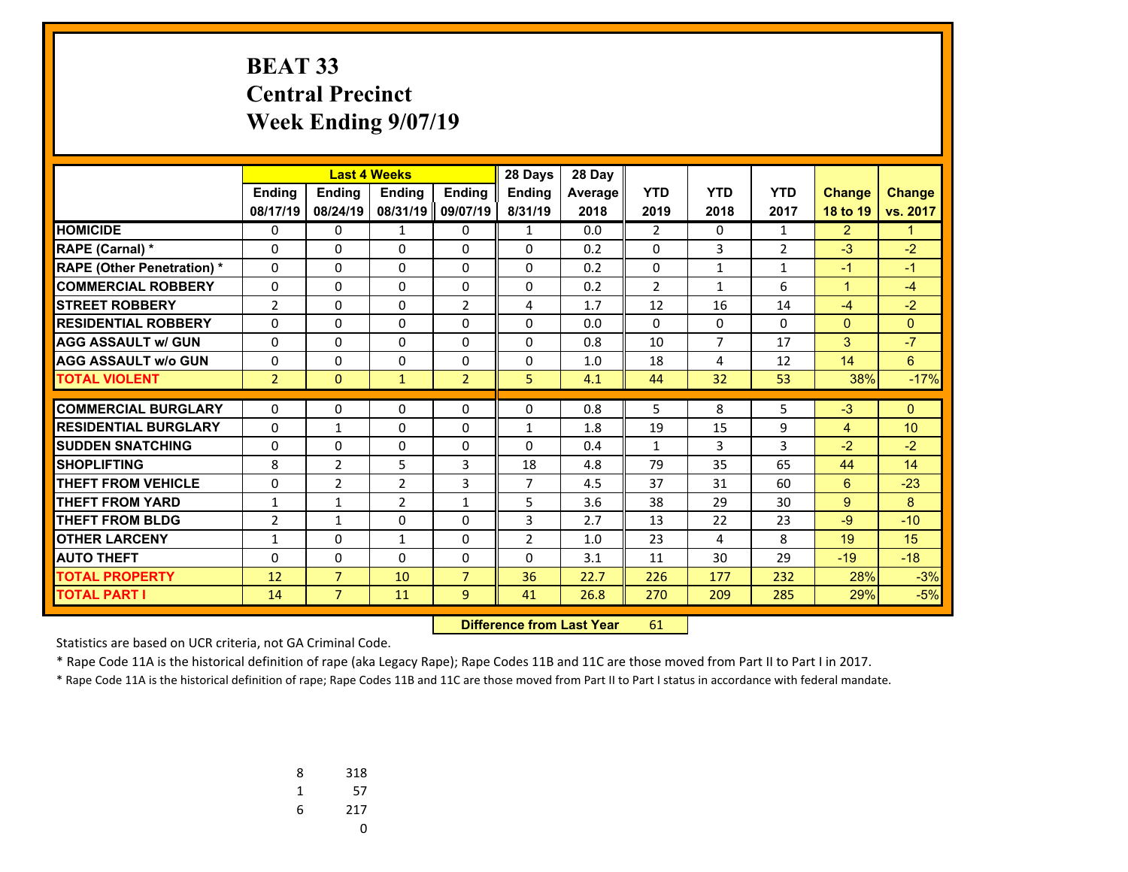# **BEAT 33 Central Precinct Week Ending 9/07/19**

|                                   |                |                | <b>Last 4 Weeks</b> |                | 28 Days        | 28 Day  |                |                |                |                |                 |
|-----------------------------------|----------------|----------------|---------------------|----------------|----------------|---------|----------------|----------------|----------------|----------------|-----------------|
|                                   | <b>Ending</b>  | <b>Ending</b>  | <b>Endina</b>       | <b>Endina</b>  | Ending         | Average | <b>YTD</b>     | <b>YTD</b>     | <b>YTD</b>     | <b>Change</b>  | <b>Change</b>   |
|                                   | 08/17/19       | 08/24/19       | 08/31/19            | 09/07/19       | 8/31/19        | 2018    | 2019           | 2018           | 2017           | 18 to 19       | vs. 2017        |
| <b>HOMICIDE</b>                   | 0              | 0              | $\mathbf{1}$        | 0              | $\mathbf{1}$   | 0.0     | $\overline{2}$ | $\Omega$       | $\mathbf{1}$   | $\overline{2}$ | $\mathbf{1}$    |
| <b>RAPE (Carnal) *</b>            | 0              | 0              | 0                   | 0              | $\Omega$       | 0.2     | 0              | 3              | $\overline{2}$ | $-3$           | $-2$            |
| <b>RAPE (Other Penetration) *</b> | 0              | $\Omega$       | $\Omega$            | $\Omega$       | $\Omega$       | 0.2     | $\Omega$       | $\mathbf{1}$   | $\mathbf{1}$   | $-1$           | $-1$            |
| <b>COMMERCIAL ROBBERY</b>         | 0              | $\Omega$       | $\Omega$            | $\Omega$       | $\Omega$       | 0.2     | $\overline{2}$ | $\mathbf{1}$   | 6              | $\mathbf{1}$   | $-4$            |
| <b>STREET ROBBERY</b>             | $\overline{2}$ | 0              | 0                   | $\overline{2}$ | 4              | 1.7     | 12             | 16             | 14             | $-4$           | $-2$            |
| <b>RESIDENTIAL ROBBERY</b>        | 0              | 0              | $\Omega$            | 0              | $\Omega$       | 0.0     | 0              | $\Omega$       | $\Omega$       | $\mathbf{0}$   | $\Omega$        |
| <b>AGG ASSAULT w/ GUN</b>         | 0              | 0              | 0                   | 0              | $\Omega$       | 0.8     | 10             | $\overline{7}$ | 17             | 3              | $-7$            |
| <b>AGG ASSAULT w/o GUN</b>        | 0              | 0              | 0                   | 0              | $\Omega$       | 1.0     | 18             | 4              | 12             | 14             | 6               |
| <b>TOTAL VIOLENT</b>              | $\overline{2}$ | $\Omega$       | $\mathbf{1}$        | $\overline{2}$ | 5              | 4.1     | 44             | 32             | 53             | 38%            | $-17%$          |
| <b>COMMERCIAL BURGLARY</b>        |                |                |                     |                |                |         |                |                |                | $-3$           |                 |
|                                   | 0              | 0              | 0                   | 0              | $\Omega$       | 0.8     | 5              | 8              | 5              |                | $\Omega$        |
| <b>RESIDENTIAL BURGLARY</b>       | 0              | $\mathbf{1}$   | 0                   | 0              | $\mathbf{1}$   | 1.8     | 19             | 15             | 9              | $\overline{4}$ | 10 <sup>1</sup> |
| <b>SUDDEN SNATCHING</b>           | 0              | 0              | $\Omega$            | 0              | $\Omega$       | 0.4     | $\mathbf{1}$   | $\overline{3}$ | 3              | $-2$           | $-2$            |
| <b>SHOPLIFTING</b>                | 8              | $\overline{2}$ | 5                   | 3              | 18             | 4.8     | 79             | 35             | 65             | 44             | 14              |
| <b>THEFT FROM VEHICLE</b>         | 0              | $\overline{2}$ | $\overline{2}$      | 3              | $\overline{7}$ | 4.5     | 37             | 31             | 60             | $6^{\circ}$    | $-23$           |
| <b>THEFT FROM YARD</b>            | 1              | $\mathbf{1}$   | $\overline{2}$      | $\mathbf{1}$   | 5              | 3.6     | 38             | 29             | 30             | 9              | 8               |
| THEFT FROM BLDG                   | $\overline{2}$ | $\mathbf{1}$   | $\Omega$            | $\Omega$       | 3              | 2.7     | 13             | 22             | 23             | $-9$           | $-10$           |
| <b>OTHER LARCENY</b>              | 1              | 0              | 1                   | 0              | $\overline{2}$ | 1.0     | 23             | 4              | 8              | 19             | 15              |
| <b>AUTO THEFT</b>                 | 0              | 0              | $\Omega$            | 0              | $\Omega$       | 3.1     | 11             | 30             | 29             | $-19$          | $-18$           |
| <b>TOTAL PROPERTY</b>             | 12             | $\overline{7}$ | 10                  | $\overline{7}$ | 36             | 22.7    | 226            | 177            | 232            | 28%            | $-3%$           |
| <b>TOTAL PART I</b>               | 14             | $\overline{7}$ | 11                  | 9              | 41             | 26.8    | 270            | 209            | 285            | 29%            | $-5%$           |

 **Difference from Last Year**r 61

Statistics are based on UCR criteria, not GA Criminal Code.

\* Rape Code 11A is the historical definition of rape (aka Legacy Rape); Rape Codes 11B and 11C are those moved from Part II to Part I in 2017.

| 8 | 318 |
|---|-----|
| 1 | 57  |
| 6 | 217 |
|   | U   |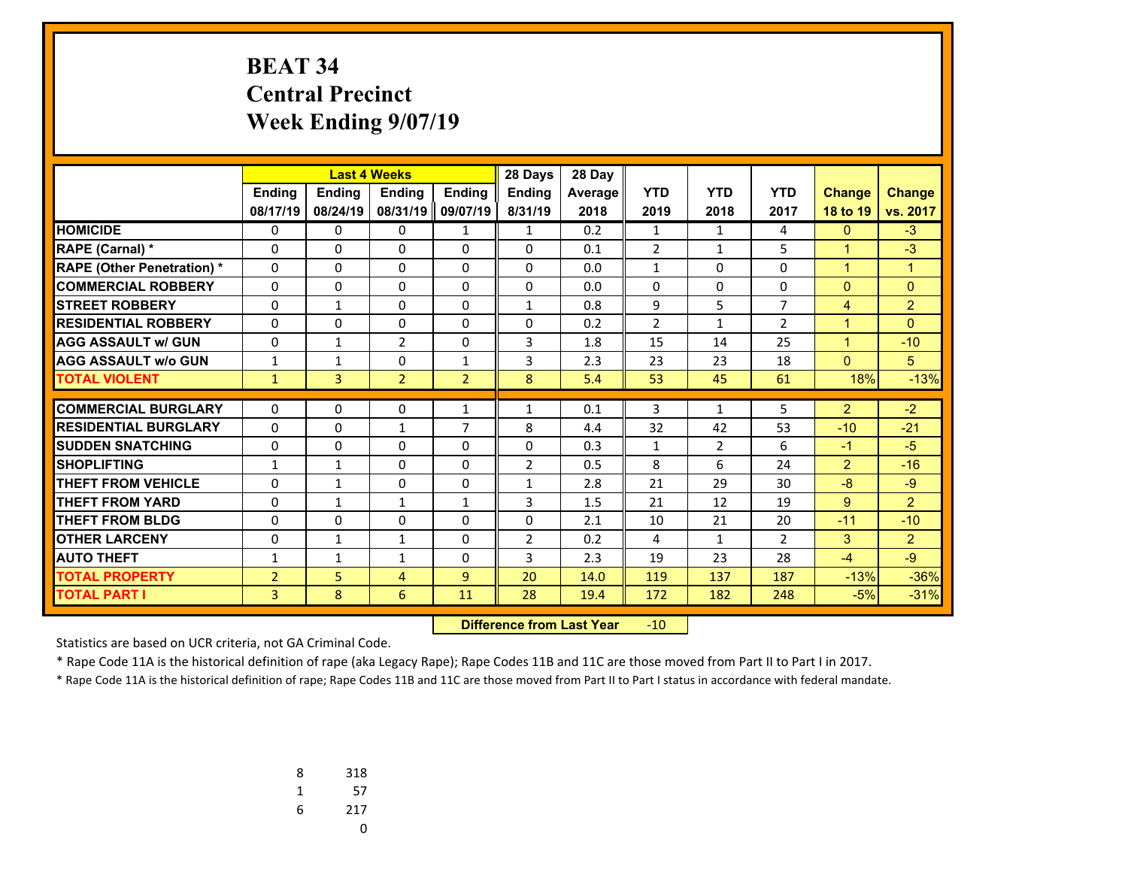# **BEAT 34 Central Precinct Week Ending 9/07/19**

|                                  |                |                | <b>Last 4 Weeks</b> |                | 28 Days        | 28 Day  |                |                |                |                |                |
|----------------------------------|----------------|----------------|---------------------|----------------|----------------|---------|----------------|----------------|----------------|----------------|----------------|
|                                  | <b>Ending</b>  | <b>Ending</b>  | <b>Endina</b>       | <b>Endina</b>  | <b>Endina</b>  | Average | <b>YTD</b>     | <b>YTD</b>     | <b>YTD</b>     | <b>Change</b>  | <b>Change</b>  |
|                                  | 08/17/19       | 08/24/19       | 08/31/19 09/07/19   |                | 8/31/19        | 2018    | 2019           | 2018           | 2017           | 18 to 19       | vs. 2017       |
| <b>HOMICIDE</b>                  | 0              | 0              | 0                   | 1              | $\mathbf{1}$   | 0.2     | $\mathbf{1}$   | $\mathbf{1}$   | 4              | $\mathbf{0}$   | $-3$           |
| <b>RAPE (Carnal) *</b>           | $\Omega$       | $\Omega$       | 0                   | 0              | $\mathbf{0}$   | 0.1     | $\overline{2}$ | $\mathbf{1}$   | 5              | $\mathbf{1}$   | $-3$           |
| <b>RAPE (Other Penetration)*</b> | $\Omega$       | $\Omega$       | $\Omega$            | 0              | $\Omega$       | 0.0     | 1              | $\Omega$       | $\Omega$       | $\mathbf{1}$   | $\mathbf{1}$   |
| <b>COMMERCIAL ROBBERY</b>        | 0              | $\Omega$       | 0                   | 0              | $\Omega$       | 0.0     | $\Omega$       | $\Omega$       | $\Omega$       | $\mathbf{0}$   | $\Omega$       |
| <b>STREET ROBBERY</b>            | $\Omega$       | $\mathbf{1}$   | 0                   | 0              | $\mathbf{1}$   | 0.8     | 9              | 5              | $\overline{7}$ | $\overline{4}$ | $\overline{2}$ |
| <b>RESIDENTIAL ROBBERY</b>       | $\Omega$       | $\Omega$       | 0                   | $\Omega$       | $\Omega$       | 0.2     | $\overline{2}$ | $\mathbf{1}$   | $\overline{2}$ | $\mathbf{1}$   | $\Omega$       |
| <b>AGG ASSAULT w/ GUN</b>        | 0              | $\mathbf{1}$   | $\overline{2}$      | 0              | 3              | 1.8     | 15             | 14             | 25             | $\mathbf{1}$   | $-10$          |
| <b>AGG ASSAULT w/o GUN</b>       | $\mathbf{1}$   | $\mathbf{1}$   | $\Omega$            | $\mathbf{1}$   | 3              | 2.3     | 23             | 23             | 18             | $\mathbf{0}$   | 5              |
| <b>TOTAL VIOLENT</b>             | $\mathbf{1}$   | $\overline{3}$ | $\overline{2}$      | $\overline{2}$ | 8              | 5.4     | 53             | 45             | 61             | 18%            | $-13%$         |
|                                  |                |                |                     |                |                |         |                |                |                |                |                |
| <b>COMMERCIAL BURGLARY</b>       | $\Omega$       | 0              | 0                   | $\mathbf{1}$   | $\mathbf{1}$   | 0.1     | 3              | $\mathbf{1}$   | 5              | $\overline{2}$ | $-2$           |
| <b>RESIDENTIAL BURGLARY</b>      | $\Omega$       | $\Omega$       | $\mathbf{1}$        | $\overline{7}$ | 8              | 4.4     | 32             | 42             | 53             | $-10$          | $-21$          |
| <b>SUDDEN SNATCHING</b>          | $\mathbf 0$    | $\Omega$       | 0                   | 0              | $\Omega$       | 0.3     | 1              | $\overline{2}$ | 6              | $-1$           | $-5$           |
| <b>SHOPLIFTING</b>               | $\mathbf{1}$   | $\mathbf{1}$   | $\Omega$            | $\Omega$       | $\overline{2}$ | 0.5     | 8              | 6              | 24             | $\overline{2}$ | $-16$          |
| <b>THEFT FROM VEHICLE</b>        | 0              | $\mathbf{1}$   | 0                   | 0              | $\mathbf{1}$   | 2.8     | 21             | 29             | 30             | $-8$           | $-9$           |
| <b>THEFT FROM YARD</b>           | $\Omega$       | $\mathbf{1}$   | $\mathbf{1}$        | $\mathbf{1}$   | 3              | 1.5     | 21             | 12             | 19             | 9              | $\overline{2}$ |
| <b>THEFT FROM BLDG</b>           | $\mathbf 0$    | $\Omega$       | $\Omega$            | $\Omega$       | $\Omega$       | 2.1     | 10             | 21             | 20             | $-11$          | $-10$          |
| <b>OTHER LARCENY</b>             | 0              | $\mathbf{1}$   | $\mathbf{1}$        | 0              | $\overline{2}$ | 0.2     | 4              | $\mathbf{1}$   | $\overline{2}$ | 3              | 2              |
| <b>AUTO THEFT</b>                | $\mathbf{1}$   | $\mathbf{1}$   | $\mathbf{1}$        | $\Omega$       | 3              | 2.3     | 19             | 23             | 28             | $-4$           | $-9$           |
| <b>TOTAL PROPERTY</b>            | $\overline{2}$ | 5              | 4                   | 9              | 20             | 14.0    | 119            | 137            | 187            | $-13%$         | $-36%$         |
| <b>TOTAL PART I</b>              | 3              | 8              | 6                   | 11             | 28             | 19.4    | 172            | 182            | 248            | $-5%$          | $-31%$         |

 **Difference from Last Year** $-10$ 

Statistics are based on UCR criteria, not GA Criminal Code.

\* Rape Code 11A is the historical definition of rape (aka Legacy Rape); Rape Codes 11B and 11C are those moved from Part II to Part I in 2017.

| 8 | 318 |
|---|-----|
| 1 | 57  |
| 6 | 217 |
|   | U   |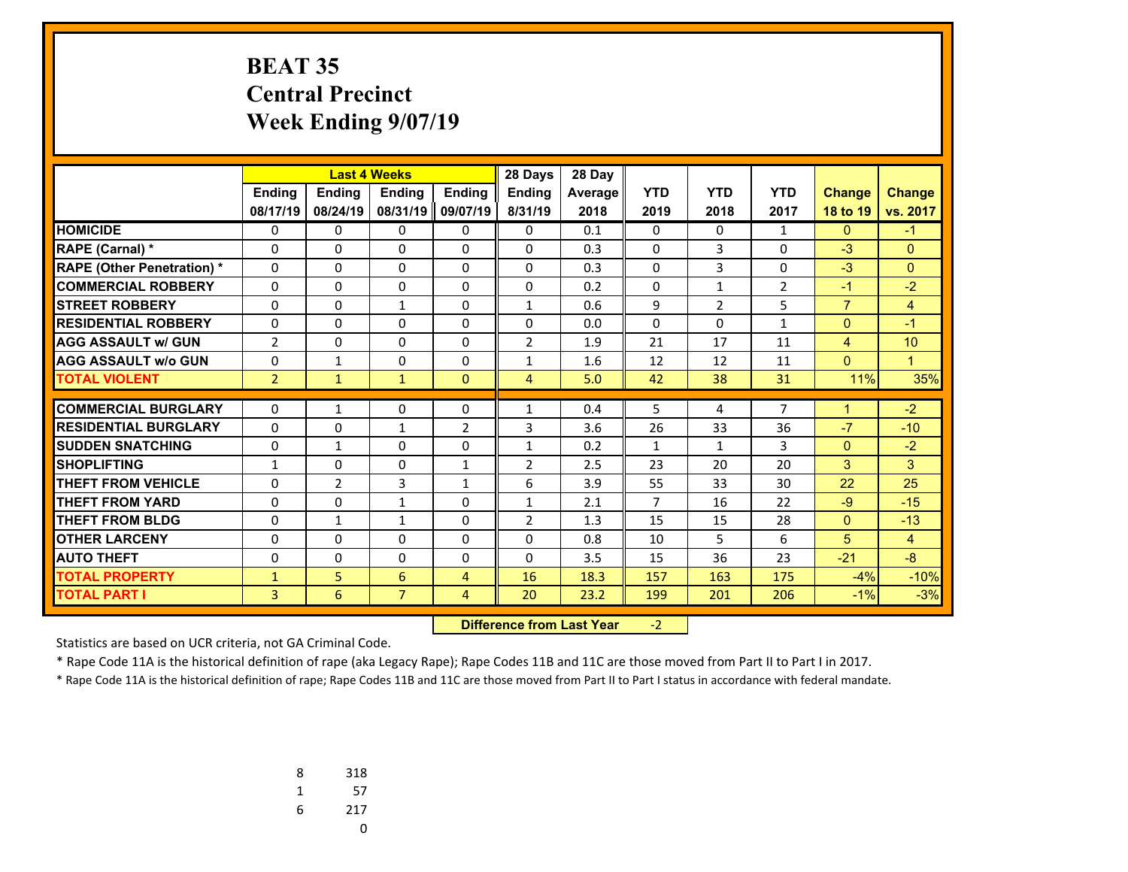# **BEAT 35 Central Precinct Week Ending 9/07/19**

|                                   |                |                | <b>Last 4 Weeks</b> |                | 28 Days        | 28 Day  |                |                |                |                |                 |
|-----------------------------------|----------------|----------------|---------------------|----------------|----------------|---------|----------------|----------------|----------------|----------------|-----------------|
|                                   | <b>Ending</b>  | <b>Ending</b>  | <b>Endina</b>       | <b>Endina</b>  | <b>Endina</b>  | Average | <b>YTD</b>     | <b>YTD</b>     | <b>YTD</b>     | <b>Change</b>  | <b>Change</b>   |
|                                   | 08/17/19       | 08/24/19       | 08/31/19            | 09/07/19       | 8/31/19        | 2018    | 2019           | 2018           | 2017           | 18 to 19       | vs. 2017        |
| <b>HOMICIDE</b>                   | 0              | 0              | 0                   | 0              | 0              | 0.1     | 0              | $\Omega$       | $\mathbf{1}$   | $\mathbf{0}$   | $-1$            |
| <b>RAPE (Carnal) *</b>            | 0              | 0              | 0                   | 0              | $\Omega$       | 0.3     | 0              | 3              | $\Omega$       | $-3$           | $\Omega$        |
| <b>RAPE (Other Penetration) *</b> | 0              | $\Omega$       | $\Omega$            | $\Omega$       | $\Omega$       | 0.3     | $\Omega$       | $\overline{3}$ | $\Omega$       | $-3$           | $\Omega$        |
| <b>COMMERCIAL ROBBERY</b>         | 0              | $\Omega$       | $\Omega$            | $\Omega$       | $\Omega$       | 0.2     | $\Omega$       | $\mathbf{1}$   | $\overline{2}$ | $-1$           | $-2$            |
| <b>STREET ROBBERY</b>             | 0              | 0              | $\mathbf{1}$        | 0              | 1              | 0.6     | 9              | $\overline{2}$ | 5              | $\overline{7}$ | 4               |
| <b>RESIDENTIAL ROBBERY</b>        | 0              | 0              | 0                   | 0              | $\Omega$       | 0.0     | $\Omega$       | $\Omega$       | $\mathbf{1}$   | $\mathbf{0}$   | $-1$            |
| <b>AGG ASSAULT w/ GUN</b>         | $\overline{2}$ | 0              | 0                   | 0              | $\overline{2}$ | 1.9     | 21             | 17             | 11             | $\overline{4}$ | 10 <sup>1</sup> |
| <b>AGG ASSAULT w/o GUN</b>        | 0              | $\mathbf{1}$   | 0                   | 0              | $\mathbf{1}$   | 1.6     | 12             | 12             | 11             | $\mathbf{0}$   | $\mathbf{1}$    |
| <b>TOTAL VIOLENT</b>              | $\overline{2}$ | $\mathbf{1}$   | $\mathbf{1}$        | $\Omega$       | $\overline{4}$ | 5.0     | 42             | 38             | 31             | 11%            | 35%             |
| <b>COMMERCIAL BURGLARY</b>        |                |                |                     |                |                |         |                |                | 7              |                | $-2$            |
|                                   | 0              | $\mathbf{1}$   | 0                   | 0              | 1              | 0.4     | 5              | 4              |                | $\mathbf{1}$   |                 |
| <b>RESIDENTIAL BURGLARY</b>       | 0              | 0              | 1                   | $\overline{2}$ | 3              | 3.6     | 26             | 33             | 36             | $-7$           | $-10$           |
| <b>SUDDEN SNATCHING</b>           | 0              | $\mathbf{1}$   | 0                   | 0              | 1              | 0.2     | $\mathbf{1}$   | $\mathbf{1}$   | 3              | $\mathbf{0}$   | $-2$            |
| <b>SHOPLIFTING</b>                | $\mathbf{1}$   | $\Omega$       | 0                   | $\mathbf{1}$   | $\overline{2}$ | 2.5     | 23             | 20             | 20             | 3              | 3               |
| <b>THEFT FROM VEHICLE</b>         | 0              | $\overline{2}$ | 3                   | $\mathbf{1}$   | 6              | 3.9     | 55             | 33             | 30             | 22             | 25              |
| <b>THEFT FROM YARD</b>            | 0              | 0              | 1                   | 0              | 1              | 2.1     | $\overline{7}$ | 16             | 22             | $-9$           | $-15$           |
| THEFT FROM BLDG                   | 0              | $\mathbf{1}$   | 1                   | $\Omega$       | $\overline{2}$ | 1.3     | 15             | 15             | 28             | $\mathbf{0}$   | $-13$           |
| <b>OTHER LARCENY</b>              | 0              | 0              | 0                   | 0              | $\Omega$       | 0.8     | 10             | 5              | 6              | 5              | 4               |
| <b>AUTO THEFT</b>                 | 0              | $\Omega$       | 0                   | 0              | $\Omega$       | 3.5     | 15             | 36             | 23             | $-21$          | $-8$            |
| <b>TOTAL PROPERTY</b>             | $\mathbf{1}$   | 5              | 6                   | 4              | 16             | 18.3    | 157            | 163            | 175            | $-4%$          | $-10%$          |
| <b>TOTAL PART I</b>               | 3              | 6              | $\overline{7}$      | 4              | 20             | 23.2    | 199            | 201            | 206            | $-1%$          | $-3%$           |

 **Difference from Last Year**r -2

Statistics are based on UCR criteria, not GA Criminal Code.

\* Rape Code 11A is the historical definition of rape (aka Legacy Rape); Rape Codes 11B and 11C are those moved from Part II to Part I in 2017.

| 8 | 318 |
|---|-----|
| 1 | 57  |
| 6 | 217 |
|   | U   |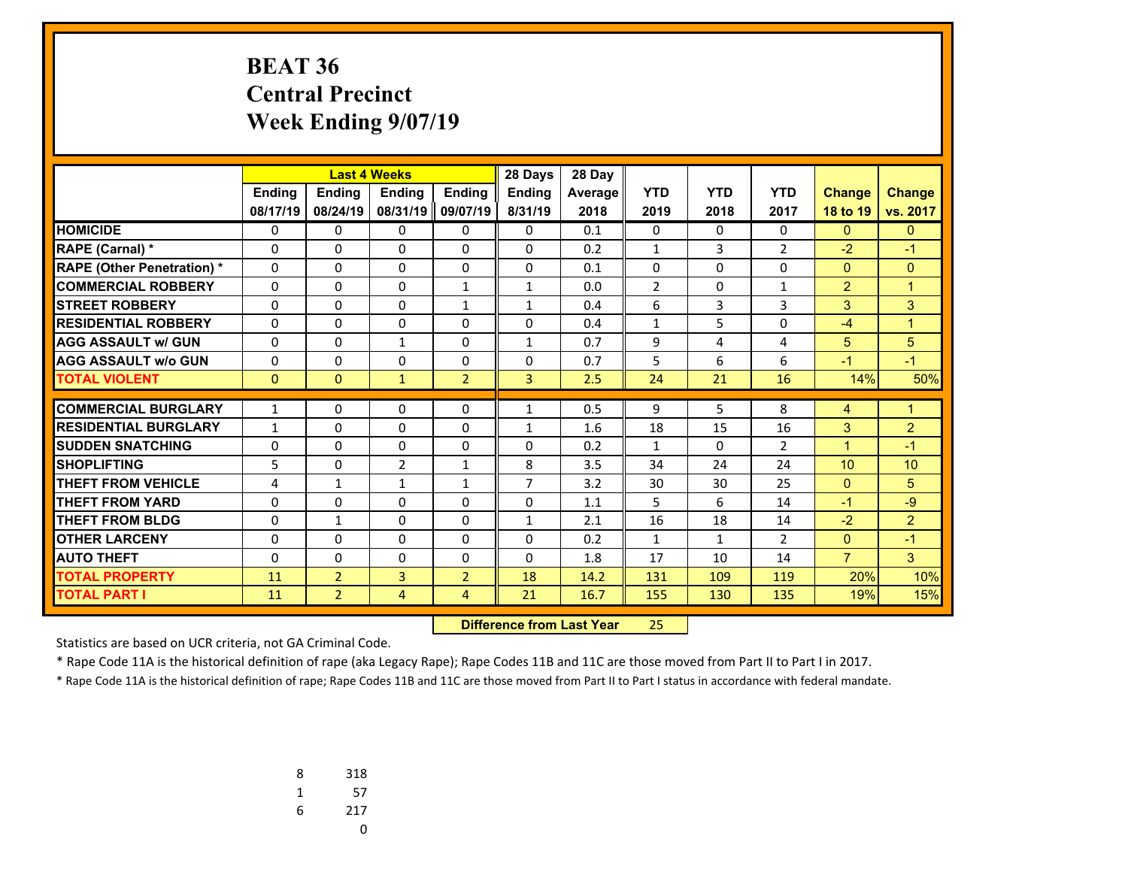# **BEAT 36 Central Precinct Week Ending 9/07/19**

|                                   |               |                | <b>Last 4 Weeks</b> |                | 28 Days        | 28 Day  |                |                |                |                |                |
|-----------------------------------|---------------|----------------|---------------------|----------------|----------------|---------|----------------|----------------|----------------|----------------|----------------|
|                                   | <b>Ending</b> | <b>Ending</b>  | <b>Endina</b>       | <b>Endina</b>  | <b>Endina</b>  | Average | <b>YTD</b>     | <b>YTD</b>     | <b>YTD</b>     | <b>Change</b>  | <b>Change</b>  |
|                                   | 08/17/19      | 08/24/19       | 08/31/19            | 09/07/19       | 8/31/19        | 2018    | 2019           | 2018           | 2017           | 18 to 19       | vs. 2017       |
| <b>HOMICIDE</b>                   | 0             | 0              | 0                   | 0              | $\Omega$       | 0.1     | 0              | $\Omega$       | $\Omega$       | $\mathbf{0}$   | $\mathbf{0}$   |
| <b>RAPE (Carnal) *</b>            | 0             | $\Omega$       | 0                   | $\Omega$       | $\Omega$       | 0.2     | $\mathbf{1}$   | $\overline{3}$ | $\overline{2}$ | $-2$           | $-1$           |
| <b>RAPE (Other Penetration) *</b> | $\Omega$      | 0              | 0                   | $\Omega$       | $\Omega$       | 0.1     | $\Omega$       | $\Omega$       | $\Omega$       | $\mathbf{0}$   | $\Omega$       |
| <b>COMMERCIAL ROBBERY</b>         | 0             | $\Omega$       | 0                   | $\mathbf{1}$   | $\mathbf{1}$   | 0.0     | $\overline{2}$ | $\Omega$       | $\mathbf{1}$   | $\overline{2}$ | $\mathbf{1}$   |
| <b>STREET ROBBERY</b>             | $\Omega$      | $\Omega$       | 0                   | $\mathbf{1}$   | $\mathbf{1}$   | 0.4     | 6              | 3              | 3              | 3              | 3              |
| <b>RESIDENTIAL ROBBERY</b>        | 0             | 0              | 0                   | 0              | $\Omega$       | 0.4     | $\mathbf{1}$   | 5              | $\Omega$       | $-4$           | $\mathbf{1}$   |
| <b>AGG ASSAULT w/ GUN</b>         | $\Omega$      | 0              | $\mathbf{1}$        | 0              | $\mathbf{1}$   | 0.7     | 9              | 4              | 4              | 5              | 5              |
| <b>AGG ASSAULT w/o GUN</b>        | 0             | 0              | 0                   | 0              | $\Omega$       | 0.7     | 5              | 6              | 6              | $-1$           | $-1$           |
| <b>TOTAL VIOLENT</b>              | $\mathbf{0}$  | $\mathbf{0}$   | $\mathbf{1}$        | $\overline{2}$ | $\overline{3}$ | 2.5     | 24             | 21             | 16             | 14%            | 50%            |
| <b>COMMERCIAL BURGLARY</b>        |               | 0              | $\Omega$            |                |                | 0.5     |                | 5              | 8              |                |                |
|                                   | $\mathbf{1}$  |                |                     | 0              | $\mathbf{1}$   |         | 9              |                |                | 4              | $\mathbf 1$    |
| <b>RESIDENTIAL BURGLARY</b>       | $\mathbf{1}$  | $\Omega$       | $\Omega$            | 0              | $\mathbf{1}$   | 1.6     | 18             | 15             | 16             | 3              | $\overline{2}$ |
| <b>SUDDEN SNATCHING</b>           | 0             | 0              | 0                   | $\Omega$       | 0              | 0.2     | $\mathbf{1}$   | $\Omega$       | $\overline{2}$ | $\mathbf{1}$   | $-1$           |
| <b>SHOPLIFTING</b>                | 5             | $\Omega$       | $\overline{2}$      | $\mathbf{1}$   | 8              | 3.5     | 34             | 24             | 24             | 10             | 10             |
| <b>THEFT FROM VEHICLE</b>         | 4             | $\mathbf{1}$   | $\mathbf{1}$        | $\mathbf{1}$   | $\overline{7}$ | 3.2     | 30             | 30             | 25             | $\mathbf{0}$   | 5              |
| <b>THEFT FROM YARD</b>            | 0             | $\Omega$       | $\Omega$            | $\Omega$       | $\Omega$       | 1.1     | 5              | 6              | 14             | $-1$           | $-9$           |
| <b>THEFT FROM BLDG</b>            | 0             | $\mathbf{1}$   | 0                   | 0              | $\mathbf{1}$   | 2.1     | 16             | 18             | 14             | $-2$           | $\overline{2}$ |
| <b>OTHER LARCENY</b>              | 0             | 0              | $\Omega$            | 0              | $\Omega$       | 0.2     | $\mathbf{1}$   | $\mathbf{1}$   | $\overline{2}$ | $\mathbf{0}$   | $-1$           |
| <b>AUTO THEFT</b>                 | 0             | 0              | 0                   | 0              | $\Omega$       | 1.8     | 17             | 10             | 14             | $\overline{7}$ | 3              |
| <b>TOTAL PROPERTY</b>             | 11            | $\overline{2}$ | 3                   | $\overline{2}$ | 18             | 14.2    | 131            | 109            | 119            | 20%            | 10%            |
| <b>TOTAL PART I</b>               | 11            | $\overline{2}$ | $\overline{4}$      | 4              | 21             | 16.7    | 155            | 130            | 135            | 19%            | 15%            |

 **Difference from Last Year**25

Statistics are based on UCR criteria, not GA Criminal Code.

\* Rape Code 11A is the historical definition of rape (aka Legacy Rape); Rape Codes 11B and 11C are those moved from Part II to Part I in 2017.

| 8 | 318 |
|---|-----|
| 1 | 57  |
| 6 | 217 |
|   | U   |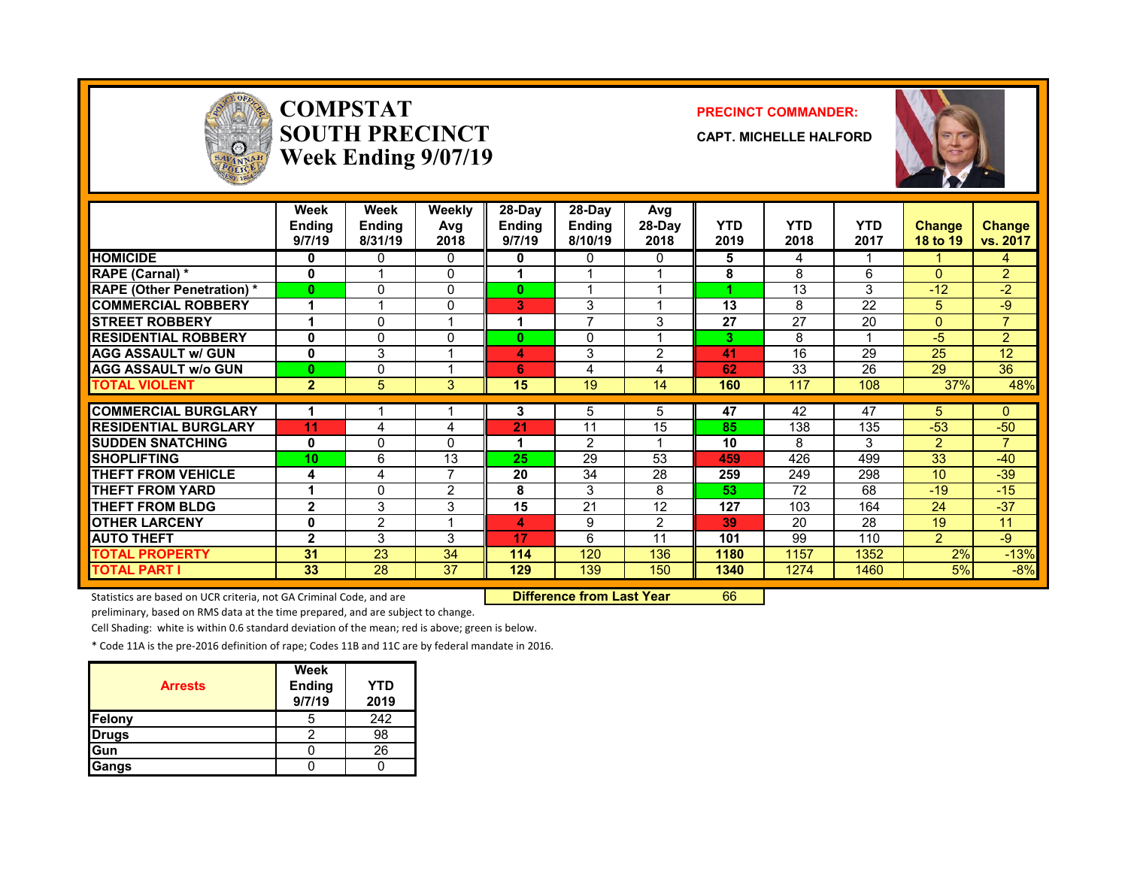

### **COMPSTATSOUTH PRECINCTWeek Ending 9/07/19**

#### **PRECINCT COMMANDER:**

**CAPT. MICHELLE HALFORD**



|                                   | Week<br><b>Ending</b><br>9/7/19 | Week<br><b>Ending</b><br>8/31/19 | Weekly<br>Avg<br>2018 | $28-Dav$<br><b>Ending</b><br>9/7/19 | $28-Dav$<br><b>Ending</b><br>8/10/19 | Avg<br>28-Day<br>2018 | <b>YTD</b><br>2019 | <b>YTD</b><br>2018 | <b>YTD</b><br>2017 | <b>Change</b><br>18 to 19 | <b>Change</b><br>vs. 2017 |
|-----------------------------------|---------------------------------|----------------------------------|-----------------------|-------------------------------------|--------------------------------------|-----------------------|--------------------|--------------------|--------------------|---------------------------|---------------------------|
| <b>HOMICIDE</b>                   | $\bf{0}$                        | 0                                | $\Omega$              | 0                                   | 0                                    | 0                     | 5                  | 4                  |                    |                           | 4                         |
| <b>RAPE (Carnal) *</b>            | $\mathbf{0}$                    |                                  | $\Omega$              |                                     |                                      |                       | 8                  | 8                  | 6                  | $\Omega$                  | $\overline{2}$            |
| <b>RAPE (Other Penetration) *</b> | $\bf{0}$                        | 0                                | $\Omega$              | 0                                   |                                      |                       |                    | 13                 | 3                  | $-12$                     | $-2$                      |
| <b>COMMERCIAL ROBBERY</b>         |                                 |                                  | $\mathbf{0}$          | 3                                   | 3                                    |                       | 13                 | 8                  | 22                 | 5                         | -9                        |
| <b>STREET ROBBERY</b>             |                                 | 0                                |                       | 1                                   | $\overline{ }$                       | 3                     | 27                 | 27                 | 20                 | $\mathbf{0}$              | $\overline{7}$            |
| <b>RESIDENTIAL ROBBERY</b>        | 0                               | 0                                | $\mathbf{0}$          | $\bf{0}$                            | 0                                    |                       | 3                  | 8                  |                    | $-5$                      | $\overline{2}$            |
| <b>AGG ASSAULT w/ GUN</b>         | $\mathbf 0$                     | 3                                |                       | 4                                   | 3                                    | 2                     | 41                 | 16                 | 29                 | 25                        | 12                        |
| <b>AGG ASSAULT w/o GUN</b>        | $\bf{0}$                        | 0                                |                       | 6                                   | 4                                    | 4                     | 62                 | 33                 | 26                 | 29                        | 36                        |
| <b>TOTAL VIOLENT</b>              | $\overline{2}$                  | 5                                | 3                     | 15                                  | 19                                   | 14                    | 160                | 117                | 108                | 37%                       | 48%                       |
| <b>COMMERCIAL BURGLARY</b>        |                                 |                                  |                       | 3                                   | 5                                    | 5.                    | 47                 | 42                 | 47                 | 5.                        | 0                         |
| <b>RESIDENTIAL BURGLARY</b>       | 11                              | 4                                |                       | 21                                  | 11                                   | 15                    | 85                 | 138                | 135                | $-53$                     | $-50$                     |
| <b>SUDDEN SNATCHING</b>           | $\mathbf{0}$                    | 0                                | 4<br>$\Omega$         |                                     | $\mathcal{P}$                        |                       | 10                 | 8                  | 3                  | $\overline{2}$            | 7                         |
| <b>SHOPLIFTING</b>                | 10                              | 6                                | 13                    | 25                                  | 29                                   | 53                    |                    | 426                | 499                | 33                        | $-40$                     |
|                                   |                                 |                                  | $\overline{7}$        |                                     |                                      | 28                    | 459                |                    |                    | 10                        |                           |
| <b>THEFT FROM VEHICLE</b>         | 4                               | 4                                |                       | 20                                  | 34                                   |                       | 259                | 249                | 298                |                           | $-39$                     |
| <b>THEFT FROM YARD</b>            |                                 | 0                                | $\mathcal{P}$         | 8                                   | 3                                    | 8                     | 53                 | 72                 | 68                 | $-19$                     | $-15$                     |
| <b>THEFT FROM BLDG</b>            | $\mathbf{2}$                    | 3                                | 3<br>-1               | 15                                  | 21                                   | 12                    | 127                | 103                | 164                | 24                        | $-37$                     |
| <b>OTHER LARCENY</b>              | $\mathbf{0}$                    | $\overline{2}$                   |                       | 4                                   | 9                                    | $\overline{2}$        | 39                 | 20                 | 28                 | 19                        | 11                        |
| <b>AUTO THEFT</b>                 | $\mathbf{2}$                    | 3                                | 3                     | 17                                  | 6                                    | 11                    | 101                | 99                 | 110                | $\overline{2}$            | -9                        |
| <b>TOTAL PROPERTY</b>             | 31                              | 23                               | 34                    | 114                                 | 120                                  | 136                   | 1180               | 1157               | 1352               | 2%                        | $-13%$                    |
| <b>TOTAL PART I</b>               | 33                              | 28                               | 37                    | 129                                 | 139                                  | 150                   | 1340               | 1274               | 1460               | 5%                        | $-8%$                     |

Statistics are based on UCR criteria, not GA Criminal Code, and are **Difference from Last Year** 66

preliminary, based on RMS data at the time prepared, and are subject to change.

Cell Shading: white is within 0.6 standard deviation of the mean; red is above; green is below.

\* Code 11A is the pre‐2016 definition of rape; Codes 11B and 11C are by federal mandate in 2016.

| <b>Arrests</b> | <b>Week</b><br><b>Ending</b><br>9/7/19 | YTD<br>2019 |
|----------------|----------------------------------------|-------------|
| Felony         |                                        | 242         |
| <b>Drugs</b>   |                                        | 98          |
| Gun            |                                        | 26          |
| Gangs          |                                        |             |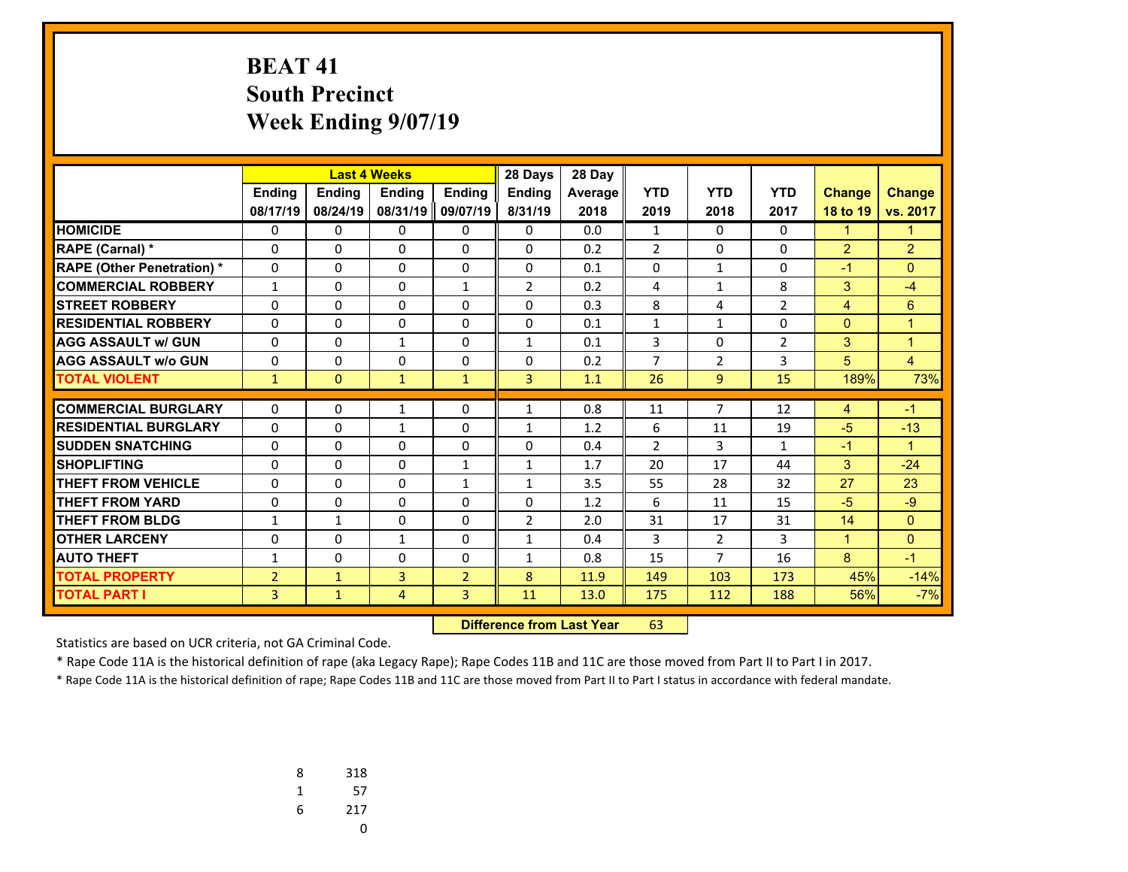# **BEAT 41 South Precinct Week Ending 9/07/19**

|                                   | <b>Last 4 Weeks</b> |               |                | 28 Days        | 28 Day         |                |                |                |                |                |                      |
|-----------------------------------|---------------------|---------------|----------------|----------------|----------------|----------------|----------------|----------------|----------------|----------------|----------------------|
|                                   | <b>Ending</b>       | <b>Ending</b> | <b>Endina</b>  | <b>Endina</b>  | <b>Endina</b>  | <b>Average</b> | <b>YTD</b>     | <b>YTD</b>     | <b>YTD</b>     | <b>Change</b>  | <b>Change</b>        |
|                                   | 08/17/19            | 08/24/19      | 08/31/19       | 09/07/19       | 8/31/19        | 2018           | 2019           | 2018           | 2017           | 18 to 19       | vs. 2017             |
| <b>HOMICIDE</b>                   | 0                   | $\Omega$      | 0              | 0              | $\Omega$       | 0.0            | $\mathbf{1}$   | $\Omega$       | $\Omega$       | 1              | 1                    |
| <b>RAPE (Carnal) *</b>            | 0                   | $\Omega$      | 0              | 0              | $\Omega$       | 0.2            | $\overline{2}$ | $\Omega$       | $\Omega$       | $\overline{2}$ | $\overline{2}$       |
| <b>RAPE (Other Penetration) *</b> | $\Omega$            | $\Omega$      | $\Omega$       | $\Omega$       | $\Omega$       | 0.1            | $\mathbf{0}$   | $\mathbf{1}$   | 0              | $-1$           | $\Omega$             |
| <b>COMMERCIAL ROBBERY</b>         | $\mathbf{1}$        | $\Omega$      | 0              | $\mathbf{1}$   | $\overline{2}$ | 0.2            | 4              | $\mathbf{1}$   | 8              | 3              | $-4$                 |
| <b>STREET ROBBERY</b>             | $\Omega$            | $\Omega$      | $\Omega$       | $\Omega$       | $\Omega$       | 0.3            | 8              | 4              | $\overline{2}$ | $\overline{4}$ | 6                    |
| <b>RESIDENTIAL ROBBERY</b>        | $\Omega$            | $\Omega$      | 0              | 0              | $\Omega$       | 0.1            | $\mathbf{1}$   | $\mathbf{1}$   | 0              | $\Omega$       | 1                    |
| <b>AGG ASSAULT w/ GUN</b>         | $\Omega$            | $\Omega$      | $\mathbf{1}$   | $\Omega$       | $\mathbf{1}$   | 0.1            | 3              | $\Omega$       | $\overline{2}$ | 3              | $\overline{1}$       |
| <b>AGG ASSAULT w/o GUN</b>        | 0                   | 0             | 0              | 0              | $\Omega$       | 0.2            | 7              | $\overline{2}$ | 3              | 5              | $\overline{4}$       |
| <b>TOTAL VIOLENT</b>              | $\mathbf{1}$        | $\mathbf{0}$  | $\mathbf{1}$   | $\mathbf{1}$   | $\overline{3}$ | 1.1            | 26             | 9              | 15             | 189%           | 73%                  |
|                                   |                     |               |                |                |                |                |                |                |                |                |                      |
| <b>COMMERCIAL BURGLARY</b>        | $\Omega$            | $\Omega$      | 1              | $\Omega$       | $\mathbf{1}$   | 0.8            | 11             | 7              | 12             | 4              | $-1$                 |
| <b>RESIDENTIAL BURGLARY</b>       | 0                   | $\Omega$      | 1              | 0              | 1              | 1.2            | 6              | 11             | 19             | $-5$           | $-13$                |
| <b>SUDDEN SNATCHING</b>           | 0                   | 0             | 0              | 0              | 0              | 0.4            | $\overline{2}$ | 3              | $\mathbf{1}$   | $-1$           | $\blacktriangleleft$ |
| <b>SHOPLIFTING</b>                | $\mathbf 0$         | $\Omega$      | $\Omega$       | $\mathbf{1}$   | $\mathbf{1}$   | 1.7            | 20             | 17             | 44             | 3              | $-24$                |
| <b>THEFT FROM VEHICLE</b>         | 0                   | $\Omega$      | 0              | $\mathbf{1}$   | $\mathbf{1}$   | 3.5            | 55             | 28             | 32             | 27             | 23                   |
| <b>THEFT FROM YARD</b>            | 0                   | $\Omega$      | $\Omega$       | 0              | $\Omega$       | 1.2            | 6              | 11             | 15             | $-5$           | $-9$                 |
| <b>THEFT FROM BLDG</b>            | $\mathbf{1}$        | $\mathbf{1}$  | 0              | 0              | $\overline{2}$ | 2.0            | 31             | 17             | 31             | 14             | $\Omega$             |
| <b>OTHER LARCENY</b>              | 0                   | $\Omega$      | $\mathbf{1}$   | 0              | $\mathbf{1}$   | 0.4            | 3              | $\overline{2}$ | 3              | $\mathbf{1}$   | $\Omega$             |
| <b>AUTO THEFT</b>                 | 1                   | $\Omega$      | 0              | 0              | $\mathbf{1}$   | 0.8            | 15             | 7              | 16             | 8              | $-1$                 |
| <b>TOTAL PROPERTY</b>             | $\overline{2}$      | $\mathbf{1}$  | 3              | $\overline{2}$ | $\mathbf{8}$   | 11.9           | 149            | 103            | 173            | 45%            | $-14%$               |
| <b>TOTAL PART I</b>               | 3                   | $\mathbf{1}$  | $\overline{4}$ | 3              | 11             | 13.0           | 175            | 112            | 188            | 56%            | $-7%$                |

 **Difference from Last Year**r 63

Statistics are based on UCR criteria, not GA Criminal Code.

\* Rape Code 11A is the historical definition of rape (aka Legacy Rape); Rape Codes 11B and 11C are those moved from Part II to Part I in 2017.

| 8 | 318 |
|---|-----|
| 1 | 57  |
| 6 | 217 |
|   | U   |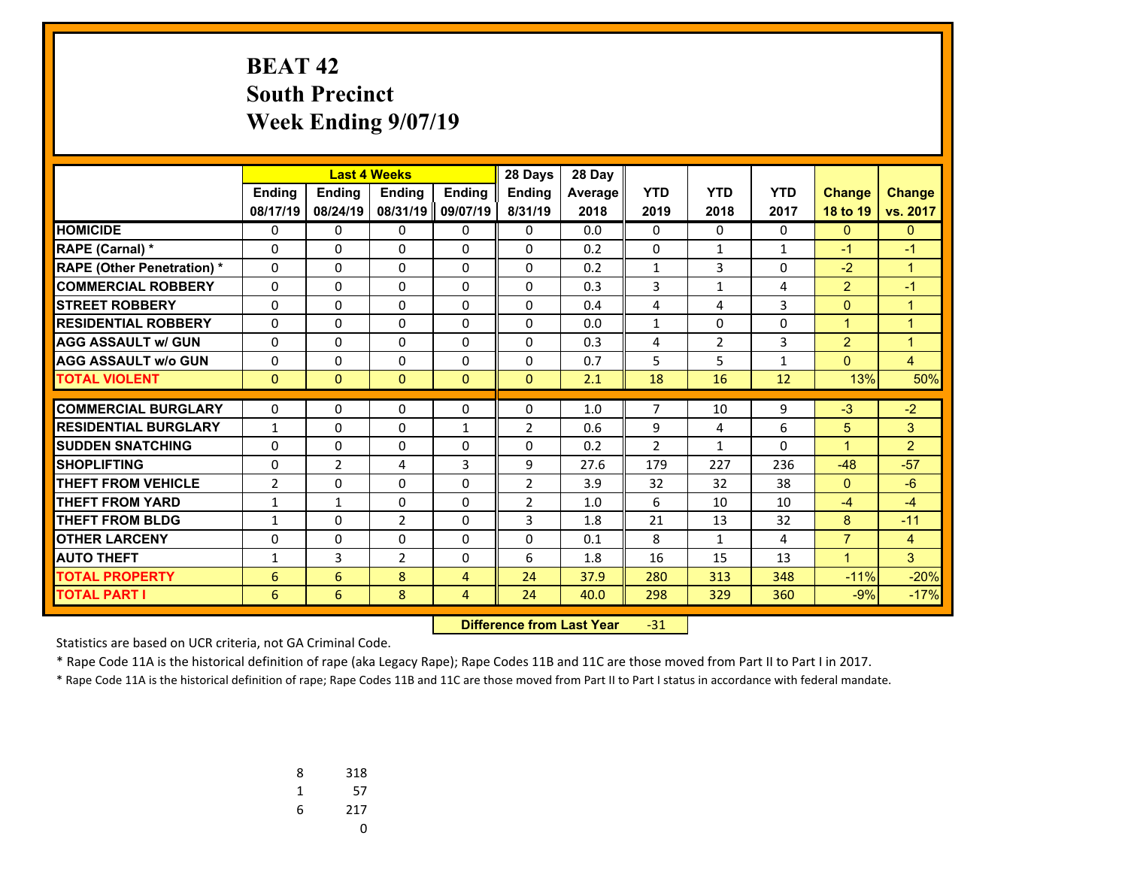# **BEAT 42 South Precinct Week Ending 9/07/19**

|                                   |                |                | <b>Last 4 Weeks</b> |               | 28 Days        | 28 Day         |                |                |              |                      |                |
|-----------------------------------|----------------|----------------|---------------------|---------------|----------------|----------------|----------------|----------------|--------------|----------------------|----------------|
|                                   | <b>Ending</b>  | <b>Ending</b>  | <b>Endina</b>       | <b>Endina</b> | <b>Endina</b>  | <b>Average</b> | <b>YTD</b>     | <b>YTD</b>     | <b>YTD</b>   | <b>Change</b>        | <b>Change</b>  |
|                                   | 08/17/19       | 08/24/19       | 08/31/19            | 09/07/19      | 8/31/19        | 2018           | 2019           | 2018           | 2017         | 18 to 19             | vs. 2017       |
| <b>HOMICIDE</b>                   | 0              | 0              | 0                   | 0             | $\Omega$       | 0.0            | 0              | $\Omega$       | $\Omega$     | $\mathbf{0}$         | $\mathbf{0}$   |
| <b>RAPE (Carnal) *</b>            | 0              | $\Omega$       | 0                   | 0             | $\Omega$       | 0.2            | $\mathbf 0$    | $\mathbf{1}$   | $\mathbf{1}$ | $-1$                 | $-1$           |
| <b>RAPE (Other Penetration) *</b> | $\Omega$       | $\Omega$       | $\Omega$            | $\Omega$      | $\Omega$       | 0.2            | $\mathbf{1}$   | 3              | 0            | $-2$                 | $\overline{1}$ |
| <b>COMMERCIAL ROBBERY</b>         | $\Omega$       | $\Omega$       | 0                   | $\mathbf{0}$  | $\Omega$       | 0.3            | 3              | $\mathbf{1}$   | 4            | 2                    | $-1$           |
| <b>STREET ROBBERY</b>             | $\Omega$       | $\Omega$       | $\Omega$            | $\Omega$      | $\Omega$       | 0.4            | 4              | 4              | 3            | $\Omega$             | $\overline{1}$ |
| <b>RESIDENTIAL ROBBERY</b>        | $\Omega$       | $\Omega$       | 0                   | 0             | $\Omega$       | 0.0            | $\mathbf{1}$   | $\Omega$       | $\Omega$     | $\mathbf{1}$         | 1              |
| <b>AGG ASSAULT w/ GUN</b>         | $\Omega$       | $\Omega$       | $\Omega$            | $\Omega$      | $\Omega$       | 0.3            | 4              | $\overline{2}$ | 3            | $\overline{2}$       | $\overline{1}$ |
| <b>AGG ASSAULT w/o GUN</b>        | 0              | 0              | 0                   | 0             | $\Omega$       | 0.7            | 5              | 5              | $\mathbf{1}$ | $\Omega$             | $\overline{4}$ |
| <b>TOTAL VIOLENT</b>              | $\mathbf{0}$   | $\mathbf{0}$   | $\mathbf{0}$        | $\mathbf{0}$  | $\mathbf{0}$   | 2.1            | 18             | 16             | 12           | 13%                  | 50%            |
|                                   |                |                |                     |               |                |                |                |                |              |                      |                |
| <b>COMMERCIAL BURGLARY</b>        | $\Omega$       | $\Omega$       | $\Omega$            | $\Omega$      | $\Omega$       | 1.0            | 7              | 10             | 9            | $-3$                 | $-2$           |
| <b>RESIDENTIAL BURGLARY</b>       | $\mathbf{1}$   | $\Omega$       | $\Omega$            | $\mathbf{1}$  | $\overline{2}$ | 0.6            | 9              | 4              | 6            | 5                    | 3              |
| <b>SUDDEN SNATCHING</b>           | 0              | 0              | 0                   | 0             | 0              | 0.2            | $\overline{2}$ | $\mathbf{1}$   | 0            | $\blacktriangleleft$ | $\overline{2}$ |
| <b>SHOPLIFTING</b>                | $\mathbf 0$    | $\overline{2}$ | 4                   | 3             | 9              | 27.6           | 179            | 227            | 236          | $-48$                | $-57$          |
| <b>THEFT FROM VEHICLE</b>         | $\overline{2}$ | $\Omega$       | 0                   | 0             | $\overline{2}$ | 3.9            | 32             | 32             | 38           | $\Omega$             | $-6$           |
| <b>THEFT FROM YARD</b>            | 1              | $\mathbf{1}$   | $\Omega$            | $\Omega$      | $\overline{2}$ | 1.0            | 6              | 10             | 10           | $-4$                 | $-4$           |
| <b>THEFT FROM BLDG</b>            | 1              | $\Omega$       | 2                   | 0             | 3              | 1.8            | 21             | 13             | 32           | 8                    | $-11$          |
| <b>OTHER LARCENY</b>              | $\mathbf 0$    | $\Omega$       | 0                   | 0             | $\Omega$       | 0.1            | 8              | $\mathbf{1}$   | 4            | $\overline{7}$       | $\overline{4}$ |
| <b>AUTO THEFT</b>                 | 1              | 3              | 2                   | 0             | 6              | 1.8            | 16             | 15             | 13           | $\blacktriangleleft$ | 3              |
| <b>TOTAL PROPERTY</b>             | 6              | 6              | 8                   | 4             | 24             | 37.9           | 280            | 313            | 348          | $-11%$               | $-20%$         |
| <b>TOTAL PART I</b>               | 6              | 6              | 8                   | 4             | 24             | 40.0           | 298            | 329            | 360          | $-9%$                | $-17%$         |

 **Difference from Last Year**‐31

Statistics are based on UCR criteria, not GA Criminal Code.

\* Rape Code 11A is the historical definition of rape (aka Legacy Rape); Rape Codes 11B and 11C are those moved from Part II to Part I in 2017.

| 8 | 318 |
|---|-----|
| 1 | 57  |
| 6 | 217 |
|   |     |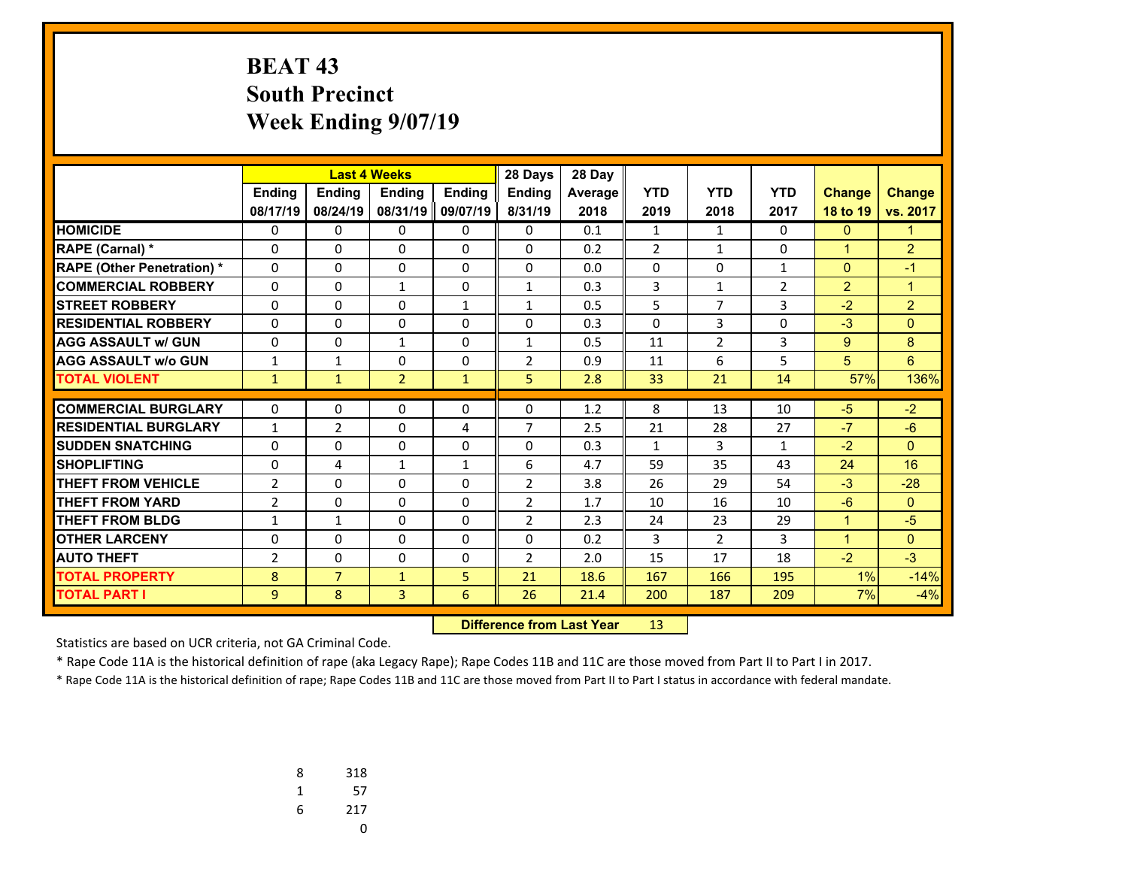# **BEAT 43 South Precinct Week Ending 9/07/19**

|                                   |                |                | <b>Last 4 Weeks</b> |               | 28 Days        | 28 Day         |                |                |                |                |                |
|-----------------------------------|----------------|----------------|---------------------|---------------|----------------|----------------|----------------|----------------|----------------|----------------|----------------|
|                                   | <b>Endina</b>  | <b>Endina</b>  | <b>Endina</b>       | <b>Endina</b> | <b>Endina</b>  | <b>Average</b> | <b>YTD</b>     | <b>YTD</b>     | <b>YTD</b>     | <b>Change</b>  | <b>Change</b>  |
|                                   | 08/17/19       | 08/24/19       | 08/31/19            | 09/07/19      | 8/31/19        | 2018           | 2019           | 2018           | 2017           | 18 to 19       | vs. 2017       |
| <b>HOMICIDE</b>                   | 0              | 0              | 0                   | 0             | 0              | 0.1            | $\mathbf{1}$   | $\mathbf{1}$   | 0              | $\mathbf{0}$   | 1              |
| <b>RAPE (Carnal) *</b>            | $\Omega$       | $\Omega$       | 0                   | $\mathbf{0}$  | $\Omega$       | 0.2            | $\overline{2}$ | $\mathbf{1}$   | $\Omega$       | $\mathbf{1}$   | $\overline{2}$ |
| <b>RAPE (Other Penetration) *</b> | 0              | $\Omega$       | $\Omega$            | 0             | $\Omega$       | 0.0            | $\mathbf 0$    | $\Omega$       | $\mathbf{1}$   | $\Omega$       | $-1$           |
| <b>COMMERCIAL ROBBERY</b>         | $\Omega$       | $\Omega$       | $\mathbf{1}$        | $\Omega$      | $\mathbf{1}$   | 0.3            | 3              | $\mathbf{1}$   | $\overline{2}$ | $\overline{2}$ | $\overline{1}$ |
| <b>STREET ROBBERY</b>             | $\Omega$       | $\Omega$       | 0                   | $\mathbf{1}$  | $\mathbf{1}$   | 0.5            | 5              | $\overline{7}$ | 3              | $-2$           | $\overline{2}$ |
| <b>RESIDENTIAL ROBBERY</b>        | $\Omega$       | $\Omega$       | 0                   | $\Omega$      | $\Omega$       | 0.3            | $\mathbf{0}$   | 3              | 0              | $-3$           | $\Omega$       |
| <b>AGG ASSAULT w/ GUN</b>         | $\Omega$       | $\Omega$       | $\mathbf{1}$        | 0             | $\mathbf{1}$   | 0.5            | 11             | $\overline{2}$ | 3              | 9              | 8              |
| <b>AGG ASSAULT w/o GUN</b>        | 1              | $\mathbf{1}$   | 0                   | $\mathbf 0$   | $\overline{2}$ | 0.9            | 11             | 6              | 5              | 5              | 6              |
| <b>TOTAL VIOLENT</b>              | $\mathbf{1}$   | $\mathbf{1}$   | $\overline{2}$      | $\mathbf{1}$  | 5              | 2.8            | 33             | 21             | 14             | 57%            | 136%           |
| <b>COMMERCIAL BURGLARY</b>        |                | 0              |                     |               |                |                |                |                | 10             | $-5$           |                |
|                                   | $\Omega$       |                | 0                   | 0             | 0              | 1.2            | 8              | 13             |                |                | $-2$           |
| <b>RESIDENTIAL BURGLARY</b>       | $\mathbf{1}$   | $\overline{2}$ | 0                   | 4             | $\overline{7}$ | 2.5            | 21             | 28             | 27             | $-7$           | $-6$           |
| <b>SUDDEN SNATCHING</b>           | $\Omega$       | 0              | $\Omega$            | $\Omega$      | $\Omega$       | 0.3            | $\mathbf{1}$   | 3              | $\mathbf{1}$   | $-2$           | $\Omega$       |
| <b>SHOPLIFTING</b>                | 0              | 4              | $\mathbf{1}$        | $\mathbf{1}$  | 6              | 4.7            | 59             | 35             | 43             | 24             | 16             |
| <b>THEFT FROM VEHICLE</b>         | $\overline{2}$ | 0              | 0                   | 0             | $\overline{2}$ | 3.8            | 26             | 29             | 54             | $-3$           | $-28$          |
| <b>THEFT FROM YARD</b>            | $\overline{2}$ | $\mathbf{0}$   | $\Omega$            | $\Omega$      | $\overline{2}$ | 1.7            | 10             | 16             | 10             | $-6$           | $\Omega$       |
| <b>THEFT FROM BLDG</b>            | 1              | 1              | 0                   | 0             | $\overline{2}$ | 2.3            | 24             | 23             | 29             | $\mathbf{1}$   | $-5$           |
| <b>OTHER LARCENY</b>              | 0              | $\Omega$       | $\Omega$            | $\Omega$      | $\Omega$       | 0.2            | 3              | $\overline{2}$ | 3              | $\mathbf{1}$   | $\mathbf{0}$   |
| <b>AUTO THEFT</b>                 | $\overline{2}$ | $\Omega$       | 0                   | 0             | $\overline{2}$ | 2.0            | 15             | 17             | 18             | $-2$           | $-3$           |
| <b>TOTAL PROPERTY</b>             | 8              | $\overline{7}$ | $\mathbf{1}$        | 5             | 21             | 18.6           | 167            | 166            | 195            | 1%             | $-14%$         |
| <b>TOTAL PART I</b>               | 9              | 8              | 3                   | 6             | 26             | 21.4           | 200            | 187            | 209            | 7%             | $-4%$          |

 **Difference from Last Year**r 13

Statistics are based on UCR criteria, not GA Criminal Code.

\* Rape Code 11A is the historical definition of rape (aka Legacy Rape); Rape Codes 11B and 11C are those moved from Part II to Part I in 2017.

| 8 | 318 |
|---|-----|
| 1 | 57  |
| 6 | 217 |
|   | υ   |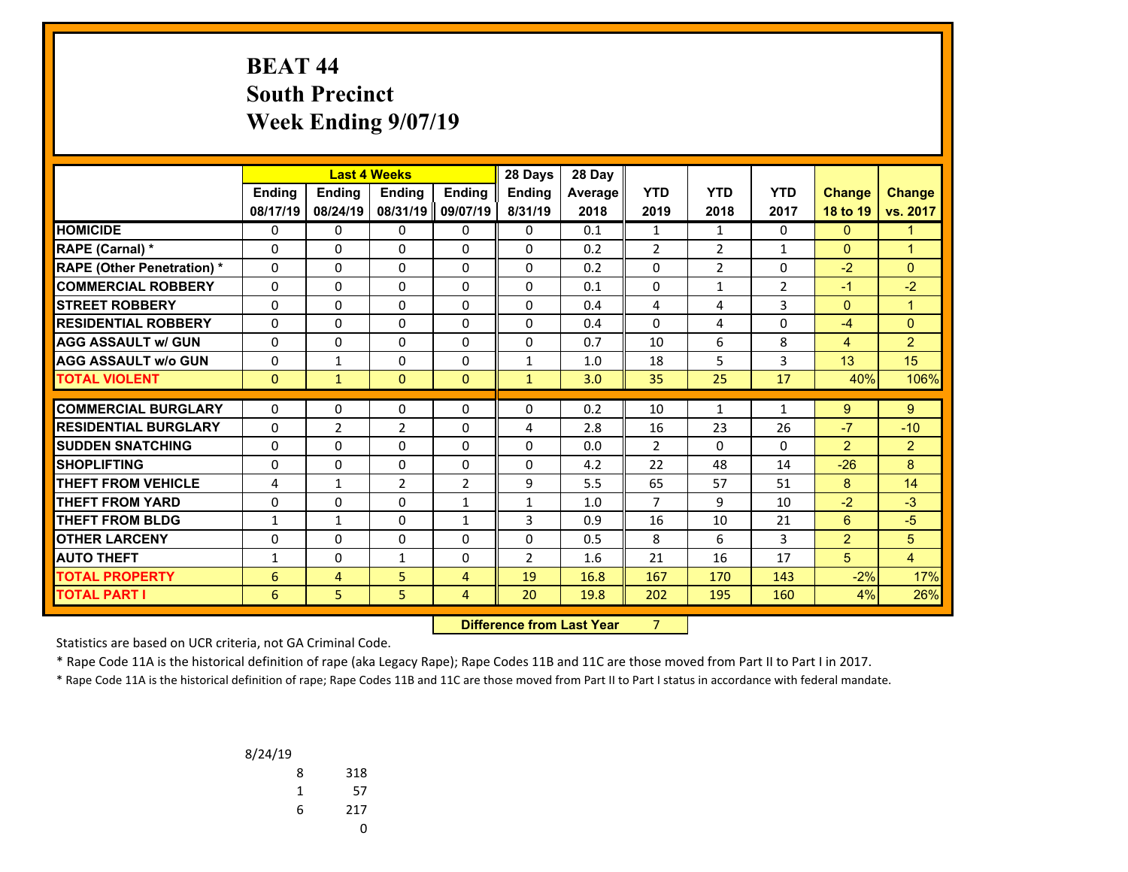### **BEAT 44 South Precinct Week Ending 9/07/19**

|                                  |               |                | <b>Last 4 Weeks</b> |                | 28 Days                          | 28 Day  |                |                |                |                |                |
|----------------------------------|---------------|----------------|---------------------|----------------|----------------------------------|---------|----------------|----------------|----------------|----------------|----------------|
|                                  | <b>Ending</b> | Ending         | <b>Ending</b>       | <b>Endina</b>  | Ending                           | Average | <b>YTD</b>     | <b>YTD</b>     | <b>YTD</b>     | <b>Change</b>  | <b>Change</b>  |
|                                  | 08/17/19      | 08/24/19       | 08/31/19            | 09/07/19       | 8/31/19                          | 2018    | 2019           | 2018           | 2017           | 18 to 19       | vs. 2017       |
| <b>HOMICIDE</b>                  | 0             | 0              | 0                   | 0              | $\mathbf{0}$                     | 0.1     | $\mathbf{1}$   | $\mathbf{1}$   | $\Omega$       | $\mathbf{0}$   | $\mathbf{1}$   |
| <b>RAPE (Carnal) *</b>           | 0             | $\Omega$       | $\Omega$            | $\Omega$       | $\Omega$                         | 0.2     | $\overline{2}$ | $\overline{2}$ | $\mathbf{1}$   | $\mathbf{0}$   | $\mathbf{1}$   |
| <b>RAPE (Other Penetration)*</b> | 0             | 0              | $\Omega$            | $\Omega$       | $\Omega$                         | 0.2     | $\Omega$       | $\overline{2}$ | $\Omega$       | $-2$           | $\mathbf{0}$   |
| <b>COMMERCIAL ROBBERY</b>        | 0             | 0              | 0                   | 0              | 0                                | 0.1     | 0              | 1              | $\overline{2}$ | $-1$           | $-2$           |
| <b>STREET ROBBERY</b>            | 0             | 0              | 0                   | 0              | $\Omega$                         | 0.4     | 4              | 4              | 3              | $\mathbf{0}$   | $\mathbf{1}$   |
| <b>RESIDENTIAL ROBBERY</b>       | $\Omega$      | 0              | 0                   | $\Omega$       | $\Omega$                         | 0.4     | $\Omega$       | 4              | $\Omega$       | $-4$           | $\overline{0}$ |
| <b>AGG ASSAULT w/ GUN</b>        | 0             | 0              | 0                   | 0              | $\Omega$                         | 0.7     | 10             | 6              | 8              | $\overline{4}$ | $\overline{2}$ |
| <b>AGG ASSAULT w/o GUN</b>       | 0             | $\mathbf{1}$   | 0                   | 0              | $\mathbf{1}$                     | 1.0     | 18             | 5              | 3              | 13             | 15             |
| <b>TOTAL VIOLENT</b>             | $\mathbf{0}$  | $\mathbf{1}$   | $\mathbf{0}$        | $\Omega$       | $\mathbf{1}$                     | 3.0     | 35             | 25             | 17             | 40%            | 106%           |
| <b>COMMERCIAL BURGLARY</b>       | $\mathbf{0}$  | 0              | 0                   | 0              | $\Omega$                         | 0.2     | 10             | 1              | 1              | $9^{\circ}$    | 9              |
| <b>RESIDENTIAL BURGLARY</b>      | $\Omega$      | $\overline{2}$ | $\overline{2}$      | $\Omega$       | 4                                | 2.8     | 16             | 23             | 26             | $-7$           | $-10$          |
| <b>SUDDEN SNATCHING</b>          | $\Omega$      | $\Omega$       | $\Omega$            | $\Omega$       | $\Omega$                         | 0.0     | $\overline{2}$ | $\Omega$       | $\Omega$       | $\overline{2}$ | $\overline{2}$ |
| <b>SHOPLIFTING</b>               | 0             | $\Omega$       | 0                   | $\Omega$       | $\Omega$                         | 4.2     | 22             | 48             | 14             | $-26$          | 8              |
| <b>THEFT FROM VEHICLE</b>        | 4             | $\mathbf{1}$   | $\overline{2}$      | 2              | 9                                | 5.5     | 65             | 57             | 51             | 8              | 14             |
| <b>THEFT FROM YARD</b>           | 0             | $\Omega$       | $\Omega$            | $\mathbf{1}$   | $\mathbf{1}$                     | 1.0     | $\overline{7}$ | 9              | 10             | $-2$           | $-3$           |
| <b>THEFT FROM BLDG</b>           | 1             | $\mathbf{1}$   | $\Omega$            | $\mathbf{1}$   | 3                                | 0.9     | 16             | 10             | 21             | $6^{\circ}$    | $-5$           |
| <b>OTHER LARCENY</b>             | 0             | 0              | 0                   | 0              | 0                                | 0.5     | 8              | 6              | 3              | $\overline{2}$ | 5              |
| <b>AUTO THEFT</b>                | 1             | 0              | $\mathbf{1}$        | 0              | $\overline{2}$                   | 1.6     | 21             | 16             | 17             | 5 <sup>5</sup> | $\overline{4}$ |
| <b>TOTAL PROPERTY</b>            | 6             | 4              | 5                   | $\overline{4}$ | 19                               | 16.8    | 167            | 170            | 143            | $-2%$          | 17%            |
| <b>TOTAL PART I</b>              | 6             | 5              | 5                   | 4              | 20                               | 19.8    | 202            | 195            | 160            | 4%             | 26%            |
|                                  |               |                |                     |                | <b>Difference from Last Year</b> |         | $\overline{7}$ |                |                |                |                |

 **Difference from Last Year**

Statistics are based on UCR criteria, not GA Criminal Code.

\* Rape Code 11A is the historical definition of rape (aka Legacy Rape); Rape Codes 11B and 11C are those moved from Part II to Part I in 2017.

| 8/24/19 |     |
|---------|-----|
| 8       | 318 |
| 1       | 57  |
| 6       | 217 |
|         | 0   |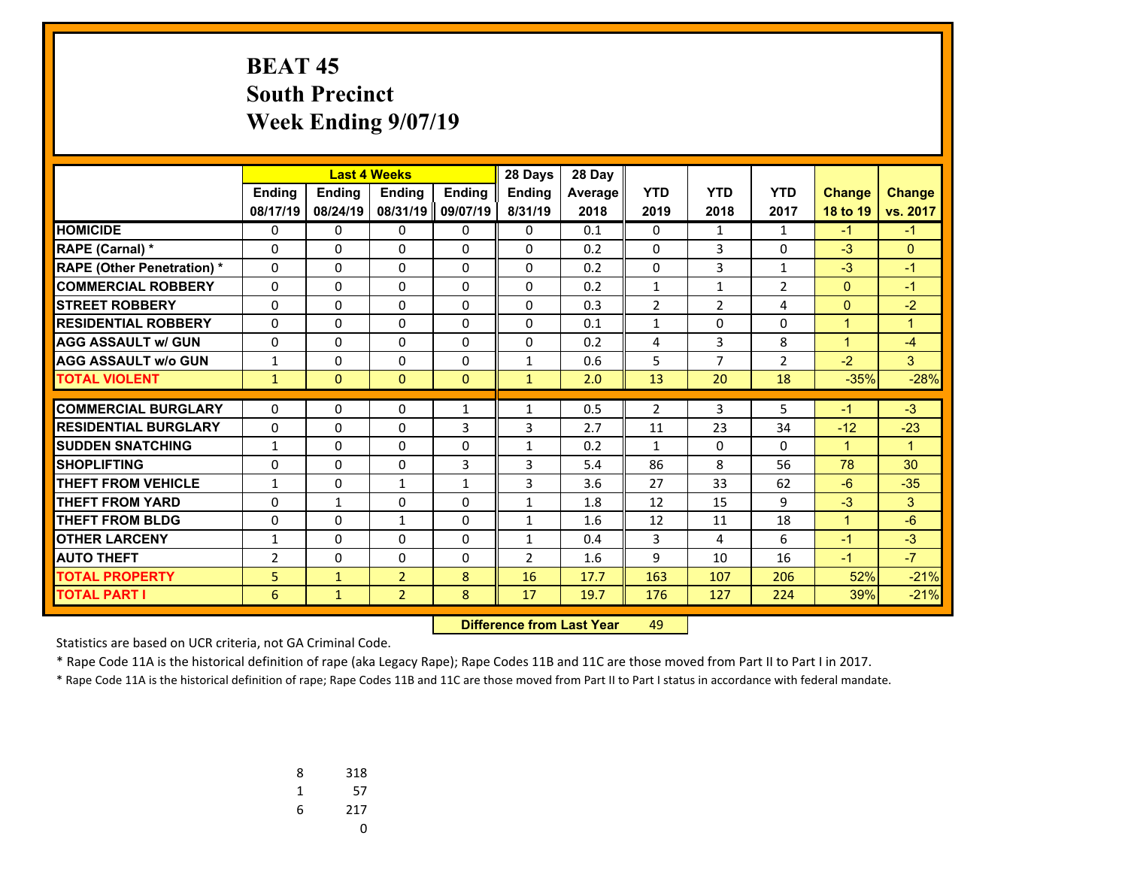# **BEAT 45 South Precinct Week Ending 9/07/19**

|                                  |                |               | <b>Last 4 Weeks</b> |               | 28 Days       | 28 Day         |                |                |                |                      |               |
|----------------------------------|----------------|---------------|---------------------|---------------|---------------|----------------|----------------|----------------|----------------|----------------------|---------------|
|                                  | Ending         | <b>Endina</b> | <b>Endina</b>       | <b>Ending</b> | <b>Endina</b> | <b>Average</b> | <b>YTD</b>     | <b>YTD</b>     | <b>YTD</b>     | <b>Change</b>        | <b>Change</b> |
|                                  | 08/17/19       | 08/24/19      | 08/31/19            | 09/07/19      | 8/31/19       | 2018           | 2019           | 2018           | 2017           | 18 to 19             | vs. 2017      |
| <b>HOMICIDE</b>                  | 0              | 0             | 0                   | $\mathbf{0}$  | $\mathbf{0}$  | 0.1            | $\mathbf{0}$   | $\mathbf{1}$   | $\mathbf{1}$   | $-1$                 | $-1$          |
| RAPE (Carnal) *                  | 0              | $\Omega$      | 0                   | 0             | $\Omega$      | 0.2            | $\mathbf{0}$   | 3              | 0              | $-3$                 | $\mathbf{0}$  |
| <b>RAPE (Other Penetration)*</b> | $\Omega$       | $\Omega$      | 0                   | 0             | $\Omega$      | 0.2            | $\Omega$       | 3              | $\mathbf{1}$   | $-3$                 | $-1$          |
| <b>COMMERCIAL ROBBERY</b>        | $\Omega$       | $\Omega$      | 0                   | 0             | $\Omega$      | 0.2            | $\mathbf{1}$   | $\mathbf{1}$   | $\overline{2}$ | $\Omega$             | $-1$          |
| <b>STREET ROBBERY</b>            | $\Omega$       | $\Omega$      | 0                   | 0             | $\Omega$      | 0.3            | $\overline{2}$ | $\overline{2}$ | 4              | $\mathbf{0}$         | $-2$          |
| <b>RESIDENTIAL ROBBERY</b>       | 0              | $\Omega$      | 0                   | $\Omega$      | $\Omega$      | 0.1            | $\mathbf{1}$   | $\Omega$       | 0              | $\mathbf{1}$         | $\mathbf{1}$  |
| <b>AGG ASSAULT w/ GUN</b>        | $\Omega$       | $\Omega$      | 0                   | $\mathbf{0}$  | $\Omega$      | 0.2            | 4              | 3              | 8              | $\blacktriangleleft$ | $-4$          |
| <b>AGG ASSAULT w/o GUN</b>       | $\mathbf{1}$   | $\Omega$      | 0                   | 0             | $\mathbf{1}$  | 0.6            | 5              | $\overline{7}$ | $\overline{2}$ | $-2$                 | 3             |
| <b>TOTAL VIOLENT</b>             | $\mathbf{1}$   | $\Omega$      | 0                   | $\mathbf{0}$  | $\mathbf{1}$  | 2.0            | 13             | 20             | 18             | $-35%$               | $-28%$        |
|                                  |                |               |                     |               |               |                |                |                |                |                      |               |
| <b>COMMERCIAL BURGLARY</b>       | 0              | 0             | 0                   | 1             | $\mathbf{1}$  | 0.5            | $\overline{2}$ | 3              | 5              | -1                   | $-3$          |
| <b>RESIDENTIAL BURGLARY</b>      | $\Omega$       | $\Omega$      | 0                   | 3             | 3             | 2.7            | 11             | 23             | 34             | $-12$                | $-23$         |
| <b>SUDDEN SNATCHING</b>          | $\mathbf{1}$   | $\Omega$      | 0                   | 0             | $\mathbf{1}$  | 0.2            | $\mathbf{1}$   | $\Omega$       | $\Omega$       | $\mathbf{1}$         | $\mathbf{1}$  |
| <b>SHOPLIFTING</b>               | 0              | $\Omega$      | 0                   | 3             | 3             | 5.4            | 86             | 8              | 56             | 78                   | 30            |
| <b>THEFT FROM VEHICLE</b>        | $\mathbf{1}$   | $\Omega$      | $\mathbf{1}$        | 1             | 3             | 3.6            | 27             | 33             | 62             | $-6$                 | $-35$         |
| <b>THEFT FROM YARD</b>           | $\Omega$       | $\mathbf{1}$  | 0                   | 0             | $\mathbf{1}$  | 1.8            | 12             | 15             | 9              | $-3$                 | 3             |
| <b>THEFT FROM BLDG</b>           | 0              | $\Omega$      | $\mathbf{1}$        | $\Omega$      | $\mathbf{1}$  | 1.6            | 12             | 11             | 18             | $\mathbf{1}$         | $-6$          |
| <b>OTHER LARCENY</b>             | $\mathbf{1}$   | $\Omega$      | 0                   | $\mathbf{0}$  | $\mathbf{1}$  | 0.4            | 3              | 4              | 6              | $-1$                 | $-3$          |
| <b>AUTO THEFT</b>                | $\overline{2}$ | $\Omega$      | 0                   | 0             | 2             | 1.6            | 9              | 10             | 16             | $-1$                 | $-7$          |
| <b>TOTAL PROPERTY</b>            | 5              | $\mathbf{1}$  | $\overline{2}$      | 8             | 16            | 17.7           | 163            | 107            | 206            | 52%                  | $-21%$        |
| <b>TOTAL PART I</b>              | 6              | $\mathbf{1}$  | $\overline{2}$      | 8             | 17            | 19.7           | 176            | 127            | 224            | 39%                  | $-21%$        |

 **Difference from Last Yearr** 49

Statistics are based on UCR criteria, not GA Criminal Code.

\* Rape Code 11A is the historical definition of rape (aka Legacy Rape); Rape Codes 11B and 11C are those moved from Part II to Part I in 2017.

| 8 | 318 |
|---|-----|
| 1 | 57  |
| 6 | 217 |
|   | U   |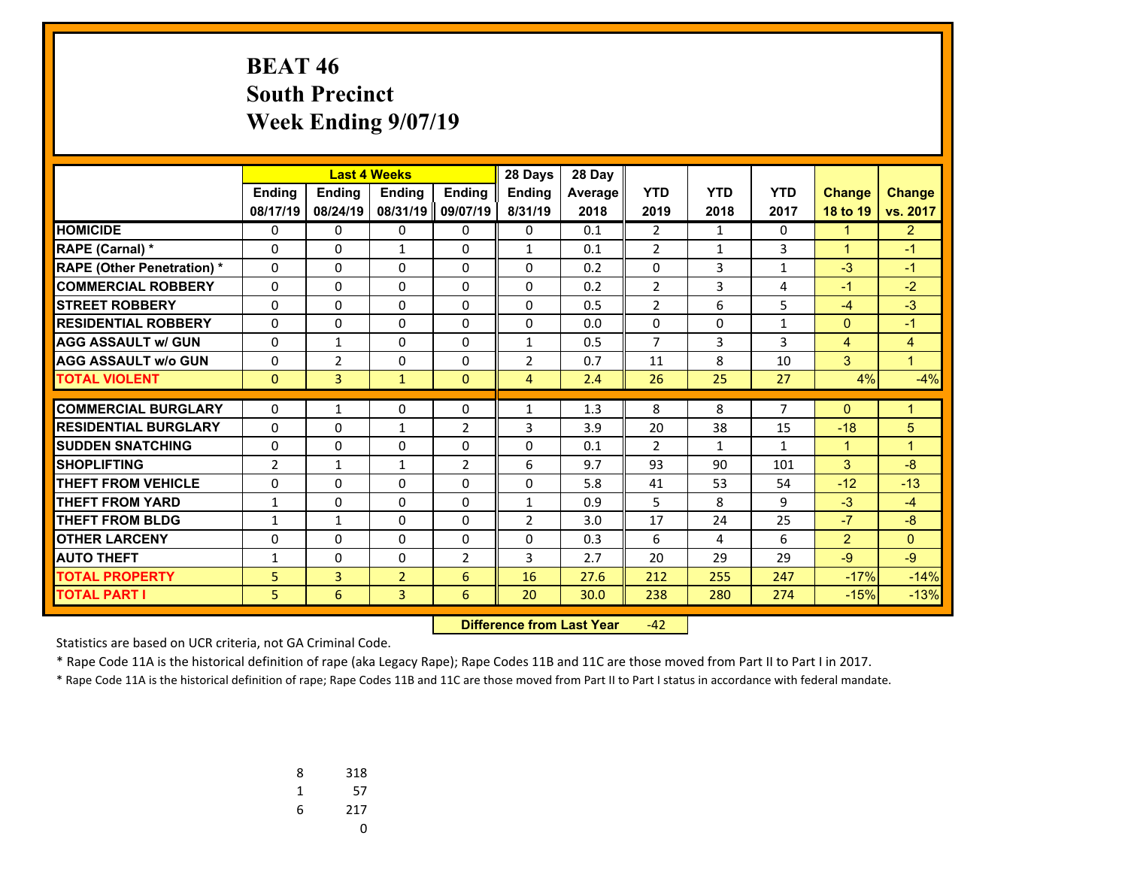### **BEAT 46 South Precinct Week Ending 9/07/19**

|                                  |                |                | <b>Last 4 Weeks</b> |                | 28 Days        | 28 Day         |                |              |                |                |                |
|----------------------------------|----------------|----------------|---------------------|----------------|----------------|----------------|----------------|--------------|----------------|----------------|----------------|
|                                  | <b>Ending</b>  | <b>Endina</b>  | <b>Endina</b>       | <b>Endina</b>  | <b>Endina</b>  | <b>Average</b> | <b>YTD</b>     | <b>YTD</b>   | <b>YTD</b>     | <b>Change</b>  | <b>Change</b>  |
|                                  | 08/17/19       | 08/24/19       | 08/31/19            | 09/07/19       | 8/31/19        | 2018           | 2019           | 2018         | 2017           | 18 to 19       | vs. 2017       |
| <b>HOMICIDE</b>                  | 0              | 0              | 0                   | 0              | $\Omega$       | 0.1            | $\overline{2}$ | $\mathbf{1}$ | 0              | 1              | $\overline{2}$ |
| <b>RAPE (Carnal) *</b>           | 0              | $\Omega$       | $\mathbf{1}$        | $\Omega$       | $\mathbf{1}$   | 0.1            | $\overline{2}$ | $\mathbf{1}$ | 3              | $\mathbf{1}$   | $-1$           |
| <b>RAPE (Other Penetration)*</b> | $\Omega$       | $\Omega$       | 0                   | $\Omega$       | $\Omega$       | 0.2            | 0              | 3            | 1              | $-3$           | $-1$           |
| <b>COMMERCIAL ROBBERY</b>        | 0              | $\Omega$       | 0                   | 0              | 0              | 0.2            | $\overline{2}$ | 3            | 4              | $-1$           | $-2$           |
| <b>STREET ROBBERY</b>            | $\Omega$       | $\Omega$       | 0                   | $\Omega$       | $\Omega$       | 0.5            | $\overline{2}$ | 6            | 5              | $-4$           | $-3$           |
| <b>RESIDENTIAL ROBBERY</b>       | $\Omega$       | 0              | 0                   | $\mathbf{0}$   | $\Omega$       | 0.0            | $\mathbf{0}$   | 0            | $\mathbf{1}$   | $\Omega$       | $-1$           |
| <b>AGG ASSAULT W/ GUN</b>        | 0              | $\mathbf{1}$   | 0                   | 0              | $\mathbf{1}$   | 0.5            | 7              | 3            | 3              | 4              | 4              |
| <b>AGG ASSAULT w/o GUN</b>       | 0              | $\overline{2}$ | 0                   | 0              | 2              | 0.7            | 11             | 8            | 10             | 3              | $\mathbf{1}$   |
| <b>TOTAL VIOLENT</b>             | $\mathbf{0}$   | 3              | $\mathbf{1}$        | $\mathbf{0}$   | $\overline{4}$ | 2.4            | 26             | 25           | 27             | 4%             | $-4%$          |
| <b>COMMERCIAL BURGLARY</b>       |                |                |                     |                |                |                |                |              | $\overline{7}$ |                |                |
|                                  | 0              | $\mathbf{1}$   | 0                   | 0              | $\mathbf 1$    | 1.3            | 8              | 8            |                | $\Omega$       | $\mathbf{1}$   |
| <b>RESIDENTIAL BURGLARY</b>      | $\Omega$       | 0              | $\mathbf{1}$        | $\overline{2}$ | 3              | 3.9            | 20             | 38           | 15             | $-18$          | 5              |
| <b>SUDDEN SNATCHING</b>          | $\mathbf{0}$   | $\Omega$       | 0                   | $\Omega$       | $\Omega$       | 0.1            | $\overline{2}$ | $\mathbf{1}$ | $\mathbf{1}$   | $\mathbf{1}$   | $\mathbf{1}$   |
| <b>SHOPLIFTING</b>               | $\overline{2}$ | $\mathbf{1}$   | $\mathbf{1}$        | $\overline{2}$ | 6              | 9.7            | 93             | 90           | 101            | $\overline{3}$ | $-8$           |
| <b>THEFT FROM VEHICLE</b>        | $\Omega$       | $\Omega$       | 0                   | 0              | $\Omega$       | 5.8            | 41             | 53           | 54             | $-12$          | $-13$          |
| <b>THEFT FROM YARD</b>           | $\mathbf{1}$   | $\Omega$       | 0                   | $\Omega$       | $\mathbf{1}$   | 0.9            | 5              | 8            | 9              | $-3$           | $-4$           |
| <b>THEFT FROM BLDG</b>           | $\mathbf{1}$   | $\mathbf{1}$   | 0                   | $\Omega$       | 2              | 3.0            | 17             | 24           | 25             | $-7$           | $-8$           |
| <b>OTHER LARCENY</b>             | $\Omega$       | 0              | 0                   | 0              | $\Omega$       | 0.3            | 6              | 4            | 6              | $\overline{2}$ | $\mathbf{0}$   |
| <b>AUTO THEFT</b>                | $\mathbf{1}$   | 0              | 0                   | $\overline{2}$ | 3              | 2.7            | 20             | 29           | 29             | $-9$           | $-9$           |
| <b>TOTAL PROPERTY</b>            | 5              | $\overline{3}$ | $\overline{2}$      | 6              | 16             | 27.6           | 212            | 255          | 247            | $-17%$         | $-14%$         |
| <b>TOTAL PART I</b>              | 5              | 6              | 3                   | 6              | 20             | 30.0           | 238            | 280          | 274            | $-15%$         | $-13%$         |

 **Difference from Last Year**‐42

Statistics are based on UCR criteria, not GA Criminal Code.

\* Rape Code 11A is the historical definition of rape (aka Legacy Rape); Rape Codes 11B and 11C are those moved from Part II to Part I in 2017.

| 8 | 318 |
|---|-----|
| 1 | 57  |
| 6 | 217 |
|   | U   |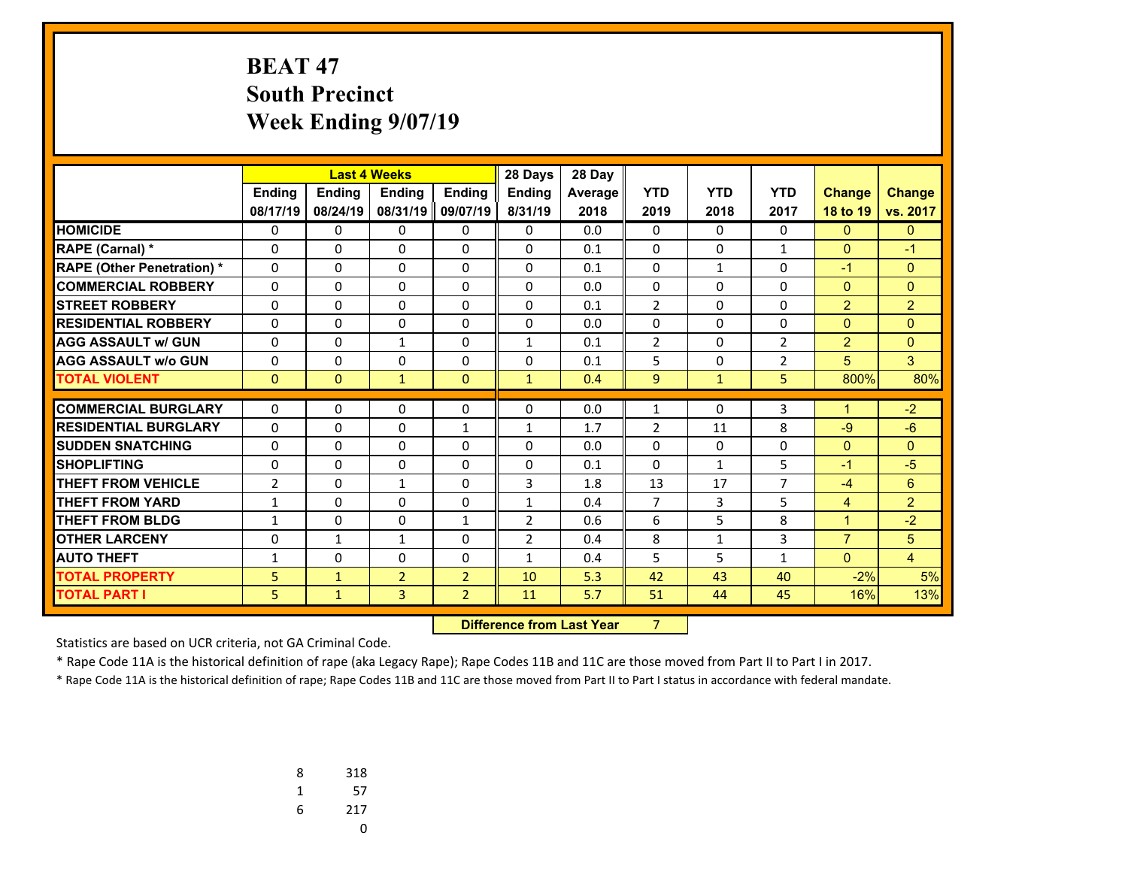# **BEAT 47 South Precinct Week Ending 9/07/19**

|                                  |                |               | <b>Last 4 Weeks</b> |                | 28 Days                          | 28 Day  |                |              |                |                |                |
|----------------------------------|----------------|---------------|---------------------|----------------|----------------------------------|---------|----------------|--------------|----------------|----------------|----------------|
|                                  | Ending         | <b>Ending</b> | Ending              | <b>Ending</b>  | Ending                           | Average | <b>YTD</b>     | <b>YTD</b>   | <b>YTD</b>     | <b>Change</b>  | <b>Change</b>  |
|                                  | 08/17/19       | 08/24/19      | 08/31/19            | 09/07/19       | 8/31/19                          | 2018    | 2019           | 2018         | 2017           | 18 to 19       | vs. 2017       |
| <b>HOMICIDE</b>                  | 0              | $\Omega$      | 0                   | 0              | $\Omega$                         | 0.0     | 0              | $\Omega$     | $\Omega$       | $\mathbf{0}$   | $\overline{0}$ |
| RAPE (Carnal) *                  | 0              | $\Omega$      | 0                   | $\Omega$       | $\Omega$                         | 0.1     | $\Omega$       | $\Omega$     | $\mathbf{1}$   | $\mathbf{0}$   | $-1$           |
| <b>RAPE (Other Penetration)*</b> | $\Omega$       | 0             | 0                   | $\Omega$       | $\Omega$                         | 0.1     | $\Omega$       | $\mathbf{1}$ | $\Omega$       | $-1$           | $\mathbf{0}$   |
| <b>COMMERCIAL ROBBERY</b>        | 0              | 0             | 0                   | 0              | 0                                | 0.0     | 0              | 0            | $\Omega$       | $\overline{0}$ | $\overline{0}$ |
| <b>STREET ROBBERY</b>            | 0              | 0             | 0                   | 0              | 0                                | 0.1     | $\overline{2}$ | 0            | 0              | $\overline{2}$ | $\overline{2}$ |
| <b>RESIDENTIAL ROBBERY</b>       | $\Omega$       | 0             | 0                   | $\Omega$       | 0                                | 0.0     | 0              | $\Omega$     | $\Omega$       | $\mathbf{0}$   | $\mathbf{0}$   |
| <b>AGG ASSAULT w/ GUN</b>        | $\Omega$       | 0             | 1                   | $\Omega$       | $\mathbf{1}$                     | 0.1     | $\overline{2}$ | $\Omega$     | $\overline{2}$ | $\overline{2}$ | $\Omega$       |
| <b>AGG ASSAULT w/o GUN</b>       | 0              | 0             | 0                   | $\Omega$       | $\Omega$                         | 0.1     | 5              | $\Omega$     | $\overline{2}$ | 5              | 3              |
| <b>TOTAL VIOLENT</b>             | $\mathbf{0}$   | $\Omega$      | $\mathbf{1}$        | $\mathbf{0}$   | $\mathbf{1}$                     | 0.4     | 9              | $\mathbf{1}$ | 5.             | 800%           | 80%            |
| <b>COMMERCIAL BURGLARY</b>       | 0              | 0             | 0                   | 0              | 0                                | 0.0     | 1              | 0            | 3              | $\mathbf{1}$   | $-2$           |
| <b>RESIDENTIAL BURGLARY</b>      | $\Omega$       | 0             | 0                   | $\mathbf{1}$   | $\mathbf{1}$                     | 1.7     | $\overline{2}$ | 11           | 8              | $-9$           | $-6$           |
| <b>SUDDEN SNATCHING</b>          | 0              | $\Omega$      | $\Omega$            | $\Omega$       | $\Omega$                         | 0.0     | $\Omega$       | $\Omega$     | $\Omega$       | $\overline{0}$ | $\Omega$       |
| <b>SHOPLIFTING</b>               | 0              | $\Omega$      | $\Omega$            | 0              | $\Omega$                         | 0.1     | $\Omega$       | $\mathbf{1}$ | 5              | $-1$           | $-5$           |
| <b>THEFT FROM VEHICLE</b>        | $\overline{2}$ | $\Omega$      | $\mathbf{1}$        | $\Omega$       | 3                                | 1.8     | 13             | 17           | $\overline{7}$ | $-4$           | 6              |
| <b>THEFT FROM YARD</b>           | $\mathbf{1}$   | $\Omega$      | $\Omega$            | $\Omega$       | $\mathbf{1}$                     | 0.4     | $\overline{7}$ | 3            | 5              | $\overline{4}$ | $\overline{2}$ |
| <b>THEFT FROM BLDG</b>           | $\mathbf{1}$   | 0             | $\Omega$            | $\mathbf{1}$   | $\overline{2}$                   | 0.6     | 6              | 5            | 8              | $\mathbf{1}$   | $-2$           |
| <b>OTHER LARCENY</b>             | 0              | $\mathbf{1}$  | $\mathbf{1}$        | $\Omega$       | $\overline{2}$                   | 0.4     | 8              | $\mathbf{1}$ | 3              | $\overline{7}$ | 5              |
| <b>AUTO THEFT</b>                | $\mathbf{1}$   | 0             | $\Omega$            | 0              | $\mathbf{1}$                     | 0.4     | 5              | 5            | $\mathbf{1}$   | $\mathbf{0}$   | $\overline{4}$ |
| <b>TOTAL PROPERTY</b>            | 5              | $\mathbf{1}$  | $\overline{2}$      | $\overline{2}$ | 10                               | 5.3     | 42             | 43           | 40             | $-2%$          | 5%             |
| <b>TOTAL PART I</b>              | 5              | $\mathbf{1}$  | 3                   | $\overline{2}$ | 11                               | 5.7     | 51             | 44           | 45             | 16%            | 13%            |
|                                  |                |               |                     |                | <b>Difference from Last Year</b> |         | $\overline{7}$ |              |                |                |                |

 **Difference from Last Year**

Statistics are based on UCR criteria, not GA Criminal Code.

\* Rape Code 11A is the historical definition of rape (aka Legacy Rape); Rape Codes 11B and 11C are those moved from Part II to Part I in 2017.

| 8 | 318 |
|---|-----|
| 1 | 57  |
| 6 | 217 |
|   |     |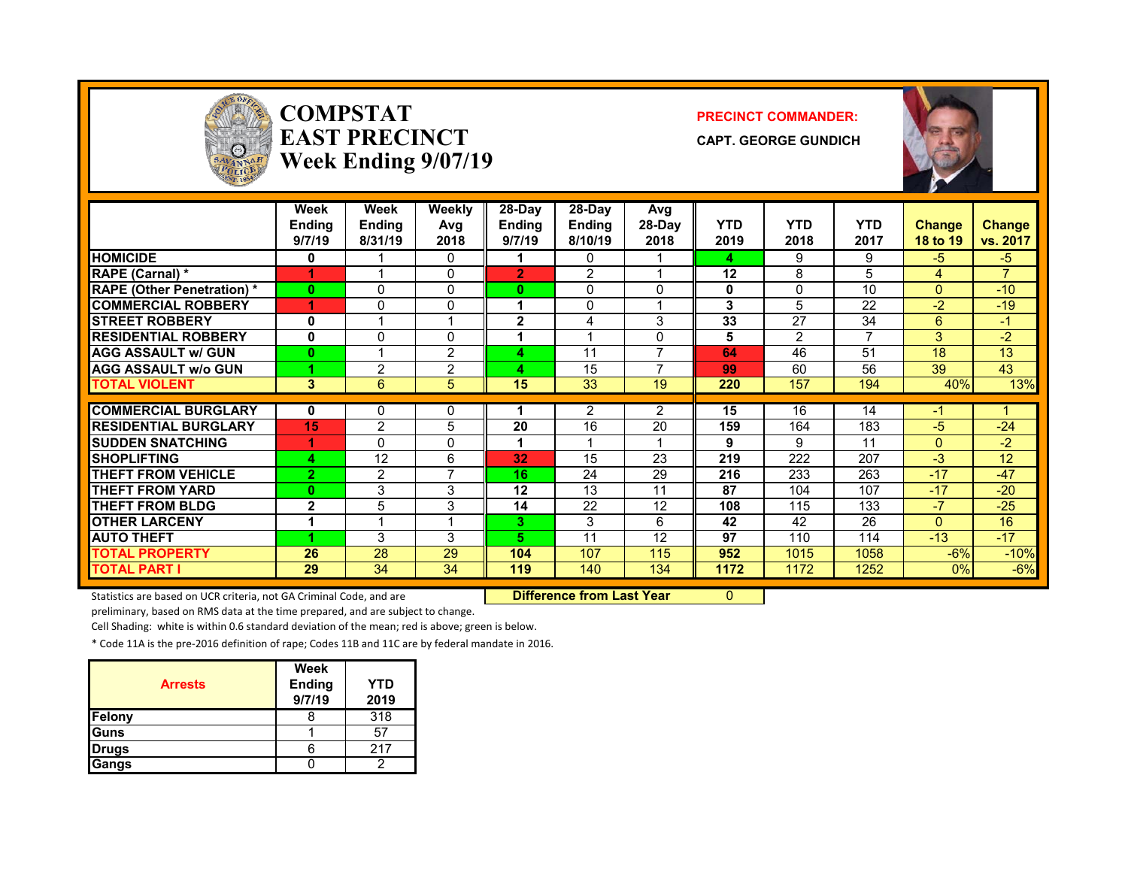

### **COMPSTATEAST PRECINCTWeek Ending 9/07/19**

#### **PRECINCT COMMANDER:**

**CAPT. GEORGE GUNDICH**



|                                   | Week<br>Ending<br>9/7/19 | Week<br><b>Endina</b><br>8/31/19 | Weekly<br>Avg<br>2018 | 28-Day<br>Endina<br>9/7/19 | $28-Dav$<br><b>Endina</b><br>8/10/19 | Avg<br>28-Day<br>2018 | <b>YTD</b><br>2019 | <b>YTD</b><br>2018 | <b>YTD</b><br>2017 | <b>Change</b><br>18 to 19 | <b>Change</b><br>vs. 2017 |
|-----------------------------------|--------------------------|----------------------------------|-----------------------|----------------------------|--------------------------------------|-----------------------|--------------------|--------------------|--------------------|---------------------------|---------------------------|
| <b>HOMICIDE</b>                   | 0                        |                                  | 0                     |                            | 0                                    |                       | 4                  | 9                  | 9                  | $-5$                      | $-5$                      |
| <b>RAPE (Carnal)</b> *            | 4                        |                                  | 0                     | $\overline{2}$             | 2                                    |                       | 12                 | 8                  | 5                  | 4                         | $\overline{z}$            |
| <b>RAPE (Other Penetration) *</b> | 0                        | 0                                | 0                     | 0                          | 0                                    | <sup>0</sup>          | 0                  | $\Omega$           | 10                 | $\Omega$                  | $-10$                     |
| <b>COMMERCIAL ROBBERY</b>         | 4                        | 0                                | 0                     |                            | 0                                    |                       | 3                  | 5                  | 22                 | $-2$                      | $-19$                     |
| <b>STREET ROBBERY</b>             | 0                        |                                  | 4                     | $\overline{2}$             | 4                                    | 3                     | 33                 | 27                 | 34                 | 6                         | $-1$                      |
| <b>RESIDENTIAL ROBBERY</b>        | 0                        | 0                                | 0                     |                            |                                      | 0                     | 5                  | 2                  | 7                  | 3                         | $-2$                      |
| <b>AGG ASSAULT w/ GUN</b>         | $\bf{0}$                 |                                  | $\overline{2}$        | Δ                          | 11                                   |                       | 64                 | 46                 | 51                 | 18                        | 13                        |
| <b>AGG ASSAULT w/o GUN</b>        |                          | 2                                | $\overline{2}$        | Δ                          | 15                                   |                       | 99                 | 60                 | 56                 | 39                        | 43                        |
| <b>TOTAL VIOLENT</b>              | 3                        | 6                                | 5                     | 15                         | 33                                   | 19                    | 220                | 157                | 194                | 40%                       | 13%                       |
|                                   |                          |                                  |                       |                            |                                      |                       |                    |                    |                    |                           |                           |
| <b>COMMERCIAL BURGLARY</b>        | 0                        | 0                                | 0                     |                            | 2                                    | $\overline{2}$        | 15                 | 16                 | 14                 | -1                        |                           |
| <b>RESIDENTIAL BURGLARY</b>       | 15                       | 2                                | 5                     | 20                         | 16                                   | 20                    | 159                | 164                | 183                | $-5$                      | $-24$                     |
| <b>ISUDDEN SNATCHING</b>          | и                        | 0                                | $\Omega$              |                            |                                      |                       | 9                  | 9                  | 11                 | $\Omega$                  | $-2$                      |
| <b>ISHOPLIFTING</b>               | 4                        | 12                               | 6                     | 32                         | 15                                   | 23                    | 219                | 222                | 207                | $-3$                      | 12                        |
| <b>THEFT FROM VEHICLE</b>         | $\overline{2}$           | $\overline{2}$                   | $\overline{7}$        | 16                         | 24                                   | 29                    | 216                | 233                | 263                | $-17$                     | $-47$                     |
| <b>THEFT FROM YARD</b>            | $\bf{0}$                 | 3                                | 3                     | 12                         | 13                                   | 11                    | 87                 | 104                | 107                | $-17$                     | $-20$                     |
| <b>THEFT FROM BLDG</b>            | $\mathbf{2}$             | 5                                | 3                     | 14                         | 22                                   | 12                    | 108                | 115                | 133                | $-7$                      | $-25$                     |
| <b>OTHER LARCENY</b>              | 4                        | $\overline{\phantom{a}}$         | 1                     | 3.                         | 3                                    | 6                     | 42                 | 42                 | 26                 | $\Omega$                  | 16                        |
| <b>AUTO THEFT</b>                 |                          | 3                                | 3                     | 5.                         | 11                                   | 12                    | 97                 | 110                | 114                | $-13$                     | $-17$                     |
| <b>TOTAL PROPERTY</b>             | 26                       | 28                               | 29                    | 104                        | 107                                  | 115                   | 952                | 1015               | 1058               | $-6%$                     | $-10%$                    |
| <b>TOTAL PART I</b>               | 29                       | 34                               | 34                    | 119                        | 140                                  | 134                   | 1172               | 1172               | 1252               | $0\%$                     | $-6%$                     |

Statistics are based on UCR criteria, not GA Criminal Code, and are **Dufference from Last Year** 0

preliminary, based on RMS data at the time prepared, and are subject to change.

Cell Shading: white is within 0.6 standard deviation of the mean; red is above; green is below.

\* Code 11A is the pre‐2016 definition of rape; Codes 11B and 11C are by federal mandate in 2016.

| <b>Arrests</b> | <b>Week</b><br><b>Ending</b><br>9/7/19 | <b>YTD</b><br>2019 |
|----------------|----------------------------------------|--------------------|
| <b>Felony</b>  |                                        | 318                |
| <b>Guns</b>    |                                        | 57                 |
| <b>Drugs</b>   |                                        | 217                |
| <b>Gangs</b>   |                                        |                    |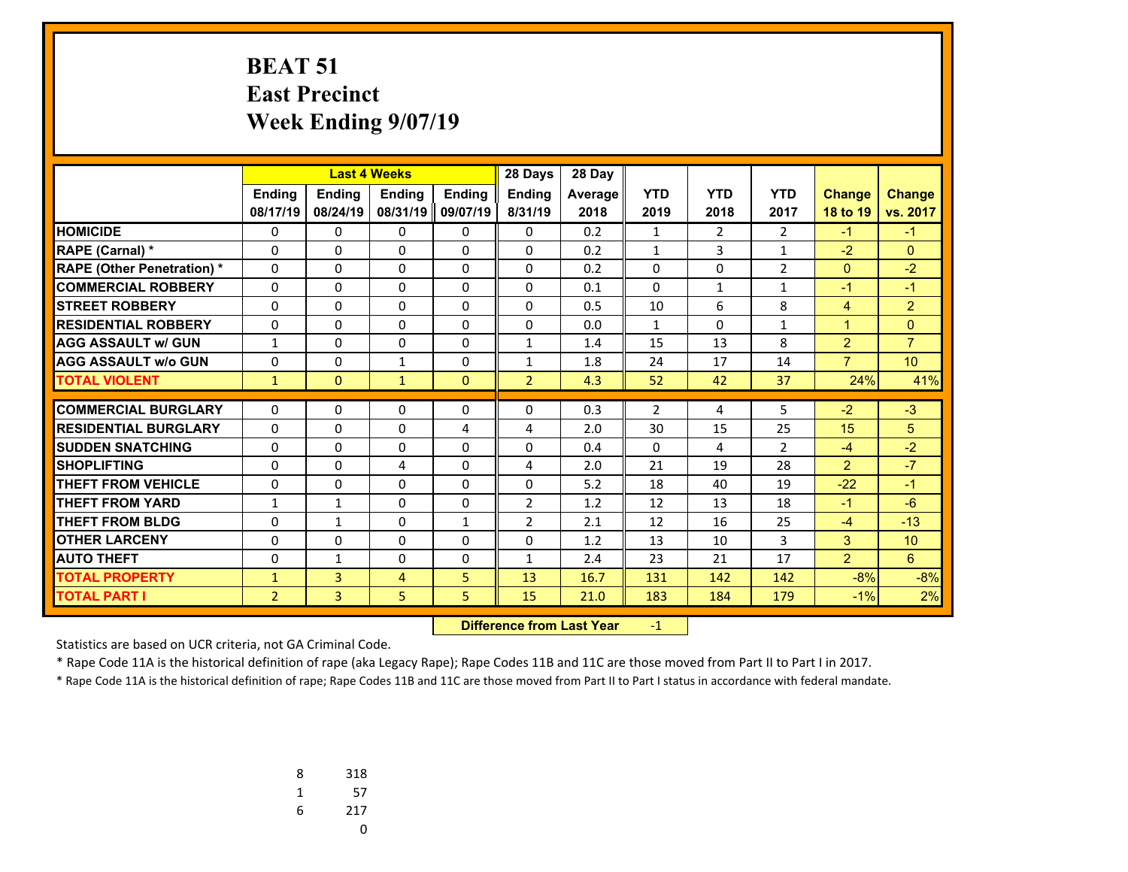### **BEAT 51 East Precinct Week Ending 9/07/19**

|                                  | <b>Last 4 Weeks</b> |               |                | 28 Days       | 28 Day         |         |                |                |                |                |                |
|----------------------------------|---------------------|---------------|----------------|---------------|----------------|---------|----------------|----------------|----------------|----------------|----------------|
|                                  | <b>Ending</b>       | <b>Ending</b> | <b>Ending</b>  | <b>Endina</b> | <b>Ending</b>  | Average | <b>YTD</b>     | <b>YTD</b>     | <b>YTD</b>     | <b>Change</b>  | <b>Change</b>  |
|                                  | 08/17/19            | 08/24/19      | 08/31/19       | 09/07/19      | 8/31/19        | 2018    | 2019           | 2018           | 2017           | 18 to 19       | vs. 2017       |
| <b>HOMICIDE</b>                  | 0                   | 0             | 0              | 0             | 0              | 0.2     | 1              | 2              | 2              | $-1$           | $-1$           |
| <b>RAPE (Carnal)</b> *           | 0                   | 0             | 0              | 0             | $\Omega$       | 0.2     | $\mathbf{1}$   | 3              | 1              | $-2$           | $\mathbf{0}$   |
| <b>RAPE (Other Penetration)*</b> | 0                   | $\Omega$      | 0              | $\Omega$      | $\Omega$       | 0.2     | 0              | $\Omega$       | $\overline{2}$ | $\mathbf{0}$   | $-2$           |
| <b>COMMERCIAL ROBBERY</b>        | 0                   | 0             | 0              | 0             | $\Omega$       | 0.1     | 0              | 1              | 1              | $-1$           | $-1$           |
| <b>STREET ROBBERY</b>            | $\mathbf 0$         | $\Omega$      | 0              | 0             | $\Omega$       | 0.5     | 10             | 6              | 8              | $\overline{4}$ | $\overline{2}$ |
| <b>RESIDENTIAL ROBBERY</b>       | 0                   | 0             | 0              | 0             | $\Omega$       | 0.0     | $\mathbf{1}$   | 0              | $\mathbf{1}$   | $\mathbf 1$    | $\Omega$       |
| <b>AGG ASSAULT w/ GUN</b>        | $\mathbf{1}$        | 0             | 0              | 0             | $\mathbf{1}$   | 1.4     | 15             | 13             | 8              | $\overline{2}$ | $\overline{7}$ |
| <b>AGG ASSAULT w/o GUN</b>       | 0                   | 0             | $\mathbf{1}$   | 0             | $\mathbf{1}$   | 1.8     | 24             | 17             | 14             | $\overline{7}$ | 10             |
| <b>TOTAL VIOLENT</b>             | $\mathbf{1}$        | $\Omega$      | $\mathbf{1}$   | $\mathbf{0}$  | $\overline{2}$ | 4.3     | 52             | 42             | 37             | 24%            | 41%            |
| <b>COMMERCIAL BURGLARY</b>       | 0                   | $\Omega$      | 0              |               | $\mathbf{0}$   | 0.3     | $\overline{2}$ | 4              | 5              | $-2$           | $-3$           |
|                                  |                     |               |                | 0             |                |         |                |                |                |                |                |
| <b>RESIDENTIAL BURGLARY</b>      | $\Omega$            | $\Omega$      | $\Omega$       | 4             | 4              | 2.0     | 30             | 15             | 25             | 15             | 5              |
| <b>SUDDEN SNATCHING</b>          | $\Omega$            | $\Omega$      | $\Omega$       | $\Omega$      | $\Omega$       | 0.4     | $\Omega$       | $\overline{4}$ | $\overline{2}$ | $-4$           | $-2$           |
| <b>SHOPLIFTING</b>               | 0                   | $\Omega$      | 4              | $\Omega$      | 4              | 2.0     | 21             | 19             | 28             | $\overline{2}$ | $-7$           |
| <b>THEFT FROM VEHICLE</b>        | 0                   | $\Omega$      | 0              | 0             | $\Omega$       | 5.2     | 18             | 40             | 19             | $-22$          | $-1$           |
| <b>THEFT FROM YARD</b>           | $\mathbf{1}$        | $\mathbf{1}$  | 0              | 0             | $\overline{2}$ | 1.2     | 12             | 13             | 18             | $-1$           | $-6$           |
| <b>THEFT FROM BLDG</b>           | $\Omega$            | $\mathbf{1}$  | $\Omega$       | $\mathbf{1}$  | $\overline{2}$ | 2.1     | 12             | 16             | 25             | $-4$           | $-13$          |
| <b>OTHER LARCENY</b>             | 0                   | $\Omega$      | $\Omega$       | 0             | $\Omega$       | 1.2     | 13             | 10             | 3              | 3              | 10             |
| <b>AUTO THEFT</b>                | 0                   | $\mathbf{1}$  | 0              | 0             | $\mathbf{1}$   | 2.4     | 23             | 21             | 17             | $\overline{2}$ | 6              |
| <b>TOTAL PROPERTY</b>            | $\mathbf{1}$        | 3             | $\overline{4}$ | 5             | 13             | 16.7    | 131            | 142            | 142            | $-8%$          | $-8%$          |
| <b>TOTAL PART I</b>              | $\overline{2}$      | 3             | 5              | 5             | 15             | 21.0    | 183            | 184            | 179            | $-1%$          | 2%             |

 **Difference from Last Year**r - <u>1</u>

Statistics are based on UCR criteria, not GA Criminal Code.

\* Rape Code 11A is the historical definition of rape (aka Legacy Rape); Rape Codes 11B and 11C are those moved from Part II to Part I in 2017.

| 8 | 318 |
|---|-----|
| 1 | 57  |
| 6 | 217 |
|   | U   |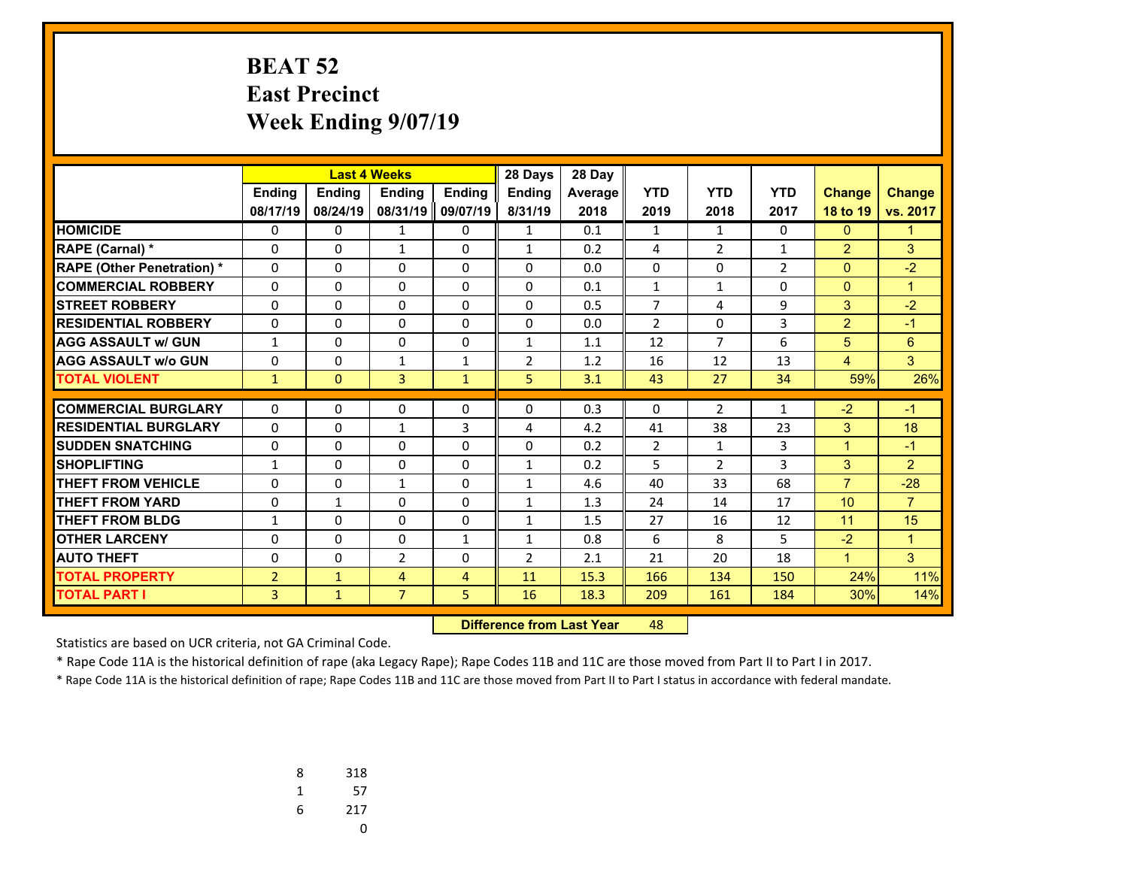### **BEAT 52 East Precinct Week Ending 9/07/19**

|                                   |                |               |                | 28 Days<br><b>Last 4 Weeks</b> |                |         |                |                |                |                |                |
|-----------------------------------|----------------|---------------|----------------|--------------------------------|----------------|---------|----------------|----------------|----------------|----------------|----------------|
|                                   | <b>Endina</b>  | <b>Endina</b> | <b>Endina</b>  | <b>Endina</b>                  | <b>Endina</b>  | Average | <b>YTD</b>     | <b>YTD</b>     | <b>YTD</b>     | <b>Change</b>  | <b>Change</b>  |
|                                   | 08/17/19       | 08/24/19      | 08/31/19       | 09/07/19                       | 8/31/19        | 2018    | 2019           | 2018           | 2017           | 18 to 19       | vs. 2017       |
| <b>HOMICIDE</b>                   | 0              | 0             | 1              | 0                              | $\mathbf{1}$   | 0.1     | $\mathbf{1}$   | 1              | 0              | $\mathbf{0}$   | $\mathbf 1$    |
| <b>RAPE (Carnal) *</b>            | 0              | 0             | $\mathbf{1}$   | 0                              | $\mathbf{1}$   | 0.2     | 4              | $\overline{2}$ | $\mathbf{1}$   | $\overline{2}$ | 3              |
| <b>RAPE (Other Penetration) *</b> | $\Omega$       | 0             | 0              | $\Omega$                       | $\Omega$       | 0.0     | $\Omega$       | $\Omega$       | $\overline{2}$ | $\overline{0}$ | $-2$           |
| <b>COMMERCIAL ROBBERY</b>         | 0              | 0             | 0              | 0                              | 0              | 0.1     | $\mathbf{1}$   | $\mathbf{1}$   | $\Omega$       | $\mathbf{0}$   | $\mathbf{1}$   |
| <b>STREET ROBBERY</b>             | 0              | $\Omega$      | 0              | 0                              | $\Omega$       | 0.5     | $\overline{7}$ | 4              | 9              | 3              | $-2$           |
| <b>RESIDENTIAL ROBBERY</b>        | 0              | 0             | 0              | 0                              | 0              | 0.0     | $\overline{2}$ | $\Omega$       | 3              | $\overline{2}$ | $-1$           |
| <b>AGG ASSAULT w/ GUN</b>         | 1              | 0             | 0              | 0                              | 1              | 1.1     | 12             | $\overline{7}$ | 6              | 5              | 6              |
| <b>AGG ASSAULT w/o GUN</b>        | 0              | 0             | $\mathbf{1}$   | $\mathbf{1}$                   | $\overline{2}$ | 1.2     | 16             | 12             | 13             | 4              | 3              |
| <b>TOTAL VIOLENT</b>              | $\mathbf{1}$   | $\mathbf{0}$  | $\overline{3}$ | $\mathbf{1}$                   | 5              | 3.1     | 43             | 27             | 34             | 59%            | 26%            |
| <b>COMMERCIAL BURGLARY</b>        | $\Omega$       | 0             |                |                                | $\Omega$       | 0.3     | 0              | 2              | $\mathbf{1}$   | $-2$           | $-1$           |
| <b>RESIDENTIAL BURGLARY</b>       |                |               | 0              | 0                              |                |         |                |                |                |                |                |
|                                   | $\Omega$       | 0             | $\mathbf{1}$   | 3                              | 4              | 4.2     | 41             | 38             | 23             | 3              | 18             |
| <b>SUDDEN SNATCHING</b>           | $\Omega$       | 0             | 0              | $\Omega$                       | $\Omega$       | 0.2     | $\overline{2}$ | $\mathbf{1}$   | 3              | $\mathbf{1}$   | $-1$           |
| <b>SHOPLIFTING</b>                | 1              | 0             | 0              | 0                              | $\mathbf{1}$   | 0.2     | 5              | $\overline{2}$ | 3              | 3              | $\overline{2}$ |
| <b>THEFT FROM VEHICLE</b>         | 0              | $\Omega$      | $\mathbf{1}$   | 0                              | $\mathbf{1}$   | 4.6     | 40             | 33             | 68             | $\overline{7}$ | $-28$          |
| <b>THEFT FROM YARD</b>            | 0              | $\mathbf{1}$  | 0              | $\Omega$                       | $\mathbf{1}$   | 1.3     | 24             | 14             | 17             | 10             | $\overline{7}$ |
| THEFT FROM BLDG                   | 1              | 0             | 0              | 0                              | 1              | 1.5     | 27             | 16             | 12             | 11             | 15             |
| <b>OTHER LARCENY</b>              | 0              | 0             | 0              | $\mathbf{1}$                   | $\mathbf{1}$   | 0.8     | 6              | 8              | 5              | $-2$           | $\mathbf{1}$   |
| <b>AUTO THEFT</b>                 | 0              | 0             | $\overline{2}$ | 0                              | $\overline{2}$ | 2.1     | 21             | 20             | 18             | $\mathbf{1}$   | 3              |
| <b>TOTAL PROPERTY</b>             | $\overline{2}$ | $\mathbf{1}$  | $\overline{4}$ | 4                              | 11             | 15.3    | 166            | 134            | 150            | 24%            | 11%            |
| <b>TOTAL PART I</b>               | 3              | $\mathbf{1}$  | $\overline{7}$ | 5                              | 16             | 18.3    | 209            | 161            | 184            | 30%            | 14%            |

 **Difference from Last Year**r 48

Statistics are based on UCR criteria, not GA Criminal Code.

\* Rape Code 11A is the historical definition of rape (aka Legacy Rape); Rape Codes 11B and 11C are those moved from Part II to Part I in 2017.

| 8 | 318 |
|---|-----|
| 1 | 57  |
| 6 | 217 |
|   | U   |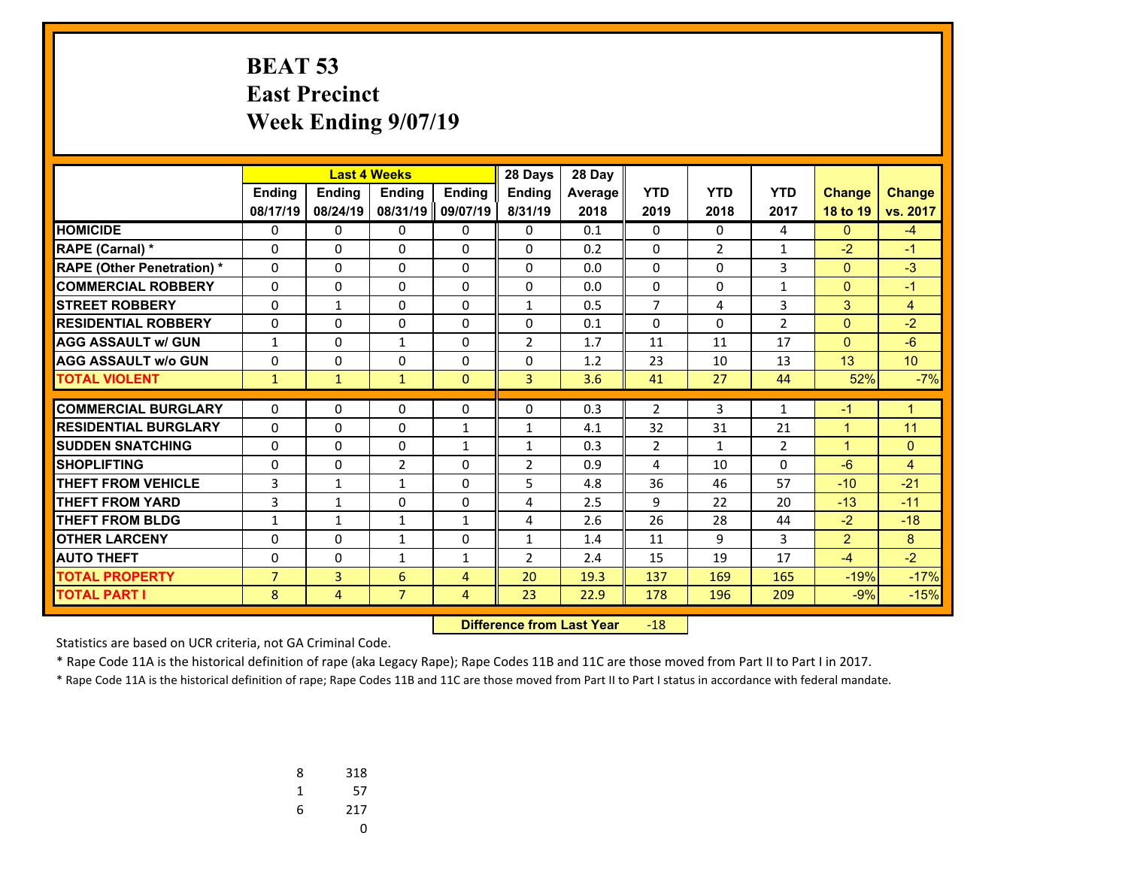# **BEAT 53 East Precinct Week Ending 9/07/19**

|                                   |                | <b>Last 4 Weeks</b> |                |                | 28 Days        | 28 Day  |                |                |                |                |                |
|-----------------------------------|----------------|---------------------|----------------|----------------|----------------|---------|----------------|----------------|----------------|----------------|----------------|
|                                   | Ending         | Ending              | Ending         | <b>Ending</b>  | <b>Ending</b>  | Average | <b>YTD</b>     | <b>YTD</b>     | <b>YTD</b>     | <b>Change</b>  | <b>Change</b>  |
|                                   | 08/17/19       | 08/24/19            | 08/31/19       | 09/07/19       | 8/31/19        | 2018    | 2019           | 2018           | 2017           | 18 to 19       | vs. 2017       |
| <b>HOMICIDE</b>                   | 0              | 0                   | 0              | 0              | $\Omega$       | 0.1     | 0              | 0              | 4              | $\Omega$       | $-4$           |
| <b>RAPE (Carnal) *</b>            | $\Omega$       | $\Omega$            | $\Omega$       | $\Omega$       | $\Omega$       | 0.2     | $\Omega$       | $\overline{2}$ | 1              | $-2$           | $-1$           |
| <b>RAPE (Other Penetration) *</b> | $\Omega$       | $\Omega$            | $\Omega$       | $\Omega$       | $\Omega$       | 0.0     | $\Omega$       | $\Omega$       | 3              | $\mathbf{0}$   | $-3$           |
| <b>COMMERCIAL ROBBERY</b>         | $\Omega$       | 0                   | $\Omega$       | $\Omega$       | $\Omega$       | 0.0     | $\Omega$       | $\Omega$       | $\mathbf{1}$   | $\mathbf{0}$   | $-1$           |
| <b>STREET ROBBERY</b>             | 0              | $\mathbf{1}$        | 0              | 0              | $\mathbf{1}$   | 0.5     | $\overline{7}$ | 4              | 3              | 3              | $\overline{4}$ |
| <b>RESIDENTIAL ROBBERY</b>        | $\Omega$       | 0                   | $\Omega$       | $\Omega$       | $\Omega$       | 0.1     | $\Omega$       | $\Omega$       | $\overline{2}$ | $\mathbf{0}$   | $-2$           |
| <b>AGG ASSAULT w/ GUN</b>         | 1              | 0                   | 1              | 0              | 2              | 1.7     | 11             | 11             | 17             | $\overline{0}$ | $-6$           |
| <b>AGG ASSAULT w/o GUN</b>        | 0              | $\Omega$            | $\Omega$       | $\Omega$       | $\Omega$       | 1.2     | 23             | 10             | 13             | 13             | 10             |
| <b>TOTAL VIOLENT</b>              | $\mathbf{1}$   | $\mathbf{1}$        | $\mathbf{1}$   | $\Omega$       | $\overline{3}$ | 3.6     | 41             | 27             | 44             | 52%            | $-7%$          |
| <b>COMMERCIAL BURGLARY</b>        |                |                     |                |                |                |         |                |                |                |                |                |
|                                   | 0              | 0                   | $\Omega$       | 0              | 0              | 0.3     | $\overline{2}$ | 3              | $\mathbf{1}$   | $-1$           | $\mathbf{1}$   |
| <b>RESIDENTIAL BURGLARY</b>       | $\Omega$       | 0                   | 0              | $\mathbf{1}$   | $\mathbf{1}$   | 4.1     | 32             | 31             | 21             | $\mathbf{1}$   | 11             |
| <b>SUDDEN SNATCHING</b>           | $\Omega$       | 0                   | $\Omega$       | $\mathbf{1}$   | $\mathbf{1}$   | 0.3     | $\overline{2}$ | $\mathbf{1}$   | $\overline{2}$ | $\mathbf{1}$   | $\mathbf{0}$   |
| <b>SHOPLIFTING</b>                | $\Omega$       | $\Omega$            | $\overline{2}$ | $\Omega$       | $\overline{2}$ | 0.9     | 4              | 10             | $\Omega$       | $-6$           | $\overline{4}$ |
| <b>THEFT FROM VEHICLE</b>         | 3              | $\mathbf{1}$        | $\mathbf{1}$   | $\Omega$       | 5              | 4.8     | 36             | 46             | 57             | $-10$          | $-21$          |
| <b>THEFT FROM YARD</b>            | 3              | $\mathbf{1}$        | 0              | 0              | 4              | 2.5     | 9              | 22             | 20             | $-13$          | $-11$          |
| <b>THEFT FROM BLDG</b>            | $\mathbf{1}$   | $\mathbf{1}$        | $\mathbf{1}$   | $\mathbf{1}$   | 4              | 2.6     | 26             | 28             | 44             | $-2$           | $-18$          |
| <b>OTHER LARCENY</b>              | 0              | 0                   | 1              | 0              | $\mathbf{1}$   | 1.4     | 11             | 9              | 3              | $\overline{2}$ | 8              |
| <b>AUTO THEFT</b>                 | 0              | $\Omega$            | $\mathbf{1}$   | $\mathbf{1}$   | $\overline{2}$ | 2.4     | 15             | 19             | 17             | $-4$           | $-2$           |
| <b>TOTAL PROPERTY</b>             | $\overline{7}$ | $\overline{3}$      | 6              | $\overline{4}$ | 20             | 19.3    | 137            | 169            | 165            | $-19%$         | $-17%$         |
| <b>TOTAL PART I</b>               | 8              | 4                   | $\overline{7}$ | 4              | 23             | 22.9    | 178            | 196            | 209            | $-9%$          | $-15%$         |

 **Difference from Last Year**r -18

Statistics are based on UCR criteria, not GA Criminal Code.

\* Rape Code 11A is the historical definition of rape (aka Legacy Rape); Rape Codes 11B and 11C are those moved from Part II to Part I in 2017.

| 8 | 318 |
|---|-----|
| 1 | 57  |
| 6 | 217 |
|   | U   |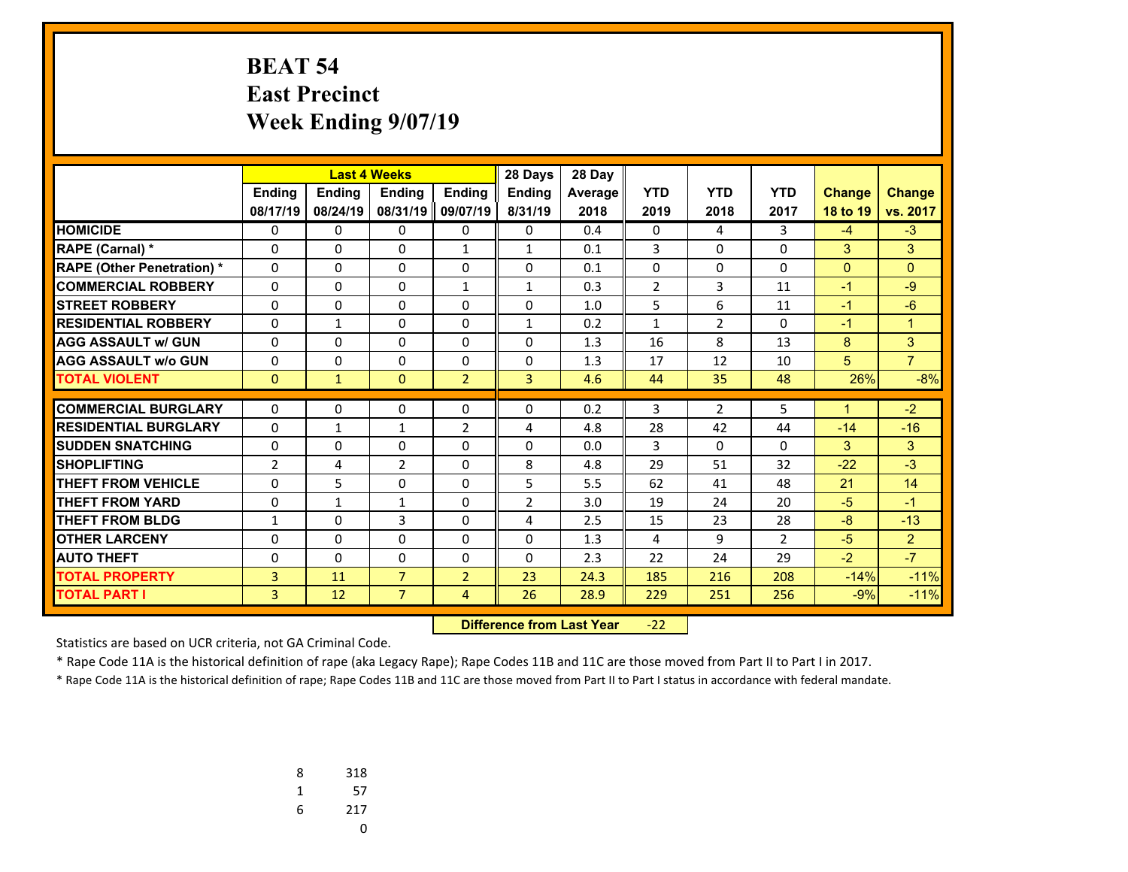### **BEAT 54 East Precinct Week Ending 9/07/19**

|                                   |                |               | <b>Last 4 Weeks</b><br>28 Days |                |                | 28 Day  |                |                |                |                |                |
|-----------------------------------|----------------|---------------|--------------------------------|----------------|----------------|---------|----------------|----------------|----------------|----------------|----------------|
|                                   | <b>Endina</b>  | <b>Ending</b> | <b>Endina</b>                  | <b>Endina</b>  | <b>Endina</b>  | Average | <b>YTD</b>     | <b>YTD</b>     | <b>YTD</b>     | <b>Change</b>  | <b>Change</b>  |
|                                   | 08/17/19       | 08/24/19      | 08/31/19                       | 09/07/19       | 8/31/19        | 2018    | 2019           | 2018           | 2017           | 18 to 19       | vs. 2017       |
| <b>HOMICIDE</b>                   | 0              | 0             | 0                              | 0              | 0              | 0.4     | 0              | 4              | 3              | $-4$           | $-3$           |
| <b>RAPE (Carnal) *</b>            | 0              | 0             | 0                              | $\mathbf{1}$   | 1              | 0.1     | 3              | $\Omega$       | $\Omega$       | 3              | 3              |
| <b>RAPE (Other Penetration) *</b> | 0              | $\Omega$      | $\Omega$                       | 0              | $\Omega$       | 0.1     | 0              | $\Omega$       | $\Omega$       | $\overline{0}$ | $\Omega$       |
| <b>COMMERCIAL ROBBERY</b>         | 0              | 0             | $\Omega$                       | $\mathbf{1}$   | $\mathbf{1}$   | 0.3     | $\overline{2}$ | 3              | 11             | $-1$           | $-9$           |
| <b>STREET ROBBERY</b>             | 0              | $\Omega$      | $\Omega$                       | 0              | $\Omega$       | 1.0     | 5              | 6              | 11             | $-1$           | $-6$           |
| <b>RESIDENTIAL ROBBERY</b>        | 0              | $\mathbf{1}$  | $\Omega$                       | $\Omega$       | $\mathbf{1}$   | 0.2     | $\mathbf{1}$   | $\overline{2}$ | $\Omega$       | $-1$           | $\overline{1}$ |
| <b>AGG ASSAULT w/ GUN</b>         | 0              | 0             | 0                              | 0              | $\Omega$       | 1.3     | 16             | 8              | 13             | 8              | 3              |
| <b>AGG ASSAULT w/o GUN</b>        | 0              | 0             | $\Omega$                       | $\Omega$       | $\Omega$       | 1.3     | 17             | 12             | 10             | 5              | $\overline{7}$ |
| <b>TOTAL VIOLENT</b>              | $\mathbf{0}$   | $\mathbf{1}$  | $\Omega$                       | $\overline{2}$ | $\overline{3}$ | 4.6     | 44             | 35             | 48             | 26%            | $-8%$          |
|                                   |                |               |                                |                |                |         |                |                |                |                |                |
| <b>COMMERCIAL BURGLARY</b>        | 0              | 0             | 0                              | 0              | 0              | 0.2     | 3              | $\overline{2}$ | 5              | 1              | $-2$           |
| <b>RESIDENTIAL BURGLARY</b>       | 0              | $\mathbf{1}$  | $\mathbf{1}$                   | $\overline{2}$ | 4              | 4.8     | 28             | 42             | 44             | $-14$          | $-16$          |
| <b>SUDDEN SNATCHING</b>           | $\Omega$       | 0             | $\Omega$                       | $\Omega$       | $\Omega$       | 0.0     | 3              | $\Omega$       | $\Omega$       | 3              | 3              |
| <b>SHOPLIFTING</b>                | $\overline{2}$ | 4             | $\overline{2}$                 | $\Omega$       | 8              | 4.8     | 29             | 51             | 32             | $-22$          | $-3$           |
| <b>THEFT FROM VEHICLE</b>         | 0              | 5             | 0                              | 0              | 5              | 5.5     | 62             | 41             | 48             | 21             | 14             |
| <b>THEFT FROM YARD</b>            | $\Omega$       | $\mathbf{1}$  | 1                              | $\Omega$       | $\overline{2}$ | 3.0     | 19             | 24             | 20             | $-5$           | $-1$           |
| <b>THEFT FROM BLDG</b>            | 1              | 0             | 3                              | 0              | 4              | 2.5     | 15             | 23             | 28             | $-8$           | $-13$          |
| <b>OTHER LARCENY</b>              | $\Omega$       | 0             | $\Omega$                       | $\Omega$       | $\Omega$       | 1.3     | 4              | 9              | $\overline{2}$ | $-5$           | 2              |
| <b>AUTO THEFT</b>                 | 0              | $\Omega$      | 0                              | 0              | $\Omega$       | 2.3     | 22             | 24             | 29             | $-2$           | $-7$           |
| <b>TOTAL PROPERTY</b>             | 3              | 11            | $\overline{7}$                 | $\overline{2}$ | 23             | 24.3    | 185            | 216            | 208            | $-14%$         | $-11%$         |
| <b>TOTAL PART I</b>               | 3              | 12            | $\overline{7}$                 | 4              | 26             | 28.9    | 229            | 251            | 256            | $-9%$          | $-11%$         |

 **Difference from Last Year**‐22

Statistics are based on UCR criteria, not GA Criminal Code.

\* Rape Code 11A is the historical definition of rape (aka Legacy Rape); Rape Codes 11B and 11C are those moved from Part II to Part I in 2017.

| 8 | 318 |
|---|-----|
| 1 | 57  |
| 6 | 217 |
|   | U   |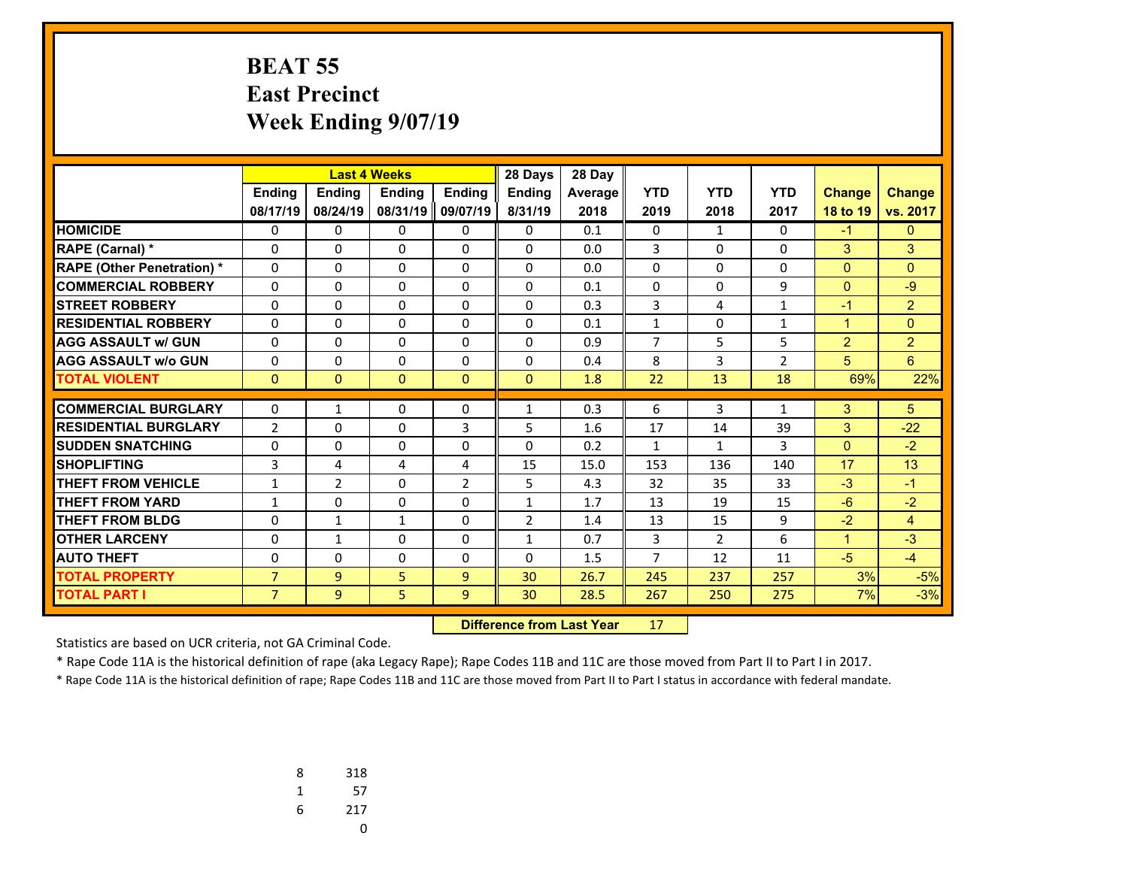### **BEAT 55 East Precinct Week Ending 9/07/19**

|                                   |                |                |               | <b>Last 4 Weeks</b><br>28 Days |                |         |                |                |                |                |                |
|-----------------------------------|----------------|----------------|---------------|--------------------------------|----------------|---------|----------------|----------------|----------------|----------------|----------------|
|                                   | <b>Endina</b>  | <b>Endina</b>  | <b>Endina</b> | <b>Endina</b>                  | <b>Endina</b>  | Average | <b>YTD</b>     | <b>YTD</b>     | <b>YTD</b>     | <b>Change</b>  | <b>Change</b>  |
|                                   | 08/17/19       | 08/24/19       | 08/31/19      | 09/07/19                       | 8/31/19        | 2018    | 2019           | 2018           | 2017           | 18 to 19       | vs. 2017       |
| <b>HOMICIDE</b>                   | 0              | 0              | 0             | 0                              | 0              | 0.1     | 0              | $\mathbf{1}$   | $\Omega$       | $-1$           | $\mathbf{0}$   |
| <b>RAPE (Carnal) *</b>            | 0              | 0              | 0             | 0                              | 0              | 0.0     | 3              | $\Omega$       | $\Omega$       | 3              | 3              |
| <b>RAPE (Other Penetration) *</b> | $\Omega$       | 0              | $\Omega$      | $\Omega$                       | $\Omega$       | 0.0     | $\Omega$       | $\Omega$       | $\Omega$       | $\overline{0}$ | $\Omega$       |
| <b>COMMERCIAL ROBBERY</b>         | 0              | 0              | $\Omega$      | 0                              | $\Omega$       | 0.1     | 0              | $\Omega$       | 9              | $\mathbf{0}$   | $-9$           |
| <b>STREET ROBBERY</b>             | $\Omega$       | 0              | $\Omega$      | $\Omega$                       | $\Omega$       | 0.3     | 3              | 4              | $\mathbf{1}$   | $-1$           | $\overline{2}$ |
| <b>RESIDENTIAL ROBBERY</b>        | 0              | $\Omega$       | 0             | 0                              | $\Omega$       | 0.1     | $\mathbf{1}$   | $\Omega$       | $\mathbf{1}$   | $\mathbf{1}$   | $\Omega$       |
| <b>AGG ASSAULT w/ GUN</b>         | $\Omega$       | $\Omega$       | 0             | $\Omega$                       | $\Omega$       | 0.9     | $\overline{7}$ | 5              | 5              | $\overline{2}$ | $\overline{2}$ |
| <b>AGG ASSAULT w/o GUN</b>        | 0              | 0              | 0             | 0                              | 0              | 0.4     | 8              | 3              | $\overline{2}$ | 5              | 6              |
| <b>TOTAL VIOLENT</b>              | $\mathbf{0}$   | $\Omega$       | $\Omega$      | $\Omega$                       | $\Omega$       | 1.8     | 22             | 13             | 18             | 69%            | 22%            |
| <b>COMMERCIAL BURGLARY</b>        | $\Omega$       |                |               |                                | 1              | 0.3     |                | 3              |                |                | 5              |
|                                   |                | $\mathbf{1}$   | 0             | 0                              |                |         | 6              |                | $\mathbf{1}$   | 3              |                |
| <b>RESIDENTIAL BURGLARY</b>       | $\overline{2}$ | 0              | $\Omega$      | 3                              | 5              | 1.6     | 17             | 14             | 39             | 3              | $-22$          |
| <b>SUDDEN SNATCHING</b>           | $\Omega$       | 0              | $\Omega$      | $\Omega$                       | $\Omega$       | 0.2     | $\mathbf{1}$   | $\mathbf{1}$   | 3              | $\mathbf{0}$   | $-2$           |
| <b>SHOPLIFTING</b>                | 3              | 4              | 4             | 4                              | 15             | 15.0    | 153            | 136            | 140            | 17             | 13             |
| <b>THEFT FROM VEHICLE</b>         | $\mathbf{1}$   | $\overline{2}$ | $\Omega$      | $\overline{2}$                 | 5              | 4.3     | 32             | 35             | 33             | $-3$           | $-1$           |
| <b>THEFT FROM YARD</b>            | 1              | 0              | $\Omega$      | $\Omega$                       | $\mathbf{1}$   | 1.7     | 13             | 19             | 15             | $-6$           | $-2$           |
| <b>THEFT FROM BLDG</b>            | 0              | $\mathbf{1}$   | 1             | 0                              | $\overline{2}$ | 1.4     | 13             | 15             | 9              | $-2$           | 4              |
| <b>OTHER LARCENY</b>              | $\Omega$       | $\mathbf{1}$   | $\Omega$      | $\Omega$                       | $\mathbf{1}$   | 0.7     | 3              | $\overline{2}$ | 6              | $\mathbf{1}$   | $-3$           |
| <b>AUTO THEFT</b>                 | 0              | $\Omega$       | $\Omega$      | $\Omega$                       | $\Omega$       | 1.5     | $\overline{7}$ | 12             | 11             | $-5$           | $-4$           |
| <b>TOTAL PROPERTY</b>             | $\overline{7}$ | 9              | 5             | 9                              | 30             | 26.7    | 245            | 237            | 257            | 3%             | $-5%$          |
| <b>TOTAL PART I</b>               | $\overline{7}$ | 9              | 5             | 9                              | 30             | 28.5    | 267            | 250            | 275            | 7%             | $-3%$          |

 **Difference from Last Year**r 17

Statistics are based on UCR criteria, not GA Criminal Code.

\* Rape Code 11A is the historical definition of rape (aka Legacy Rape); Rape Codes 11B and 11C are those moved from Part II to Part I in 2017.

| 8 | 318 |
|---|-----|
| 1 | 57  |
| 6 | 217 |
|   | U   |